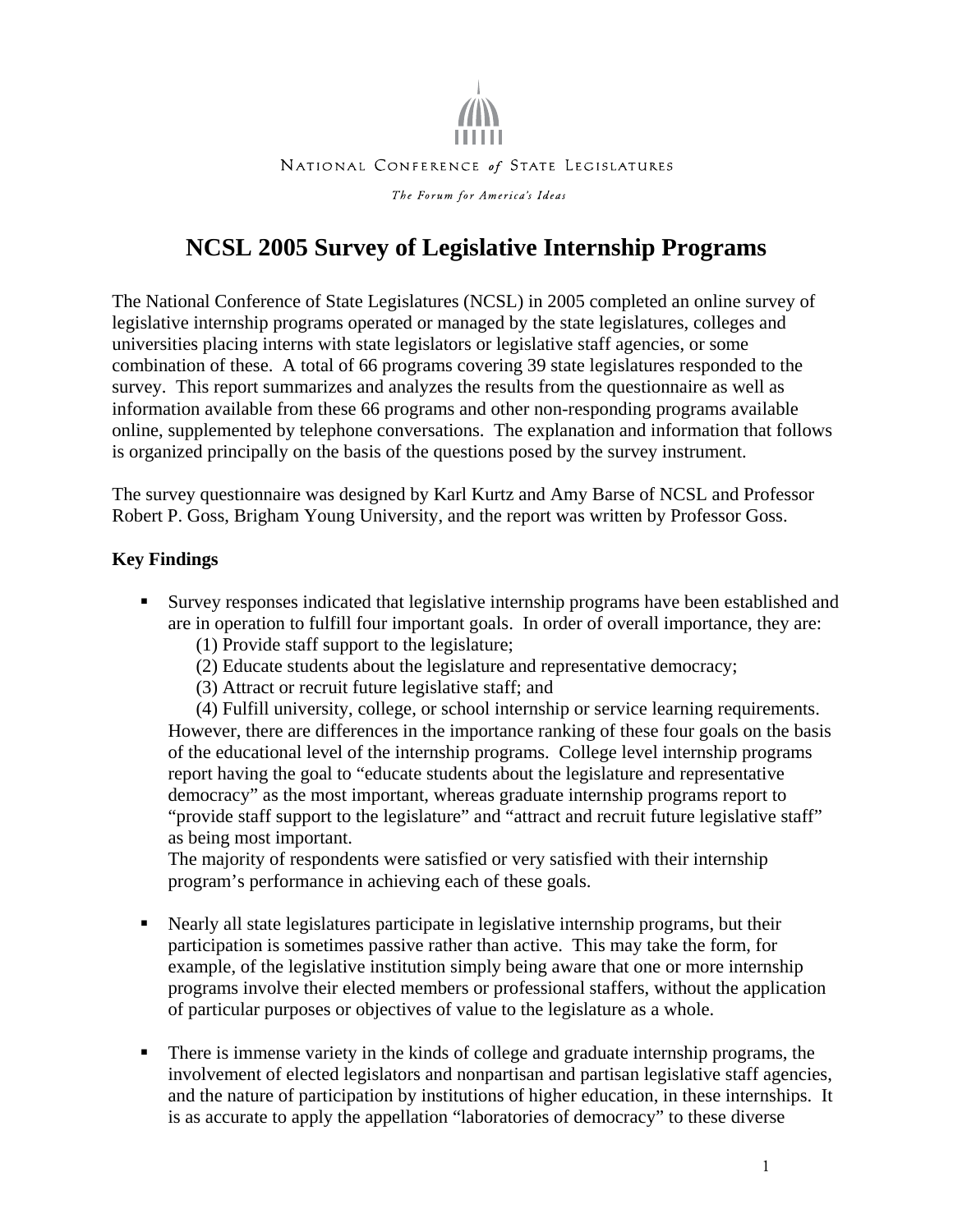

#### NATIONAL CONFERENCE of STATE LEGISLATURES

The Forum for America's Ideas

# **NCSL 2005 Survey of Legislative Internship Programs**

The National Conference of State Legislatures (NCSL) in 2005 completed an online survey of legislative internship programs operated or managed by the state legislatures, colleges and universities placing interns with state legislators or legislative staff agencies, or some combination of these. A total of 66 programs covering 39 state legislatures responded to the survey. This report summarizes and analyzes the results from the questionnaire as well as information available from these 66 programs and other non-responding programs available online, supplemented by telephone conversations. The explanation and information that follows is organized principally on the basis of the questions posed by the survey instrument.

The survey questionnaire was designed by Karl Kurtz and Amy Barse of NCSL and Professor Robert P. Goss, Brigham Young University, and the report was written by Professor Goss.

#### **Key Findings**

- Survey responses indicated that legislative internship programs have been established and are in operation to fulfill four important goals. In order of overall importance, they are:
	- (1) Provide staff support to the legislature;
	- (2) Educate students about the legislature and representative democracy;
	- (3) Attract or recruit future legislative staff; and

(4) Fulfill university, college, or school internship or service learning requirements. However, there are differences in the importance ranking of these four goals on the basis of the educational level of the internship programs. College level internship programs report having the goal to "educate students about the legislature and representative democracy" as the most important, whereas graduate internship programs report to "provide staff support to the legislature" and "attract and recruit future legislative staff" as being most important.

The majority of respondents were satisfied or very satisfied with their internship program's performance in achieving each of these goals.

- Nearly all state legislatures participate in legislative internship programs, but their participation is sometimes passive rather than active. This may take the form, for example, of the legislative institution simply being aware that one or more internship programs involve their elected members or professional staffers, without the application of particular purposes or objectives of value to the legislature as a whole.
- There is immense variety in the kinds of college and graduate internship programs, the involvement of elected legislators and nonpartisan and partisan legislative staff agencies, and the nature of participation by institutions of higher education, in these internships. It is as accurate to apply the appellation "laboratories of democracy" to these diverse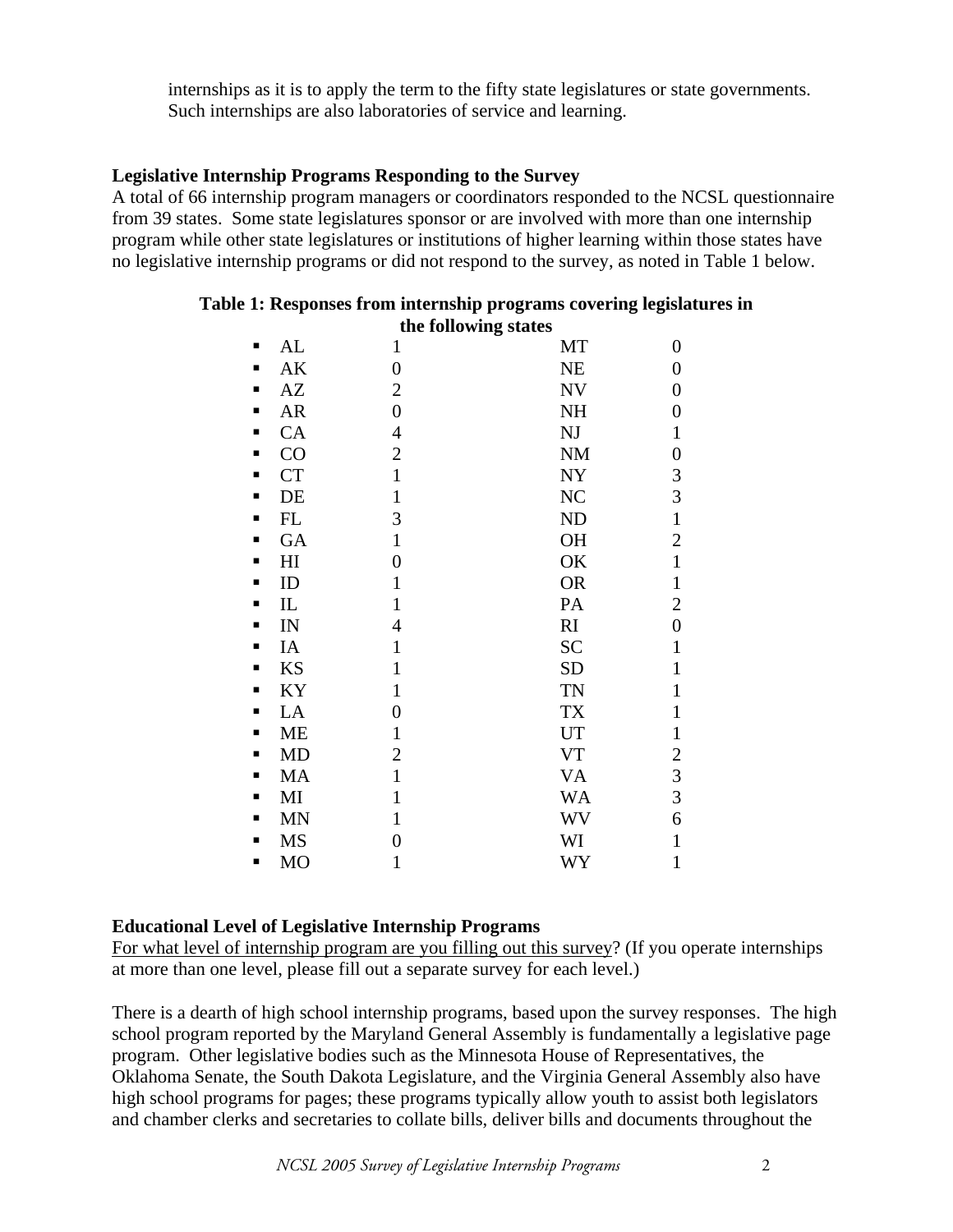internships as it is to apply the term to the fifty state legislatures or state governments. Such internships are also laboratories of service and learning.

## **Legislative Internship Programs Responding to the Survey**

A total of 66 internship program managers or coordinators responded to the NCSL questionnaire from 39 states. Some state legislatures sponsor or are involved with more than one internship program while other state legislatures or institutions of higher learning within those states have no legislative internship programs or did not respond to the survey, as noted in Table 1 below.

|   |           | the following states |                        |                  |
|---|-----------|----------------------|------------------------|------------------|
| ■ | AL        | $\mathbf{1}$         | MT                     | $\boldsymbol{0}$ |
| п | AK        | $\boldsymbol{0}$     | NE                     | $\boldsymbol{0}$ |
| п | AZ        | $\overline{c}$       | <b>NV</b>              | $\boldsymbol{0}$ |
| п | <b>AR</b> | $\boldsymbol{0}$     | NH                     | $\boldsymbol{0}$ |
| п | CA        | $\overline{4}$       | $\mathbf{N}\mathbf{J}$ | $\mathbf{1}$     |
| п | CO        | $\mathbf{2}$         | $\rm{NM}$              | $\boldsymbol{0}$ |
| п | <b>CT</b> | $\mathbf{1}$         | ${\rm NY}$             |                  |
| ٠ | DE        | $\mathbf{1}$         | NC                     | $\frac{3}{3}$    |
| п | FL        | 3                    | <b>ND</b>              | $\mathbf{1}$     |
| ٠ | GA        | $\mathbf{1}$         | <b>OH</b>              | $\overline{c}$   |
| п | H1        | $\overline{0}$       | OK                     | $\mathbf{1}$     |
| ٠ | ID        | $\mathbf{1}$         | <b>OR</b>              | $\mathbf{1}$     |
| п | IL        | $\mathbf{1}$         | PA                     | $\overline{2}$   |
| ٠ | IN        | $\overline{4}$       | RI                     | $\boldsymbol{0}$ |
| п | IA        | $\mathbf{1}$         | <b>SC</b>              | $\mathbf{1}$     |
| ٠ | <b>KS</b> | $\mathbf{1}$         | <b>SD</b>              | $\mathbf{1}$     |
| п | KY        | $\mathbf{1}$         | <b>TN</b>              | $\mathbf{1}$     |
| п | LA        | $\boldsymbol{0}$     | TX                     | $\mathbf{1}$     |
| п | ME        | $\mathbf{1}$         | UT                     | $\mathbf{1}$     |
| п | MD        | $\mathbf{2}$         | <b>VT</b>              | $\overline{c}$   |
| п | MA        | $\mathbf{1}$         | <b>VA</b>              | $\overline{3}$   |
| п | MI        | $\mathbf{1}$         | <b>WA</b>              | $\overline{3}$   |
| п | <b>MN</b> | $\mathbf{1}$         | <b>WV</b>              | 6                |
| п | <b>MS</b> | 0                    | WI                     | $\mathbf{1}$     |
| п | <b>MO</b> | 1                    | WY                     | $\mathbf{1}$     |

#### **Table 1: Responses from internship programs covering legislatures in the following states**

## **Educational Level of Legislative Internship Programs**

For what level of internship program are you filling out this survey? (If you operate internships at more than one level, please fill out a separate survey for each level.)

There is a dearth of high school internship programs, based upon the survey responses. The high school program reported by the Maryland General Assembly is fundamentally a legislative page program. Other legislative bodies such as the Minnesota House of Representatives, the Oklahoma Senate, the South Dakota Legislature, and the Virginia General Assembly also have high school programs for pages; these programs typically allow youth to assist both legislators and chamber clerks and secretaries to collate bills, deliver bills and documents throughout the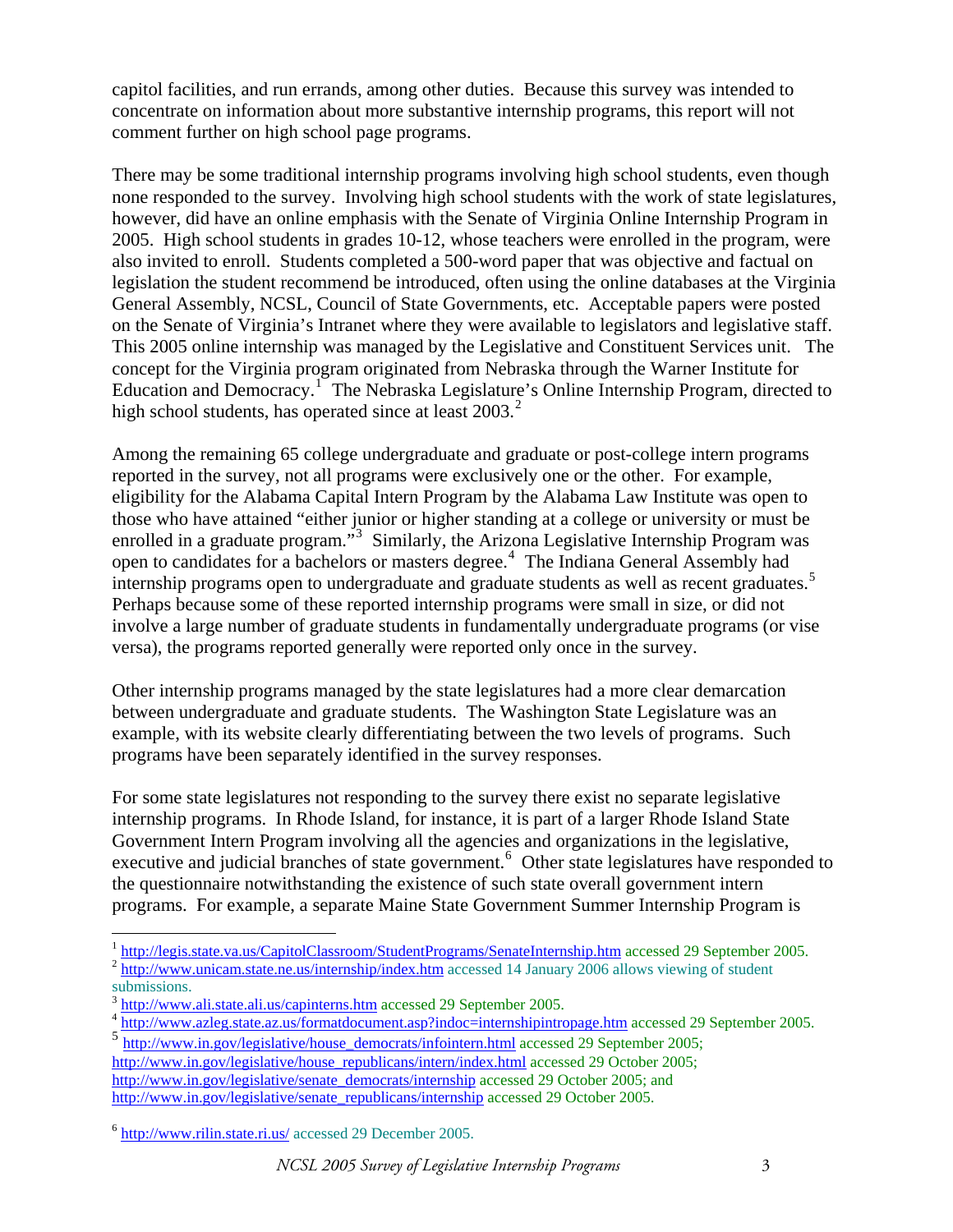capitol facilities, and run errands, among other duties. Because this survey was intended to concentrate on information about more substantive internship programs, this report will not comment further on high school page programs.

There may be some traditional internship programs involving high school students, even though none responded to the survey. Involving high school students with the work of state legislatures, however, did have an online emphasis with the Senate of Virginia Online Internship Program in 2005. High school students in grades 10-12, whose teachers were enrolled in the program, were also invited to enroll. Students completed a 500-word paper that was objective and factual on legislation the student recommend be introduced, often using the online databases at the Virginia General Assembly, NCSL, Council of State Governments, etc. Acceptable papers were posted on the Senate of Virginia's Intranet where they were available to legislators and legislative staff. This 2005 online internship was managed by the Legislative and Constituent Services unit. The concept for the Virginia program originated from Nebraska through the Warner Institute for Education and Democracy.<sup>[1](#page-2-0)</sup> The Nebraska Legislature's Online Internship Program, directed to high school students, has operated since at least  $2003<sup>2</sup>$  $2003<sup>2</sup>$ .

Among the remaining 65 college undergraduate and graduate or post-college intern programs reported in the survey, not all programs were exclusively one or the other. For example, eligibility for the Alabama Capital Intern Program by the Alabama Law Institute was open to those who have attained "either junior or higher standing at a college or university or must be enrolled in a graduate program."<sup>[3](#page-2-2)</sup> Similarly, the Arizona Legislative Internship Program was open to candidates for a bachelors or masters degree.<sup>[4](#page-2-3)</sup> The Indiana General Assembly had internship programs open to undergraduate and graduate students as well as recent graduates.<sup>[5](#page-2-4)</sup> Perhaps because some of these reported internship programs were small in size, or did not involve a large number of graduate students in fundamentally undergraduate programs (or vise versa), the programs reported generally were reported only once in the survey.

Other internship programs managed by the state legislatures had a more clear demarcation between undergraduate and graduate students. The Washington State Legislature was an example, with its website clearly differentiating between the two levels of programs. Such programs have been separately identified in the survey responses.

For some state legislatures not responding to the survey there exist no separate legislative internship programs. In Rhode Island, for instance, it is part of a larger Rhode Island State Government Intern Program involving all the agencies and organizations in the legislative, executive and judicial branches of state government.<sup>[6](#page-2-5)</sup> Other state legislatures have responded to the questionnaire notwithstanding the existence of such state overall government intern programs. For example, a separate Maine State Government Summer Internship Program is

<span id="page-2-0"></span><sup>&</sup>lt;sup>1</sup> <http://legis.state.va.us/CapitolClassroom/StudentPrograms/SenateInternship.htm> accessed 29 September 2005.<br><sup>2</sup> <http://www.unicam.state.ne.us/internship/index.htm> accessed 14 January 2006 allows viewing of student

<span id="page-2-1"></span>submissions.<br><sup>3</sup> http://www.ali.state.ali.us/capinterns.htm accessed 29 September 2005.

<span id="page-2-2"></span>

<span id="page-2-3"></span><sup>&</sup>lt;sup>4</sup> <http://www.azleg.state.az.us/formatdocument.asp?indoc=internshipintropage.htm> accessed 29 September 2005.

<span id="page-2-4"></span><sup>&</sup>lt;sup>5</sup> [http://www.in.gov/legislative/house\\_democrats/infointern.html](http://www.in.gov/legislative/house_democrats/infointern.html) accessed 29 September 2005; [http://www.in.gov/legislative/house\\_republicans/intern/index.html](http://www.in.gov/legislative/house_republicans/intern/index.html) accessed 29 October 2005; [http://www.in.gov/legislative/senate\\_democrats/internship](http://www.in.gov/legislative/senate_democrats/internship) accessed 29 October 2005; and [http://www.in.gov/legislative/senate\\_republicans/internship](http://www.in.gov/legislative/senate_republicans/internship) accessed 29 October 2005.

<span id="page-2-5"></span><sup>6</sup> <http://www.rilin.state.ri.us/> accessed 29 December 2005.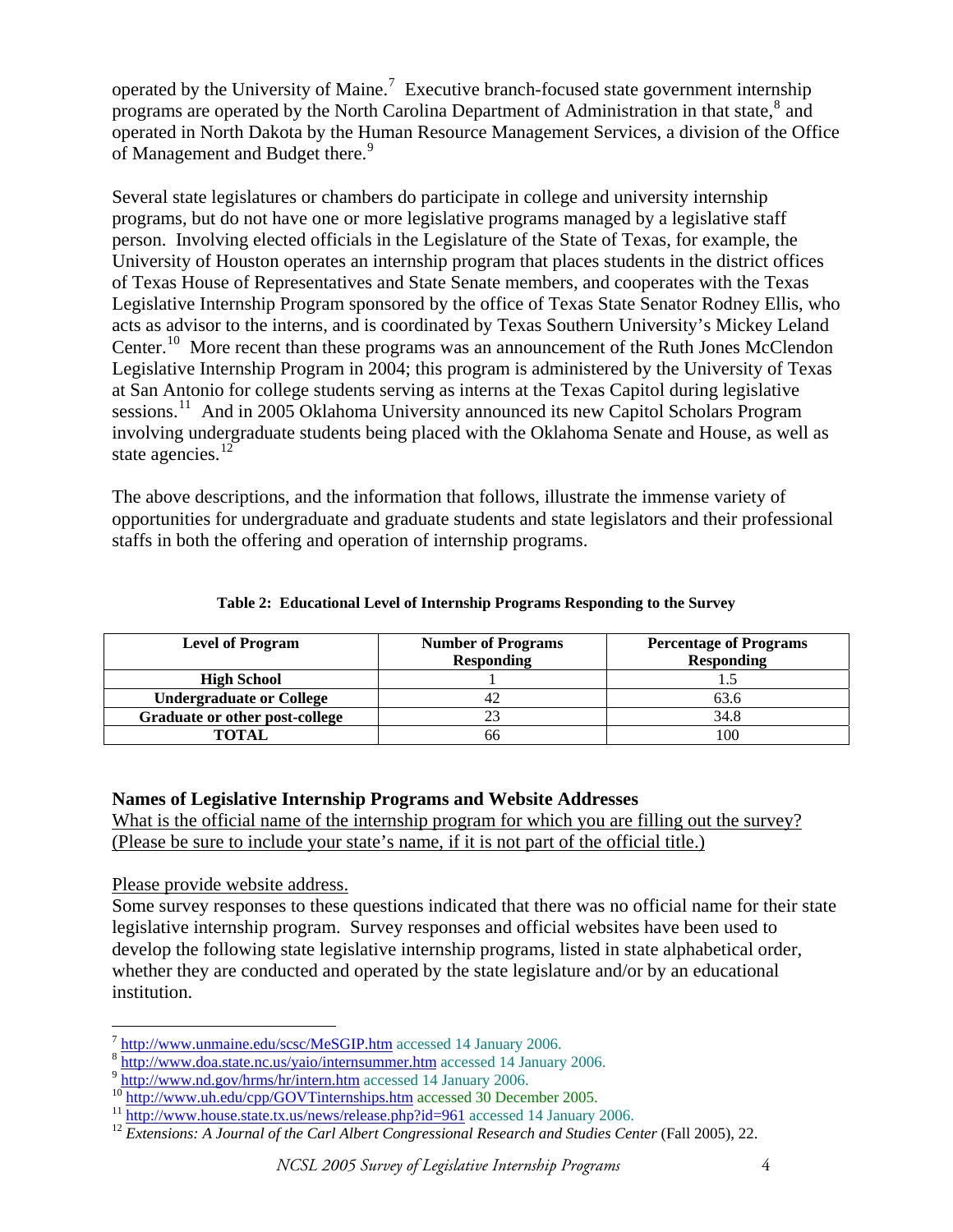operated by the University of Maine.<sup>[7](#page-3-0)</sup> Executive branch-focused state government internship programs are operated by the North Carolina Department of Administration in that state,<sup>[8](#page-3-1)</sup> and operated in North Dakota by the Human Resource Management Services, a division of the Office of Management and Budget there.<sup>[9](#page-3-2)</sup>

Several state legislatures or chambers do participate in college and university internship programs, but do not have one or more legislative programs managed by a legislative staff person. Involving elected officials in the Legislature of the State of Texas, for example, the University of Houston operates an internship program that places students in the district offices of Texas House of Representatives and State Senate members, and cooperates with the Texas Legislative Internship Program sponsored by the office of Texas State Senator Rodney Ellis, who acts as advisor to the interns, and is coordinated by Texas Southern University's Mickey Leland Center.<sup>[10](#page-3-3)</sup> More recent than these programs was an announcement of the Ruth Jones McClendon Legislative Internship Program in 2004; this program is administered by the University of Texas at San Antonio for college students serving as interns at the Texas Capitol during legislative sessions.<sup>[11](#page-3-4)</sup> And in 2005 Oklahoma University announced its new Capitol Scholars Program involving undergraduate students being placed with the Oklahoma Senate and House, as well as state agencies. $^{12}$  $^{12}$  $^{12}$ 

The above descriptions, and the information that follows, illustrate the immense variety of opportunities for undergraduate and graduate students and state legislators and their professional staffs in both the offering and operation of internship programs.

| <b>Level of Program</b>         | <b>Number of Programs</b> | <b>Percentage of Programs</b> |
|---------------------------------|---------------------------|-------------------------------|
|                                 | <b>Responding</b>         | <b>Responding</b>             |
| <b>High School</b>              |                           |                               |
| <b>Undergraduate or College</b> | 42                        | 63.6                          |
| Graduate or other post-college  | າາ                        | 34.8                          |
| <b>TOTAL</b>                    | 66                        | 100                           |

#### **Table 2: Educational Level of Internship Programs Responding to the Survey**

#### **Names of Legislative Internship Programs and Website Addresses**

What is the official name of the internship program for which you are filling out the survey? (Please be sure to include your state's name, if it is not part of the official title.)

Please provide website address.

Some survey responses to these questions indicated that there was no official name for their state legislative internship program. Survey responses and official websites have been used to develop the following state legislative internship programs, listed in state alphabetical order, whether they are conducted and operated by the state legislature and/or by an educational institution.

<span id="page-3-0"></span> $7$  http://www.unmaine.edu/scsc/MeSGIP.htm accessed 14 January 2006.

<span id="page-3-2"></span>

<span id="page-3-3"></span>

<span id="page-3-5"></span><span id="page-3-4"></span>

<span id="page-3-1"></span><sup>&</sup>lt;sup>8</sup> http://www.doa.state.nc.us/yaio/internsummer.htm accessed 14 January 2[0](http://www.nd.gov/hrms/hr/intern.htm)06.<br>
<sup>9</sup> http://www.nd.gov/hrms/hr/intern.htm accessed 14 January 2006.<br>
<sup>10</sup> <http://www.uh.edu/cpp/GOVTinternships.htm>accessed 30 December 2005.<br>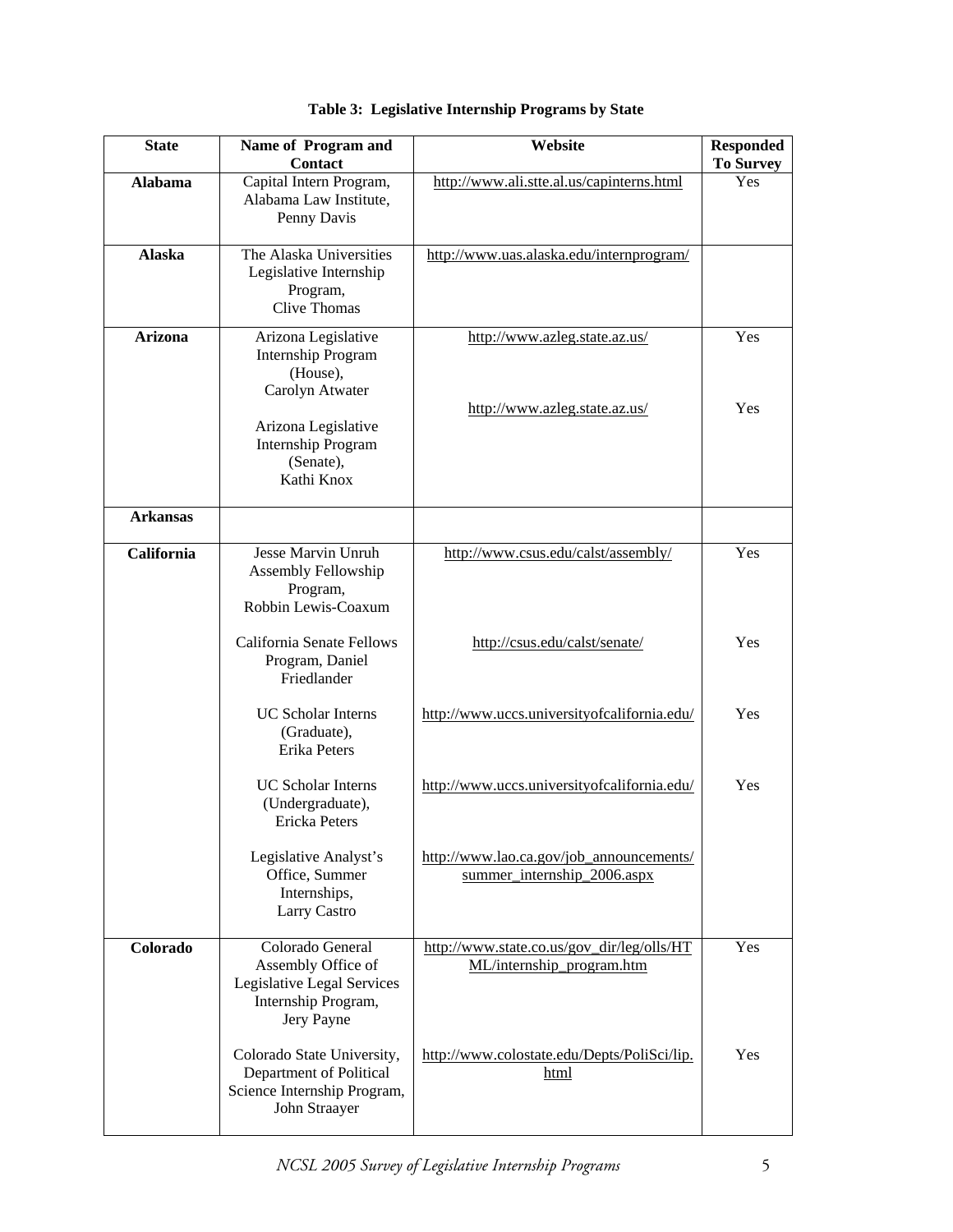| <b>State</b>                                                                                                          | Name of Program and<br><b>Contact</b>                                                                                                             | Website                                                                 | <b>Responded</b><br><b>To Survey</b> |
|-----------------------------------------------------------------------------------------------------------------------|---------------------------------------------------------------------------------------------------------------------------------------------------|-------------------------------------------------------------------------|--------------------------------------|
| <b>Alabama</b>                                                                                                        | Capital Intern Program,<br>Alabama Law Institute,<br>Penny Davis                                                                                  | http://www.ali.stte.al.us/capinterns.html                               | Yes                                  |
| <b>Alaska</b>                                                                                                         | The Alaska Universities<br>Legislative Internship<br>Program,<br><b>Clive Thomas</b>                                                              | http://www.uas.alaska.edu/internprogram/                                |                                      |
| <b>Arizona</b>                                                                                                        | Arizona Legislative<br>http://www.azleg.state.az.us/<br><b>Internship Program</b><br>(House),<br>Carolyn Atwater<br>http://www.azleg.state.az.us/ |                                                                         | Yes<br>Yes                           |
|                                                                                                                       | Arizona Legislative<br><b>Internship Program</b><br>(Senate),<br>Kathi Knox                                                                       |                                                                         |                                      |
| <b>Arkansas</b>                                                                                                       |                                                                                                                                                   |                                                                         |                                      |
| <b>California</b>                                                                                                     | Jesse Marvin Unruh<br>Assembly Fellowship<br>Program,<br>Robbin Lewis-Coaxum                                                                      | http://www.csus.edu/calst/assembly/                                     | Yes                                  |
|                                                                                                                       | California Senate Fellows<br>Program, Daniel<br>Friedlander                                                                                       | http://csus.edu/calst/senate/                                           | Yes                                  |
|                                                                                                                       | <b>UC Scholar Interns</b><br>(Graduate),<br>Erika Peters                                                                                          | http://www.uccs.universityofcalifornia.edu/                             | Yes                                  |
| <b>UC Scholar Interns</b><br>(Undergraduate),<br>Ericka Peters                                                        |                                                                                                                                                   | http://www.uccs.universityofcalifornia.edu/                             | Yes                                  |
|                                                                                                                       | Legislative Analyst's<br>Office, Summer<br>Internships,<br>Larry Castro                                                                           | http://www.lao.ca.gov/job_announcements/<br>summer_internship_2006.aspx |                                      |
| Colorado<br>Colorado General<br>Assembly Office of<br>Legislative Legal Services<br>Internship Program,<br>Jery Payne |                                                                                                                                                   | http://www.state.co.us/gov_dir/leg/olls/HT<br>ML/internship program.htm | Yes                                  |
|                                                                                                                       | Colorado State University,<br>Department of Political<br>Science Internship Program,<br>John Straayer                                             | http://www.colostate.edu/Depts/PoliSci/lip.<br>html                     | Yes                                  |

# **Table 3: Legislative Internship Programs by State**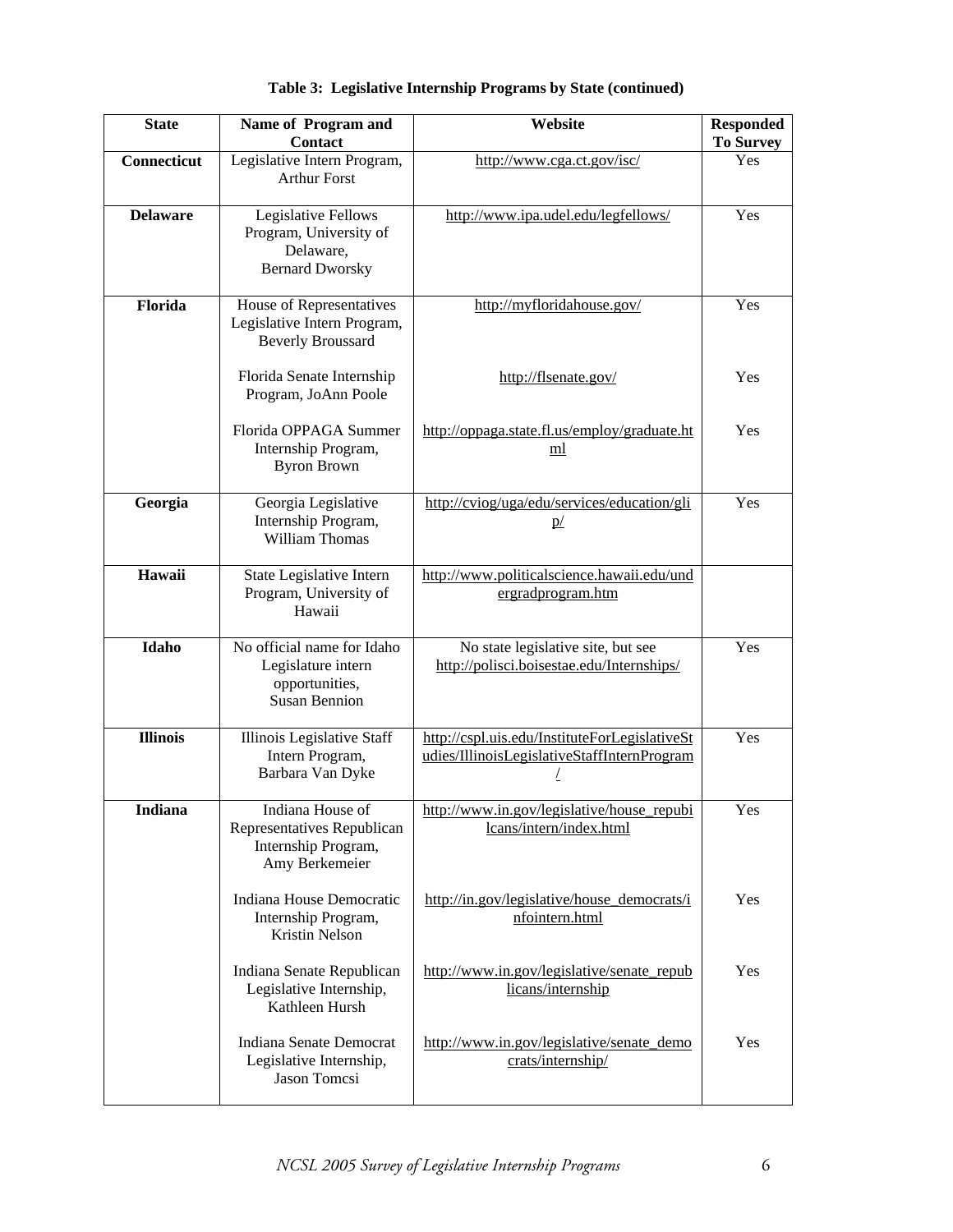| <b>State</b>                                                                                        | Name of Program and<br><b>Contact</b>                                                | Website                                                                                      | <b>Responded</b><br><b>To Survey</b> |
|-----------------------------------------------------------------------------------------------------|--------------------------------------------------------------------------------------|----------------------------------------------------------------------------------------------|--------------------------------------|
| Connecticut                                                                                         | Legislative Intern Program,<br><b>Arthur Forst</b>                                   | http://www.cga.ct.gov/isc/                                                                   | Yes                                  |
| <b>Delaware</b>                                                                                     | Legislative Fellows<br>Program, University of<br>Delaware,<br><b>Bernard Dworsky</b> | http://www.ipa.udel.edu/legfellows/                                                          | Yes                                  |
| Florida                                                                                             | House of Representatives<br>Legislative Intern Program,<br><b>Beverly Broussard</b>  | http://myfloridahouse.gov/                                                                   | Yes                                  |
|                                                                                                     | Florida Senate Internship<br>Program, JoAnn Poole                                    | http://flsenate.gov/                                                                         | Yes                                  |
|                                                                                                     | Florida OPPAGA Summer<br>Internship Program,<br><b>Byron Brown</b>                   | http://oppaga.state.fl.us/employ/graduate.ht<br>ml                                           | Yes                                  |
| Georgia                                                                                             | Georgia Legislative<br>Internship Program,<br><b>William Thomas</b>                  | http://cviog/uga/edu/services/education/gli<br>p/                                            | Yes                                  |
| Hawaii                                                                                              | State Legislative Intern<br>Program, University of<br>Hawaii                         | http://www.politicalscience.hawaii.edu/und<br>ergradprogram.htm                              |                                      |
| Idaho<br>No official name for Idaho<br>Legislature intern<br>opportunities,<br><b>Susan Bennion</b> |                                                                                      | No state legislative site, but see<br>http://polisci.boisestae.edu/Internships/              | Yes                                  |
| <b>Illinois</b>                                                                                     | Illinois Legislative Staff<br>Intern Program,<br>Barbara Van Dyke                    | http://cspl.uis.edu/InstituteForLegislativeSt<br>udies/IllinoisLegislativeStaffInternProgram | Yes                                  |
| Indiana House of<br>Indiana<br>Representatives Republican<br>Internship Program,<br>Amy Berkemeier  |                                                                                      | http://www.in.gov/legislative/house_repubi<br>lcans/intern/index.html                        | Yes                                  |
| Indiana House Democratic<br>Internship Program,<br>Kristin Nelson                                   |                                                                                      | http://in.gov/legislative/house democrats/i<br>nfointern.html                                | Yes                                  |
| Indiana Senate Republican<br>Legislative Internship,<br>Kathleen Hursh                              |                                                                                      | http://www.in.gov/legislative/senate_repub<br>licans/internship                              | Yes                                  |
|                                                                                                     | Indiana Senate Democrat<br>Legislative Internship,<br><b>Jason Tomcsi</b>            | http://www.in.gov/legislative/senate_demo<br>crats/internship/                               | Yes                                  |

**Table 3: Legislative Internship Programs by State (continued)**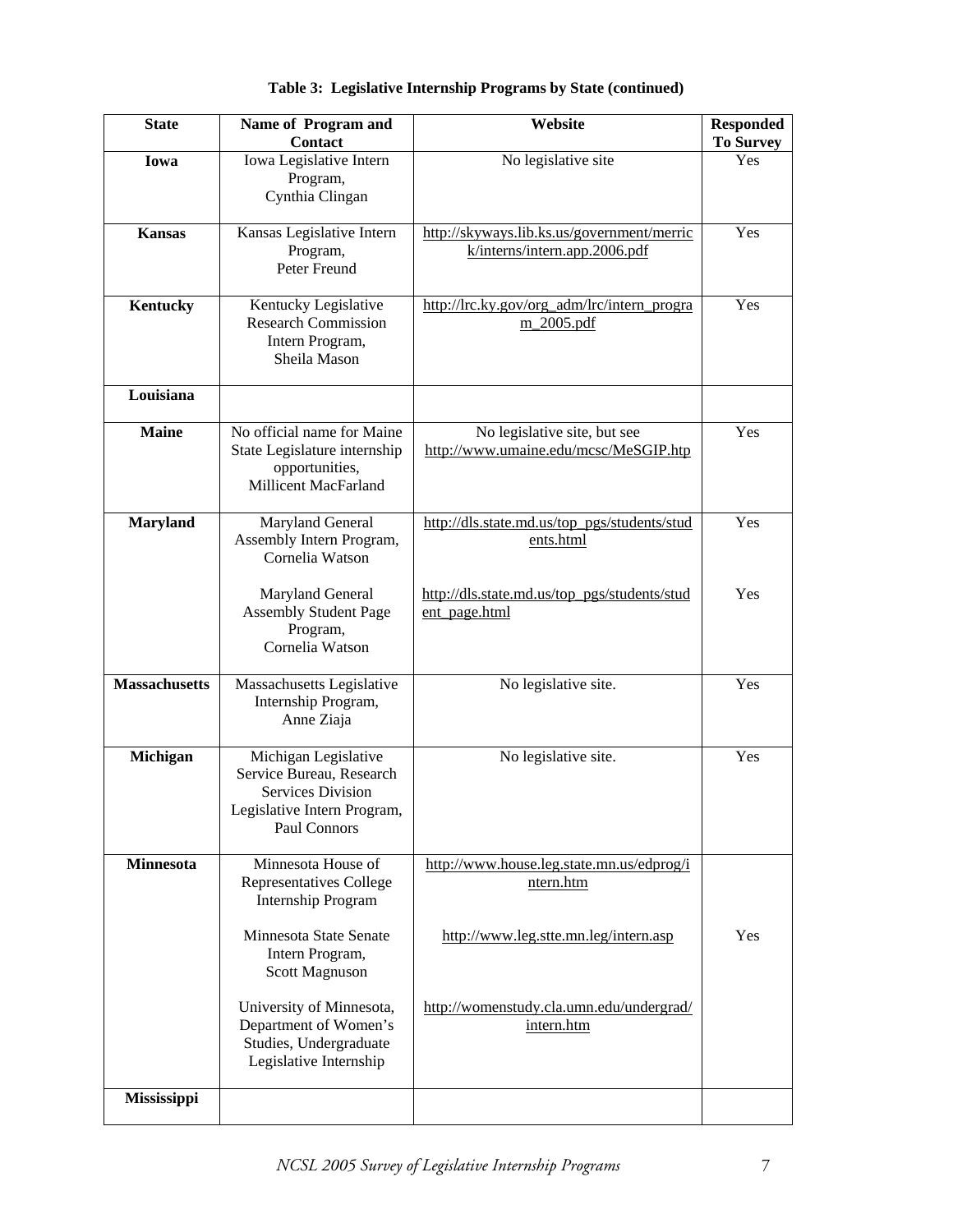| <b>State</b><br>Name of Program and<br><b>Contact</b>                                                                                   |                                                                                                             | Website                                                                     | <b>Responded</b><br><b>To Survey</b> |
|-----------------------------------------------------------------------------------------------------------------------------------------|-------------------------------------------------------------------------------------------------------------|-----------------------------------------------------------------------------|--------------------------------------|
| Iowa                                                                                                                                    | Iowa Legislative Intern<br>Program,<br>Cynthia Clingan                                                      | No legislative site                                                         | Yes                                  |
| $\overline{\mathbf{K}}$ ansas                                                                                                           | Kansas Legislative Intern<br>Program,<br>Peter Freund                                                       | http://skyways.lib.ks.us/government/merric<br>k/interns/intern.app.2006.pdf | Yes                                  |
| Kentucky                                                                                                                                | Kentucky Legislative<br><b>Research Commission</b><br>Intern Program,<br>Sheila Mason                       | http://lrc.ky.gov/org_adm/lrc/intern_progra<br>m 2005.pdf                   | Yes                                  |
| Louisiana                                                                                                                               |                                                                                                             |                                                                             |                                      |
| <b>Maine</b>                                                                                                                            | No official name for Maine<br>State Legislature internship<br>opportunities,<br><b>Millicent MacFarland</b> | No legislative site, but see<br>http://www.umaine.edu/mcsc/MeSGIP.htp       | Yes                                  |
| <b>Maryland</b>                                                                                                                         | Maryland General<br>Assembly Intern Program,<br>Cornelia Watson                                             | http://dls.state.md.us/top_pgs/students/stud<br>ents.html                   | Yes                                  |
|                                                                                                                                         | Maryland General<br><b>Assembly Student Page</b><br>Program,<br>Cornelia Watson                             | http://dls.state.md.us/top_pgs/students/stud<br>ent_page.html               | Yes                                  |
| <b>Massachusetts</b><br>Massachusetts Legislative<br>Internship Program,<br>Anne Ziaja                                                  |                                                                                                             | No legislative site.                                                        | Yes                                  |
| Michigan Legislative<br>Michigan<br>Service Bureau, Research<br><b>Services Division</b><br>Legislative Intern Program,<br>Paul Connors |                                                                                                             | No legislative site.                                                        | Yes                                  |
| <b>Minnesota</b>                                                                                                                        | Minnesota House of<br>Representatives College<br><b>Internship Program</b>                                  | http://www.house.leg.state.mn.us/edprog/i<br>ntern.htm                      |                                      |
|                                                                                                                                         | Minnesota State Senate<br>Intern Program,<br>Scott Magnuson                                                 | http://www.leg.stte.mn.leg/intern.asp                                       | Yes                                  |
|                                                                                                                                         | University of Minnesota,<br>Department of Women's<br>Studies, Undergraduate<br>Legislative Internship       | http://womenstudy.cla.umn.edu/undergrad/<br>intern.htm                      |                                      |
| Mississippi                                                                                                                             |                                                                                                             |                                                                             |                                      |

**Table 3: Legislative Internship Programs by State (continued)**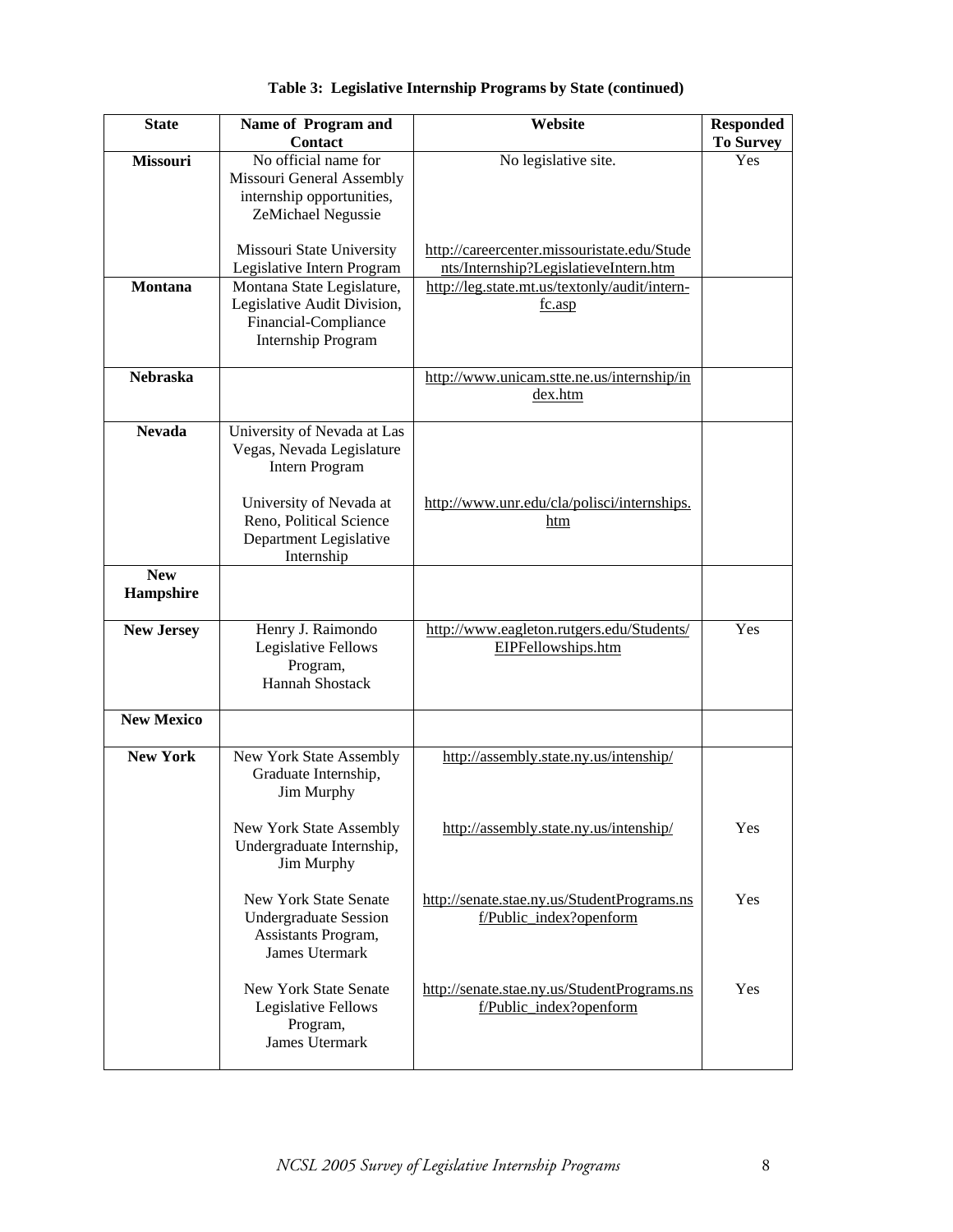| <b>State</b>            | Name of Program and<br><b>Contact</b>                                                                          | Website                                                                              | <b>Responded</b><br><b>To Survey</b> |
|-------------------------|----------------------------------------------------------------------------------------------------------------|--------------------------------------------------------------------------------------|--------------------------------------|
| <b>Missouri</b>         | No official name for<br>Missouri General Assembly<br>internship opportunities,<br>ZeMichael Negussie           | No legislative site.                                                                 | Yes                                  |
|                         | Missouri State University<br>Legislative Intern Program                                                        | http://careercenter.missouristate.edu/Stude<br>nts/Internship?LegislatieveIntern.htm |                                      |
| <b>Montana</b>          | Montana State Legislature,<br>Legislative Audit Division,<br>Financial-Compliance<br><b>Internship Program</b> | http://leg.state.mt.us/textonly/audit/intern-<br>fc.asp                              |                                      |
| <b>Nebraska</b>         |                                                                                                                | http://www.unicam.stte.ne.us/internship/in<br>dex.htm                                |                                      |
| <b>Nevada</b>           | University of Nevada at Las<br>Vegas, Nevada Legislature<br><b>Intern Program</b>                              |                                                                                      |                                      |
|                         | University of Nevada at<br>Reno, Political Science<br>Department Legislative<br>Internship                     | http://www.unr.edu/cla/polisci/internships.<br>htm                                   |                                      |
| <b>New</b><br>Hampshire |                                                                                                                |                                                                                      |                                      |
| <b>New Jersey</b>       | Henry J. Raimondo<br>Legislative Fellows<br>Program,<br><b>Hannah Shostack</b>                                 | http://www.eagleton.rutgers.edu/Students/<br>EIPFellowships.htm                      | Yes                                  |
| <b>New Mexico</b>       |                                                                                                                |                                                                                      |                                      |
| <b>New York</b>         | New York State Assembly<br>Graduate Internship,<br>Jim Murphy                                                  | http://assembly.state.ny.us/intenship/                                               |                                      |
|                         | New York State Assembly<br>Undergraduate Internship,<br>Jim Murphy                                             | http://assembly.state.ny.us/intenship/                                               | Yes                                  |
|                         | <b>New York State Senate</b><br><b>Undergraduate Session</b><br>Assistants Program,<br><b>James Utermark</b>   | http://senate.stae.ny.us/StudentPrograms.ns<br>f/Public_index?openform               | Yes                                  |
|                         | New York State Senate<br>Legislative Fellows<br>Program,<br><b>James Utermark</b>                              | http://senate.stae.ny.us/StudentPrograms.ns<br>f/Public index?openform               | Yes                                  |

**Table 3: Legislative Internship Programs by State (continued)**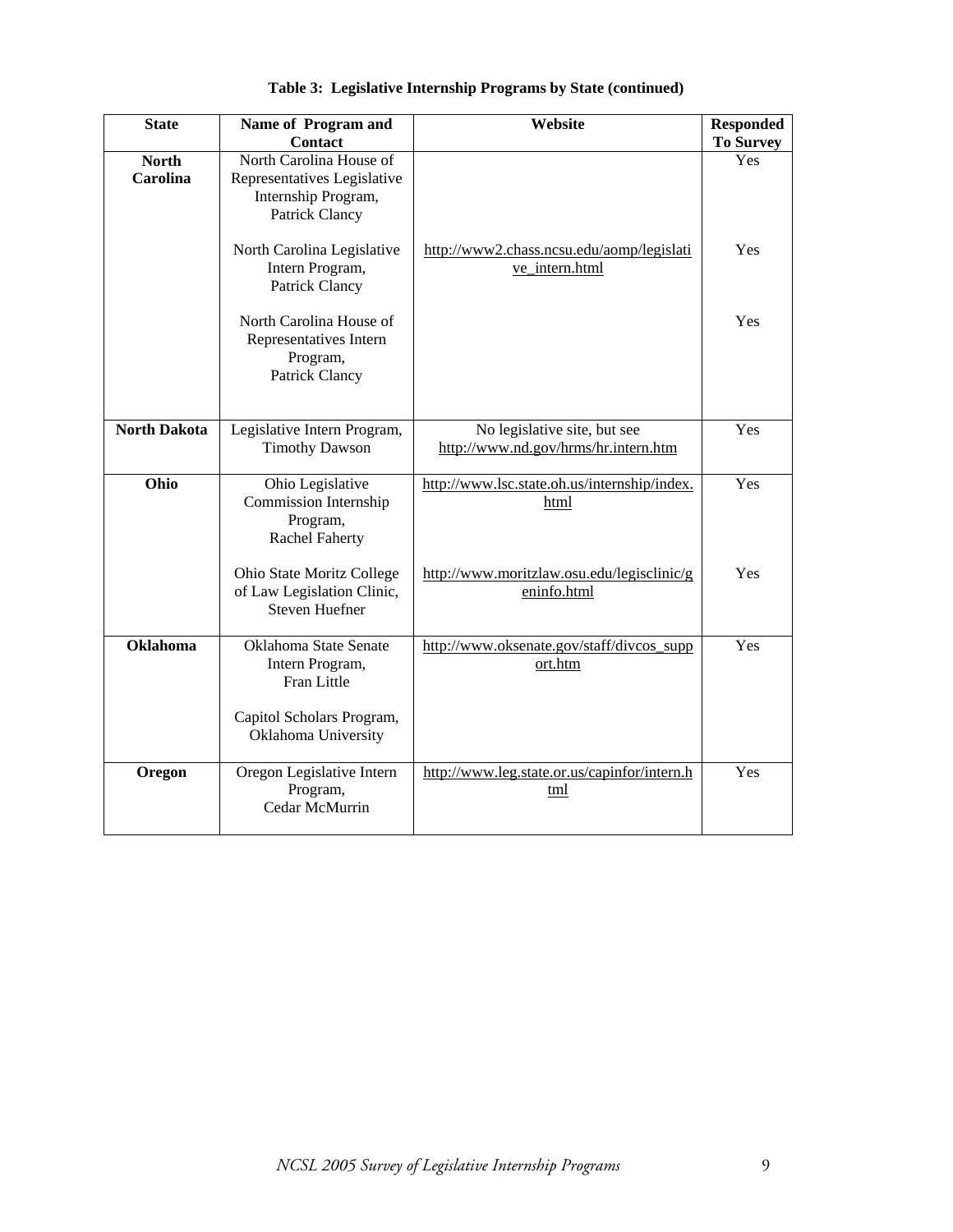| <b>State</b>                                                                                                                                                     | Name of Program and<br><b>Contact</b>                                            | Website                                                              | <b>Responded</b><br><b>To Survey</b> |
|------------------------------------------------------------------------------------------------------------------------------------------------------------------|----------------------------------------------------------------------------------|----------------------------------------------------------------------|--------------------------------------|
| <b>North</b><br>North Carolina House of<br><b>Carolina</b><br>Representatives Legislative<br>Internship Program,<br>Patrick Clancy<br>North Carolina Legislative |                                                                                  | http://www2.chass.ncsu.edu/aomp/legislati                            | Yes<br>Yes                           |
|                                                                                                                                                                  | Intern Program,<br>Patrick Clancy                                                | ve_intern.html                                                       |                                      |
|                                                                                                                                                                  | North Carolina House of<br>Representatives Intern<br>Program,<br>Patrick Clancy  |                                                                      | Yes                                  |
| <b>North Dakota</b>                                                                                                                                              | Legislative Intern Program,<br><b>Timothy Dawson</b>                             | No legislative site, but see<br>http://www.nd.gov/hrms/hr.intern.htm | Yes                                  |
| Ohio                                                                                                                                                             | Ohio Legislative<br>Commission Internship<br>Program,<br><b>Rachel Faherty</b>   | http://www.lsc.state.oh.us/internship/index.<br>html                 | Yes                                  |
|                                                                                                                                                                  | Ohio State Moritz College<br>of Law Legislation Clinic,<br><b>Steven Huefner</b> | http://www.moritzlaw.osu.edu/legisclinic/g<br>eninfo.html            | Yes                                  |
| <b>Oklahoma</b>                                                                                                                                                  | Oklahoma State Senate<br>Intern Program,<br>Fran Little                          | http://www.oksenate.gov/staff/divcos_supp<br>ort.htm                 | Yes                                  |
|                                                                                                                                                                  | Capitol Scholars Program,<br>Oklahoma University                                 |                                                                      |                                      |
| Oregon                                                                                                                                                           | Oregon Legislative Intern<br>Program,<br>Cedar McMurrin                          | http://www.leg.state.or.us/capinfor/intern.h<br>tml                  | Yes                                  |

**Table 3: Legislative Internship Programs by State (continued)**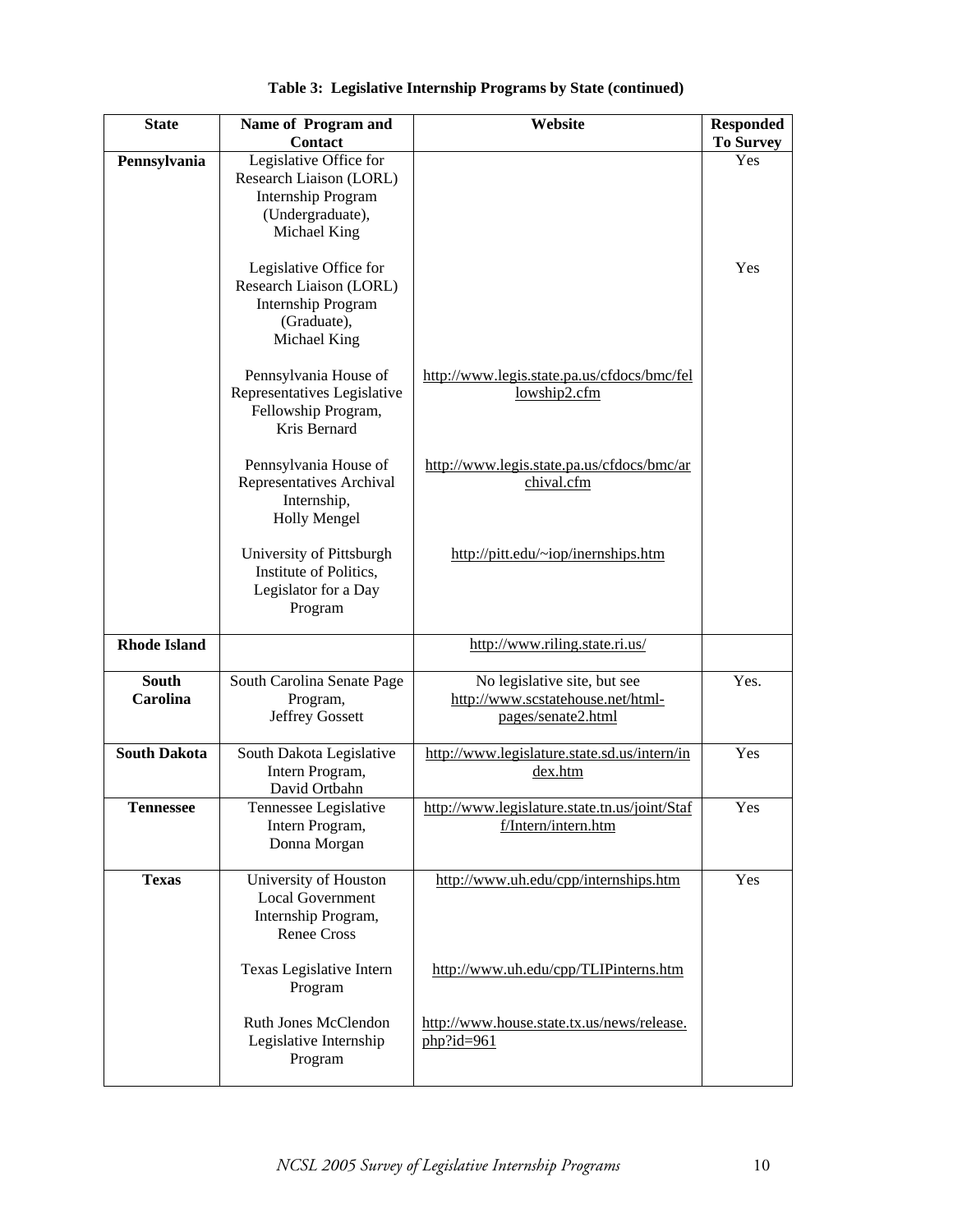| <b>State</b>             | Name of Program and<br>Contact                                                                                | Website                                                                                 | <b>Responded</b><br><b>To Survey</b> |
|--------------------------|---------------------------------------------------------------------------------------------------------------|-----------------------------------------------------------------------------------------|--------------------------------------|
| Pennsylvania             | Legislative Office for<br>Research Liaison (LORL)<br>Internship Program<br>(Undergraduate),<br>Michael King   |                                                                                         | Yes                                  |
|                          | Legislative Office for<br>Research Liaison (LORL)<br><b>Internship Program</b><br>(Graduate),<br>Michael King |                                                                                         | Yes                                  |
|                          | Pennsylvania House of<br>Representatives Legislative<br>Fellowship Program,<br>Kris Bernard                   | http://www.legis.state.pa.us/cfdocs/bmc/fel<br>lowship2.cfm                             |                                      |
|                          | Pennsylvania House of<br>Representatives Archival<br>Internship,<br>Holly Mengel                              | http://www.legis.state.pa.us/cfdocs/bmc/ar<br>chival.cfm                                |                                      |
|                          | University of Pittsburgh<br>Institute of Politics,<br>Legislator for a Day<br>Program                         | http://pitt.edu/~iop/inernships.htm                                                     |                                      |
| <b>Rhode Island</b>      |                                                                                                               | http://www.riling.state.ri.us/                                                          |                                      |
| <b>South</b><br>Carolina | South Carolina Senate Page<br>Program,<br><b>Jeffrey Gossett</b>                                              | No legislative site, but see<br>http://www.scstatehouse.net/html-<br>pages/senate2.html | Yes.                                 |
| <b>South Dakota</b>      | South Dakota Legislative<br>Intern Program,<br>David Ortbahn                                                  | http://www.legislature.state.sd.us/intern/in<br>dex.htm                                 | Yes                                  |
| <b>Tennessee</b>         | Tennessee Legislative<br>Intern Program,<br>Donna Morgan                                                      | http://www.legislature.state.tn.us/joint/Staf<br>f/Intern/intern.htm                    | Yes                                  |
| <b>Texas</b>             | University of Houston<br><b>Local Government</b><br>Internship Program,<br><b>Renee Cross</b>                 | http://www.uh.edu/cpp/internships.htm                                                   | Yes                                  |
|                          | Texas Legislative Intern<br>Program                                                                           | http://www.uh.edu/cpp/TLIPinterns.htm                                                   |                                      |
|                          | Ruth Jones McClendon<br>Legislative Internship<br>Program                                                     | http://www.house.state.tx.us/news/release.<br>$php$ ?id=961                             |                                      |

**Table 3: Legislative Internship Programs by State (continued)**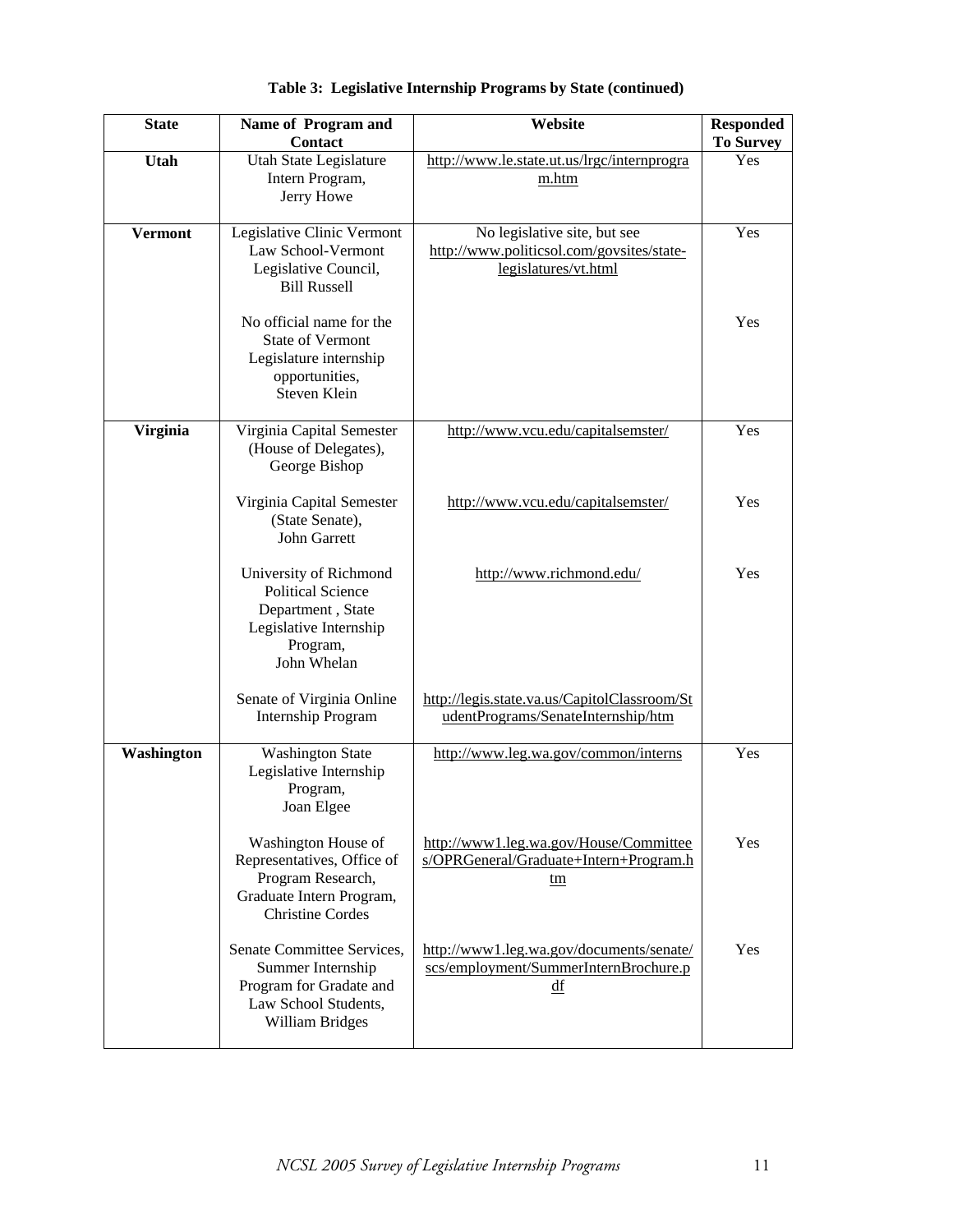| <b>State</b>    | Name of Program and<br><b>Contact</b>                                                                                         | Website                                                                                           | <b>Responded</b><br><b>To Survey</b> |
|-----------------|-------------------------------------------------------------------------------------------------------------------------------|---------------------------------------------------------------------------------------------------|--------------------------------------|
| Utah            | Utah State Legislature<br>Intern Program,<br>Jerry Howe                                                                       | http://www.le.state.ut.us/lrgc/internprogra<br>m.htm                                              | Yes                                  |
| <b>Vermont</b>  | Legislative Clinic Vermont<br>Law School-Vermont<br>Legislative Council,<br><b>Bill Russell</b>                               | No legislative site, but see<br>http://www.politicsol.com/govsites/state-<br>legislatures/vt.html | Yes                                  |
|                 | No official name for the<br><b>State of Vermont</b><br>Legislature internship<br>opportunities,<br>Steven Klein               |                                                                                                   | Yes                                  |
| <b>Virginia</b> | Virginia Capital Semester<br>(House of Delegates),<br>George Bishop                                                           | http://www.vcu.edu/capitalsemster/                                                                | Yes                                  |
|                 | Virginia Capital Semester<br>(State Senate),<br><b>John Garrett</b>                                                           | http://www.vcu.edu/capitalsemster/                                                                | Yes                                  |
|                 | University of Richmond<br><b>Political Science</b><br>Department, State<br>Legislative Internship<br>Program,<br>John Whelan  | http://www.richmond.edu/                                                                          | Yes                                  |
|                 | Senate of Virginia Online<br>Internship Program                                                                               | http://legis.state.va.us/CapitolClassroom/St<br>udentPrograms/SenateInternship/htm                |                                      |
| Washington      | <b>Washington State</b><br>Legislative Internship<br>Program,<br>Joan Elgee                                                   | http://www.leg.wa.gov/common/interns                                                              | Yes                                  |
|                 | Washington House of<br>Representatives, Office of<br>Program Research,<br>Graduate Intern Program,<br><b>Christine Cordes</b> | http://www1.leg.wa.gov/House/Committee<br>s/OPRGeneral/Graduate+Intern+Program.h<br>tm            | Yes                                  |
|                 | Senate Committee Services,<br>Summer Internship<br>Program for Gradate and<br>Law School Students,<br><b>William Bridges</b>  | http://www1.leg.wa.gov/documents/senate/<br>scs/employment/SummerInternBrochure.p<br>df           | Yes                                  |

**Table 3: Legislative Internship Programs by State (continued)**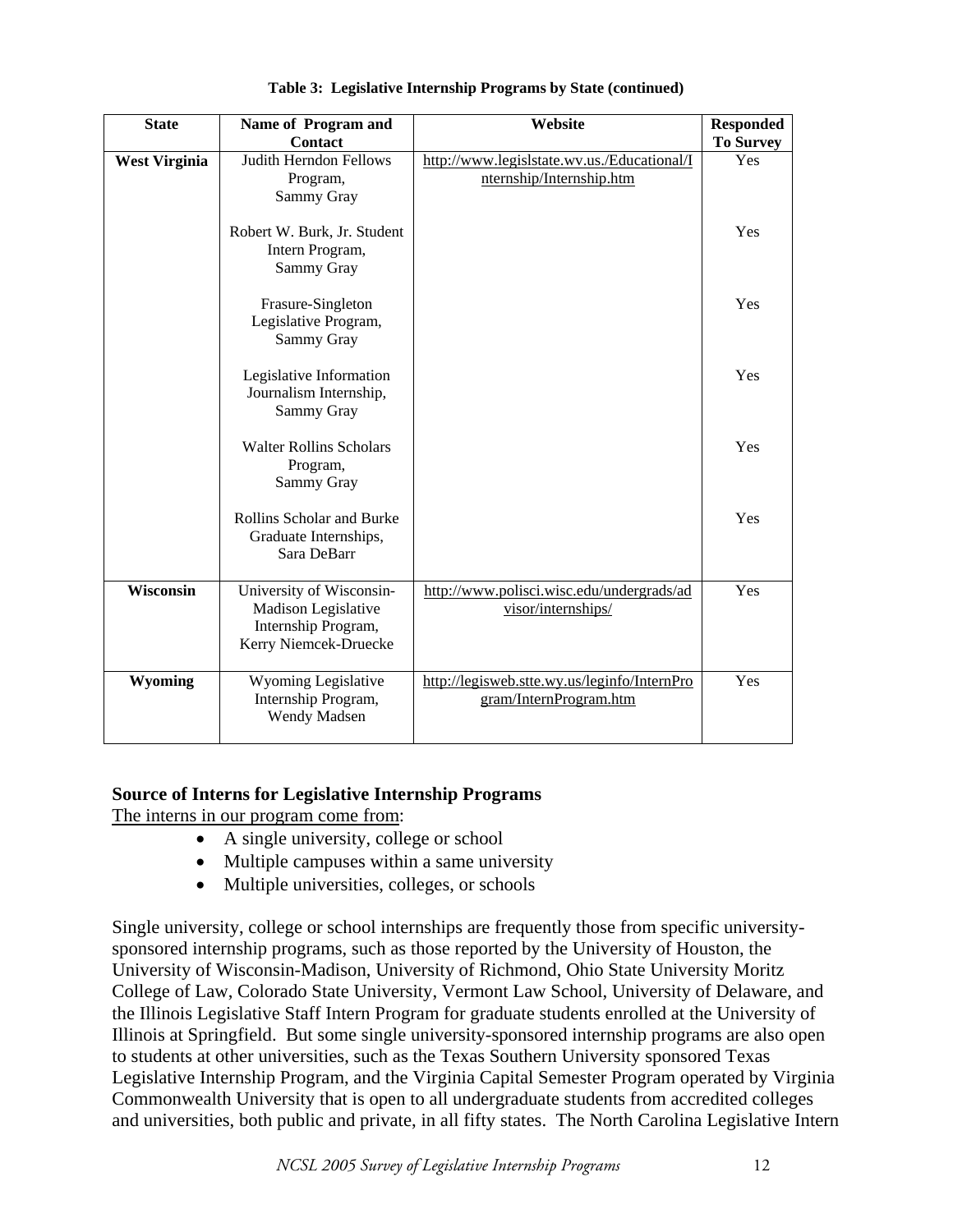| <b>State</b>         | Name of Program and<br>Contact                                                                  | Website                                                                 | <b>Responded</b><br><b>To Survey</b> |
|----------------------|-------------------------------------------------------------------------------------------------|-------------------------------------------------------------------------|--------------------------------------|
| <b>West Virginia</b> | <b>Judith Herndon Fellows</b><br>Program,<br>Sammy Gray                                         | http://www.legislstate.wv.us./Educational/I<br>nternship/Internship.htm | Yes                                  |
|                      | Robert W. Burk, Jr. Student<br>Intern Program,<br>Sammy Gray                                    |                                                                         | Yes                                  |
|                      | Frasure-Singleton<br>Legislative Program,<br>Sammy Gray                                         |                                                                         | Yes                                  |
|                      | Legislative Information<br>Journalism Internship,<br>Sammy Gray                                 |                                                                         | Yes                                  |
|                      | <b>Walter Rollins Scholars</b><br>Program,<br>Sammy Gray                                        |                                                                         | Yes                                  |
|                      | Rollins Scholar and Burke<br>Graduate Internships,<br>Sara DeBarr                               |                                                                         | Yes                                  |
| <b>Wisconsin</b>     | University of Wisconsin-<br>Madison Legislative<br>Internship Program,<br>Kerry Niemcek-Druecke | http://www.polisci.wisc.edu/undergrads/ad<br>visor/internships/         | Yes                                  |
| Wyoming              | Wyoming Legislative<br>Internship Program,<br>Wendy Madsen                                      | http://legisweb.stte.wy.us/leginfo/InternPro<br>gram/InternProgram.htm  | Yes                                  |

#### **Table 3: Legislative Internship Programs by State (continued)**

# **Source of Interns for Legislative Internship Programs**

The interns in our program come from:

- A single university, college or school
- Multiple campuses within a same university
- Multiple universities, colleges, or schools

Single university, college or school internships are frequently those from specific universitysponsored internship programs, such as those reported by the University of Houston, the University of Wisconsin-Madison, University of Richmond, Ohio State University Moritz College of Law, Colorado State University, Vermont Law School, University of Delaware, and the Illinois Legislative Staff Intern Program for graduate students enrolled at the University of Illinois at Springfield. But some single university-sponsored internship programs are also open to students at other universities, such as the Texas Southern University sponsored Texas Legislative Internship Program, and the Virginia Capital Semester Program operated by Virginia Commonwealth University that is open to all undergraduate students from accredited colleges and universities, both public and private, in all fifty states. The North Carolina Legislative Intern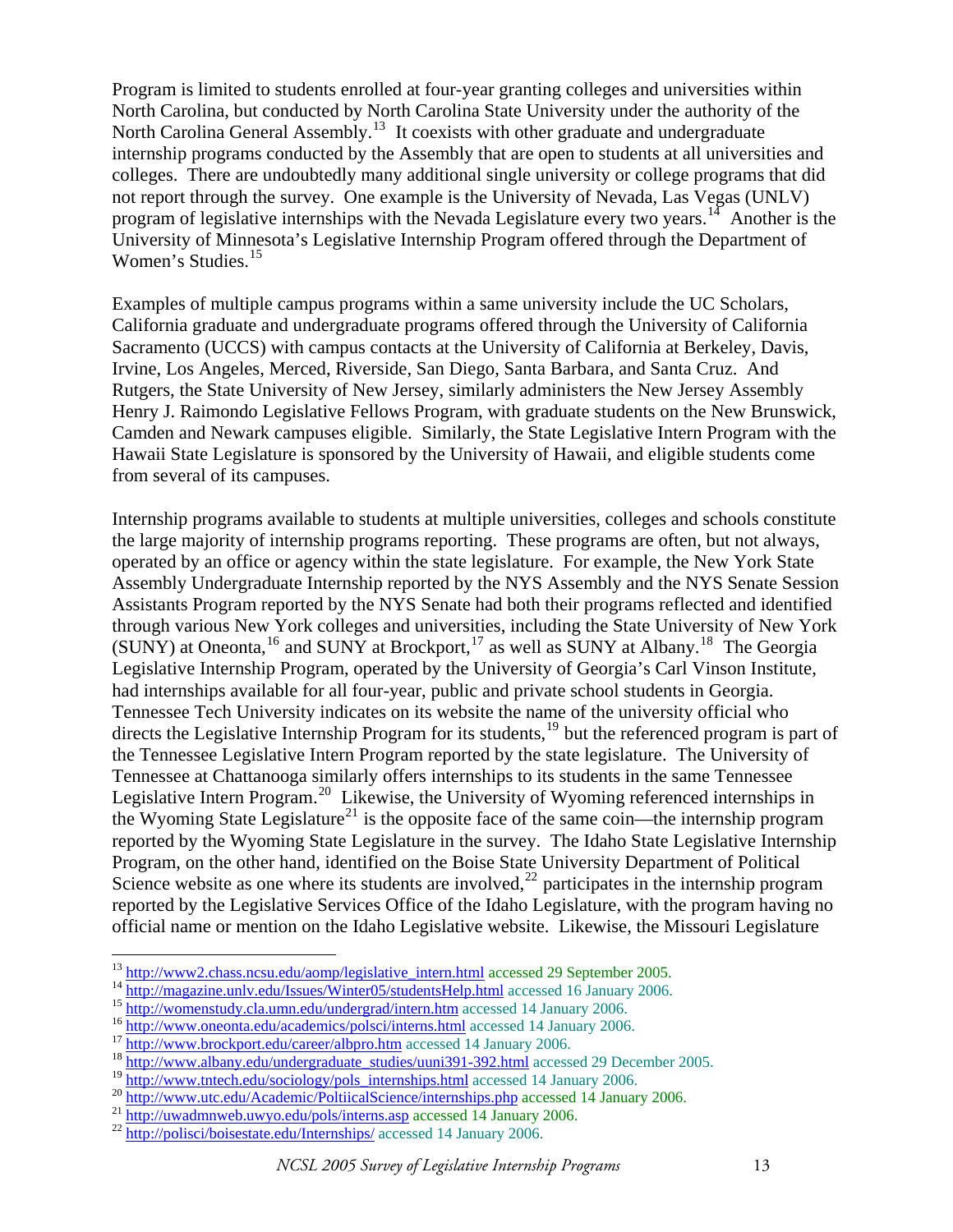Program is limited to students enrolled at four-year granting colleges and universities within North Carolina, but conducted by North Carolina State University under the authority of the North Carolina General Assembly.<sup>[13](#page-12-0)</sup> It coexists with other graduate and undergraduate internship programs conducted by the Assembly that are open to students at all universities and colleges. There are undoubtedly many additional single university or college programs that did not report through the survey. One example is the University of Nevada, Las Vegas (UNLV) program of legislative internships with the Nevada Legislature every two years.<sup>[14](#page-12-1)</sup> Another is the University of Minnesota's Legislative Internship Program offered through the Department of Women's Studies.<sup>[15](#page-12-2)</sup>

Examples of multiple campus programs within a same university include the UC Scholars, California graduate and undergraduate programs offered through the University of California Sacramento (UCCS) with campus contacts at the University of California at Berkeley, Davis, Irvine, Los Angeles, Merced, Riverside, San Diego, Santa Barbara, and Santa Cruz. And Rutgers, the State University of New Jersey, similarly administers the New Jersey Assembly Henry J. Raimondo Legislative Fellows Program, with graduate students on the New Brunswick, Camden and Newark campuses eligible. Similarly, the State Legislative Intern Program with the Hawaii State Legislature is sponsored by the University of Hawaii, and eligible students come from several of its campuses.

Internship programs available to students at multiple universities, colleges and schools constitute the large majority of internship programs reporting. These programs are often, but not always, operated by an office or agency within the state legislature. For example, the New York State Assembly Undergraduate Internship reported by the NYS Assembly and the NYS Senate Session Assistants Program reported by the NYS Senate had both their programs reflected and identified through various New York colleges and universities, including the State University of New York (SUNY) at Oneonta, <sup>[16](#page-12-3)</sup> and SUNY at Brockport, <sup>[17](#page-12-4)</sup> as well as SUNY at Albany.<sup>[18](#page-12-5)</sup> The Georgia Legislative Internship Program, operated by the University of Georgia's Carl Vinson Institute, had internships available for all four-year, public and private school students in Georgia. Tennessee Tech University indicates on its website the name of the university official who directs the Legislative Internship Program for its students,<sup>[19](#page-12-6)</sup> but the referenced program is part of the Tennessee Legislative Intern Program reported by the state legislature. The University of Tennessee at Chattanooga similarly offers internships to its students in the same Tennessee Legislative Intern Program.<sup>[20](#page-12-7)</sup> Likewise, the University of Wyoming referenced internships in the Wyoming State Legislature<sup>[21](#page-12-8)</sup> is the opposite face of the same coin—the internship program reported by the Wyoming State Legislature in the survey. The Idaho State Legislative Internship Program, on the other hand, identified on the Boise State University Department of Political Science website as one where its students are involved,<sup>[22](#page-12-9)</sup> participates in the internship program reported by the Legislative Services Office of the Idaho Legislature, with the program having no official name or mention on the Idaho Legislative website. Likewise, the Missouri Legislature

<span id="page-12-1"></span>

<span id="page-12-2"></span>

<span id="page-12-3"></span>

<span id="page-12-4"></span>

<span id="page-12-0"></span><sup>&</sup>lt;sup>13</sup><br> [http://www2.chass.ncsu.edu/aomp/legislative\\_intern.html](http://www2.chass.ncsu.edu/aomp/legislative_intern.html) accessed 29 September 2005.<br>
<sup>14</sup><br>
http://magazine.unlv.edu/Issues/Winter05/studentsHelp.html accessed 16 January 2006.<br>
<sup>15</sup><br>
http://www.oneonta.edu/academics

<span id="page-12-6"></span><span id="page-12-5"></span>

<span id="page-12-8"></span><span id="page-12-7"></span><sup>&</sup>lt;sup>20</sup> http://www.utc.edu/Academic/PoltiicalScience/internships.php accessed 14 January 2006.<br><sup>21</sup> http://uwadmnweb.uwyo.edu/pols/interns.asp accessed 14 January 2006.<br><sup>22</sup> <http://polisci/boisestate.edu/Internships/> accessed

<span id="page-12-9"></span>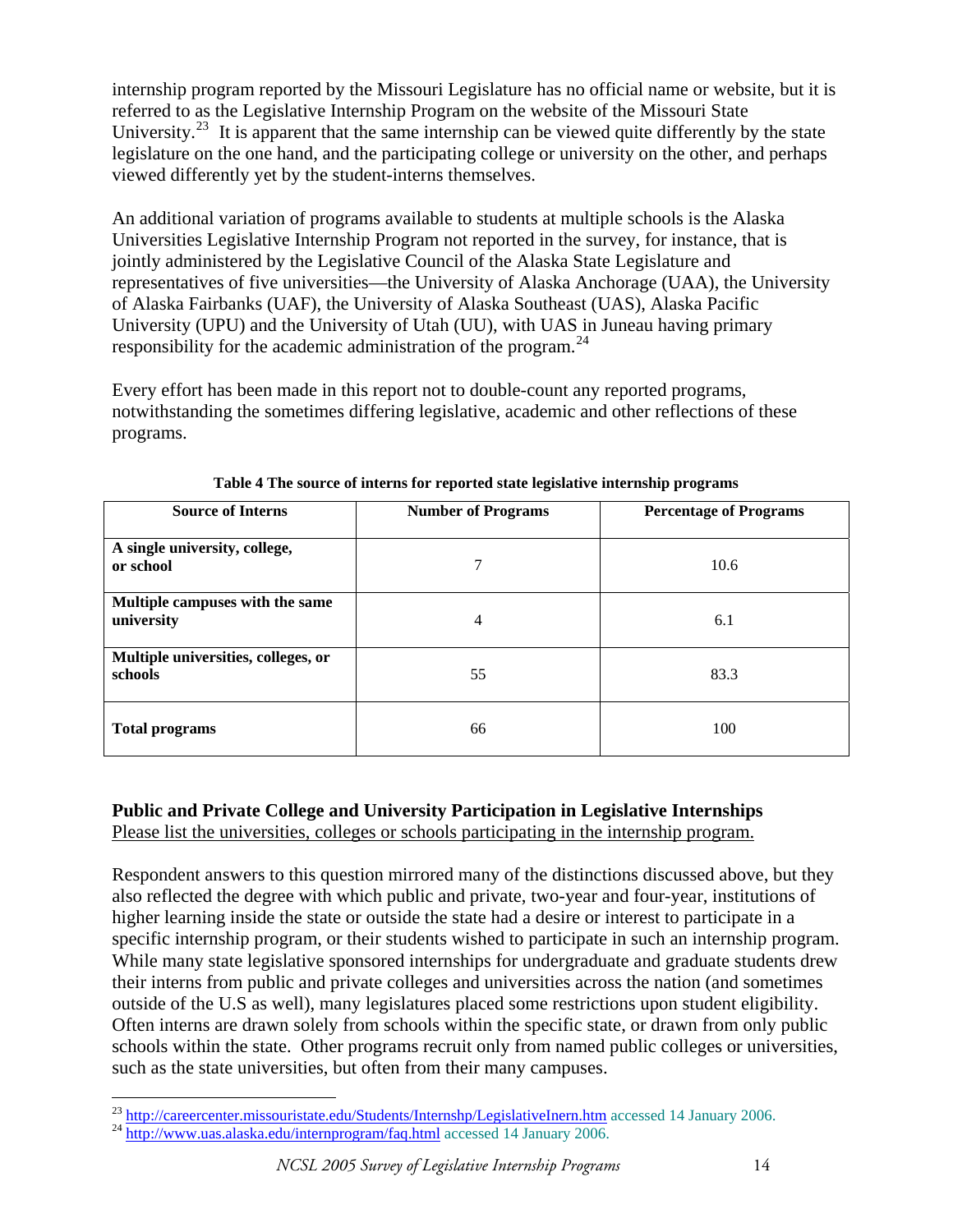internship program reported by the Missouri Legislature has no official name or website, but it is referred to as the Legislative Internship Program on the website of the Missouri State University.<sup>[23](#page-13-0)</sup> It is apparent that the same internship can be viewed quite differently by the state legislature on the one hand, and the participating college or university on the other, and perhaps viewed differently yet by the student-interns themselves.

An additional variation of programs available to students at multiple schools is the Alaska Universities Legislative Internship Program not reported in the survey, for instance, that is jointly administered by the Legislative Council of the Alaska State Legislature and representatives of five universities—the University of Alaska Anchorage (UAA), the University of Alaska Fairbanks (UAF), the University of Alaska Southeast (UAS), Alaska Pacific University (UPU) and the University of Utah (UU), with UAS in Juneau having primary responsibility for the academic administration of the program.<sup>[24](#page-13-1)</sup>

Every effort has been made in this report not to double-count any reported programs, notwithstanding the sometimes differing legislative, academic and other reflections of these programs.

| <b>Source of Interns</b>                       | <b>Number of Programs</b> | <b>Percentage of Programs</b> |
|------------------------------------------------|---------------------------|-------------------------------|
| A single university, college,<br>or school     | 7                         | 10.6                          |
| Multiple campuses with the same<br>university  | 4                         | 6.1                           |
| Multiple universities, colleges, or<br>schools | 55                        | 83.3                          |
| <b>Total programs</b>                          | 66                        | 100                           |

**Table 4 The source of interns for reported state legislative internship programs** 

# **Public and Private College and University Participation in Legislative Internships**  Please list the universities, colleges or schools participating in the internship program.

Respondent answers to this question mirrored many of the distinctions discussed above, but they also reflected the degree with which public and private, two-year and four-year, institutions of higher learning inside the state or outside the state had a desire or interest to participate in a specific internship program, or their students wished to participate in such an internship program. While many state legislative sponsored internships for undergraduate and graduate students drew their interns from public and private colleges and universities across the nation (and sometimes outside of the U.S as well), many legislatures placed some restrictions upon student eligibility. Often interns are drawn solely from schools within the specific state, or drawn from only public schools within the state. Other programs recruit only from named public colleges or universities, such as the state universities, but often from their many campuses.

<span id="page-13-0"></span> $\overline{a}$ <sup>23</sup> http://careercenter.missouristate.edu/Students/Internshp/LegislativeInern.htm accessed 14 January 2006.<br><sup>24</sup> <http://www.uas.alaska.edu/internprogram/faq.html> accessed 14 January 2006.

<span id="page-13-1"></span>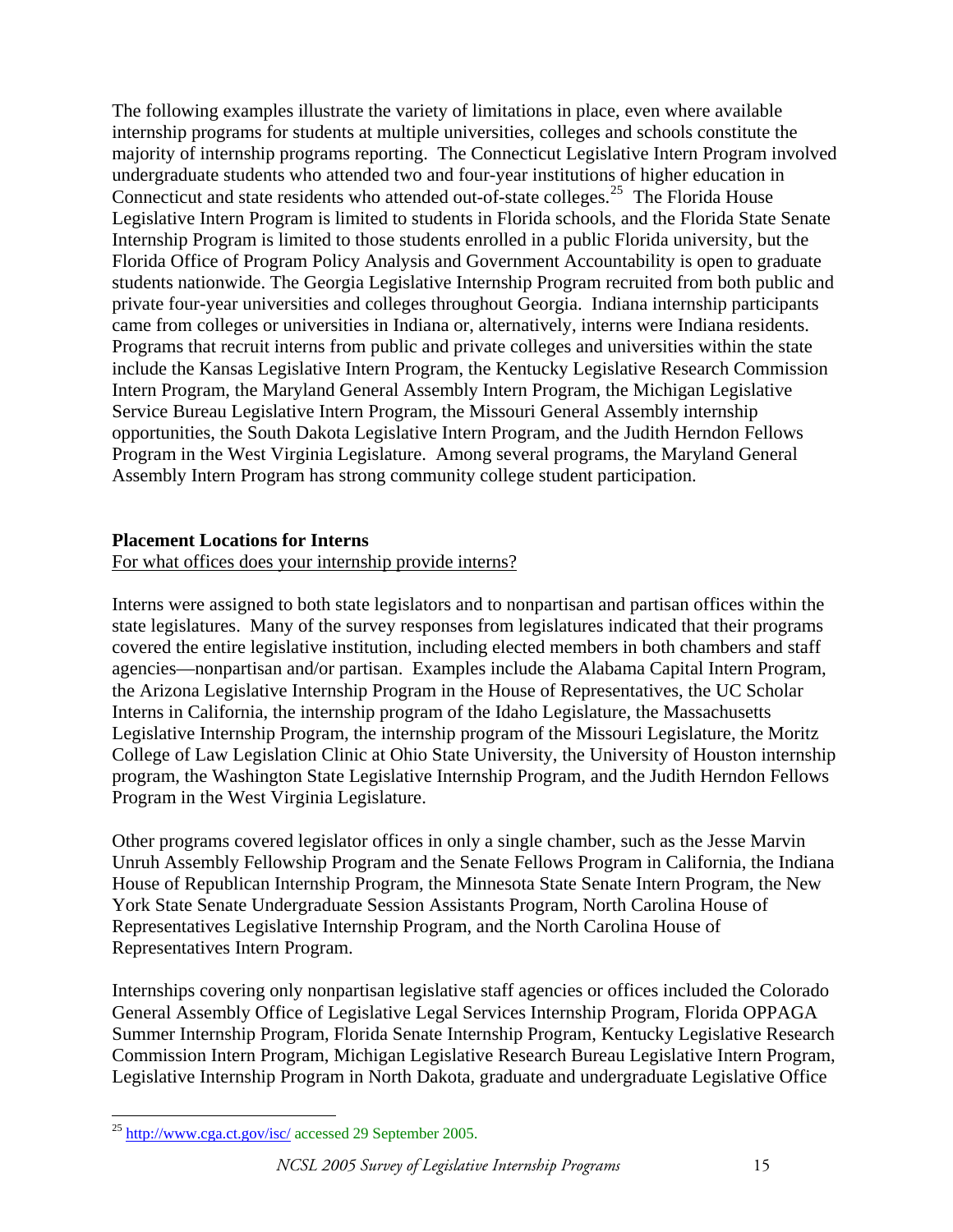The following examples illustrate the variety of limitations in place, even where available internship programs for students at multiple universities, colleges and schools constitute the majority of internship programs reporting. The Connecticut Legislative Intern Program involved undergraduate students who attended two and four-year institutions of higher education in Connecticut and state residents who attended out-of-state colleges.<sup>[25](#page-14-0)</sup> The Florida House Legislative Intern Program is limited to students in Florida schools, and the Florida State Senate Internship Program is limited to those students enrolled in a public Florida university, but the Florida Office of Program Policy Analysis and Government Accountability is open to graduate students nationwide. The Georgia Legislative Internship Program recruited from both public and private four-year universities and colleges throughout Georgia. Indiana internship participants came from colleges or universities in Indiana or, alternatively, interns were Indiana residents. Programs that recruit interns from public and private colleges and universities within the state include the Kansas Legislative Intern Program, the Kentucky Legislative Research Commission Intern Program, the Maryland General Assembly Intern Program, the Michigan Legislative Service Bureau Legislative Intern Program, the Missouri General Assembly internship opportunities, the South Dakota Legislative Intern Program, and the Judith Herndon Fellows Program in the West Virginia Legislature. Among several programs, the Maryland General Assembly Intern Program has strong community college student participation.

#### **Placement Locations for Interns**

For what offices does your internship provide interns?

Interns were assigned to both state legislators and to nonpartisan and partisan offices within the state legislatures. Many of the survey responses from legislatures indicated that their programs covered the entire legislative institution, including elected members in both chambers and staff agencies—nonpartisan and/or partisan. Examples include the Alabama Capital Intern Program, the Arizona Legislative Internship Program in the House of Representatives, the UC Scholar Interns in California, the internship program of the Idaho Legislature, the Massachusetts Legislative Internship Program, the internship program of the Missouri Legislature, the Moritz College of Law Legislation Clinic at Ohio State University, the University of Houston internship program, the Washington State Legislative Internship Program, and the Judith Herndon Fellows Program in the West Virginia Legislature.

Other programs covered legislator offices in only a single chamber, such as the Jesse Marvin Unruh Assembly Fellowship Program and the Senate Fellows Program in California, the Indiana House of Republican Internship Program, the Minnesota State Senate Intern Program, the New York State Senate Undergraduate Session Assistants Program, North Carolina House of Representatives Legislative Internship Program, and the North Carolina House of Representatives Intern Program.

Internships covering only nonpartisan legislative staff agencies or offices included the Colorado General Assembly Office of Legislative Legal Services Internship Program, Florida OPPAGA Summer Internship Program, Florida Senate Internship Program, Kentucky Legislative Research Commission Intern Program, Michigan Legislative Research Bureau Legislative Intern Program, Legislative Internship Program in North Dakota, graduate and undergraduate Legislative Office

<span id="page-14-0"></span> $\overline{a}$ <sup>25</sup> <http://www.cga.ct.gov/isc/>accessed 29 September 2005.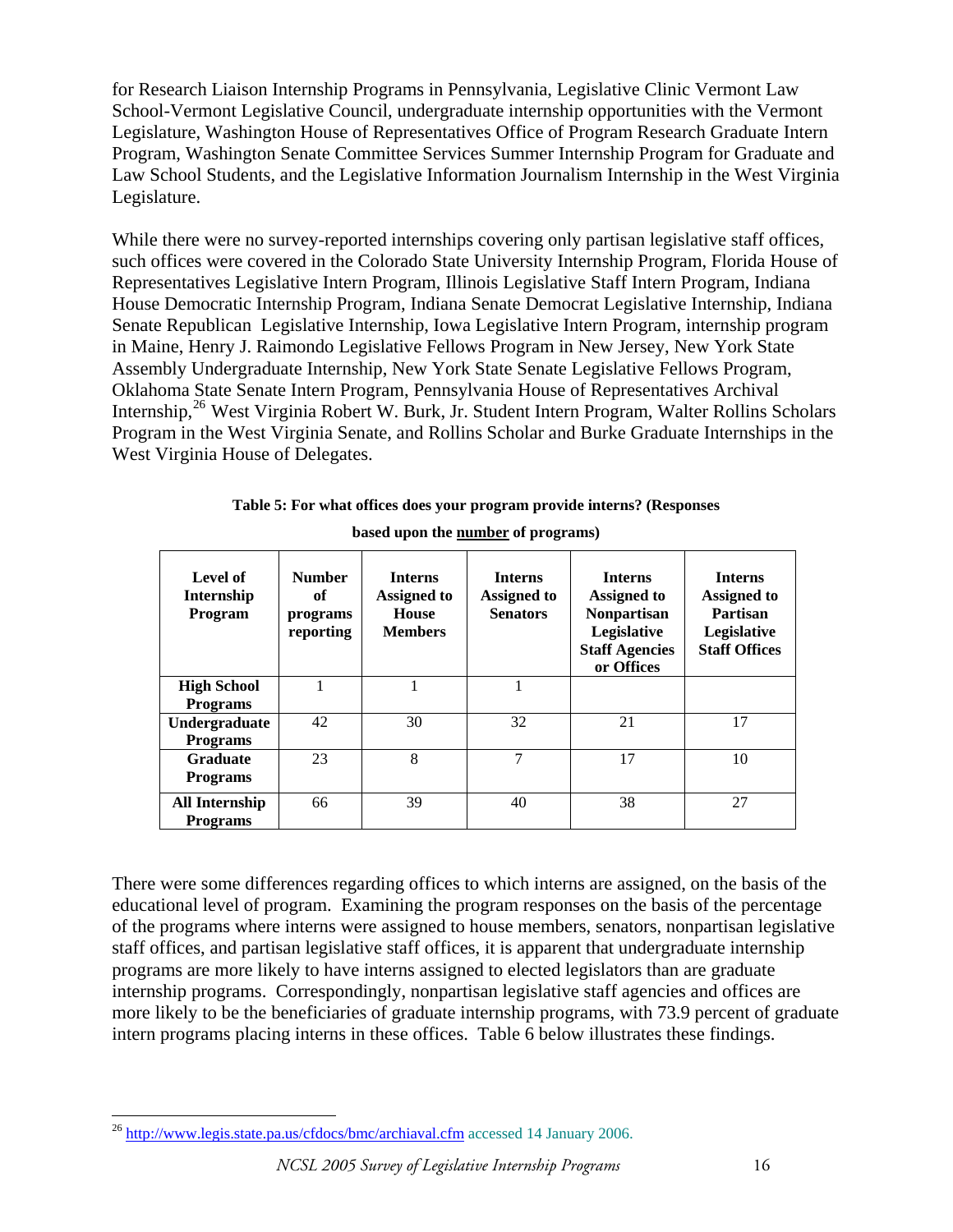for Research Liaison Internship Programs in Pennsylvania, Legislative Clinic Vermont Law School-Vermont Legislative Council, undergraduate internship opportunities with the Vermont Legislature, Washington House of Representatives Office of Program Research Graduate Intern Program, Washington Senate Committee Services Summer Internship Program for Graduate and Law School Students, and the Legislative Information Journalism Internship in the West Virginia Legislature.

While there were no survey-reported internships covering only partisan legislative staff offices, such offices were covered in the Colorado State University Internship Program, Florida House of Representatives Legislative Intern Program, Illinois Legislative Staff Intern Program, Indiana House Democratic Internship Program, Indiana Senate Democrat Legislative Internship, Indiana Senate Republican Legislative Internship, Iowa Legislative Intern Program, internship program in Maine, Henry J. Raimondo Legislative Fellows Program in New Jersey, New York State Assembly Undergraduate Internship, New York State Senate Legislative Fellows Program, Oklahoma State Senate Intern Program, Pennsylvania House of Representatives Archival Internship,[26](#page-15-0) West Virginia Robert W. Burk, Jr. Student Intern Program, Walter Rollins Scholars Program in the West Virginia Senate, and Rollins Scholar and Burke Graduate Internships in the West Virginia House of Delegates.

| Level of<br><b>Internship</b><br><b>Program</b> | <b>Number</b><br>оf<br>programs<br>reporting | <b>Interns</b><br>Assigned to<br>House<br><b>Members</b> | <b>Interns</b><br><b>Assigned to</b><br><b>Senators</b> | <b>Interns</b><br><b>Assigned to</b><br><b>Nonpartisan</b><br>Legislative<br><b>Staff Agencies</b><br>or Offices | <b>Interns</b><br><b>Assigned to</b><br><b>Partisan</b><br>Legislative<br><b>Staff Offices</b> |
|-------------------------------------------------|----------------------------------------------|----------------------------------------------------------|---------------------------------------------------------|------------------------------------------------------------------------------------------------------------------|------------------------------------------------------------------------------------------------|
| <b>High School</b><br><b>Programs</b>           |                                              |                                                          |                                                         |                                                                                                                  |                                                                                                |
| Undergraduate<br><b>Programs</b>                | 42                                           | 30                                                       | 32                                                      | 21                                                                                                               | 17                                                                                             |
| <b>Graduate</b><br><b>Programs</b>              | 23                                           | 8                                                        | 7                                                       | 17                                                                                                               | 10                                                                                             |
| <b>All Internship</b><br><b>Programs</b>        | 66                                           | 39                                                       | 40                                                      | 38                                                                                                               | 27                                                                                             |

| Table 5: For what offices does your program provide interns? (Responses |
|-------------------------------------------------------------------------|
| based upon the number of programs)                                      |

There were some differences regarding offices to which interns are assigned, on the basis of the educational level of program. Examining the program responses on the basis of the percentage of the programs where interns were assigned to house members, senators, nonpartisan legislative staff offices, and partisan legislative staff offices, it is apparent that undergraduate internship programs are more likely to have interns assigned to elected legislators than are graduate internship programs. Correspondingly, nonpartisan legislative staff agencies and offices are more likely to be the beneficiaries of graduate internship programs, with 73.9 percent of graduate intern programs placing interns in these offices. Table 6 below illustrates these findings.

<span id="page-15-0"></span><sup>&</sup>lt;sup>26</sup> <http://www.legis.state.pa.us/cfdocs/bmc/archiaval.cfm> accessed 14 January 2006.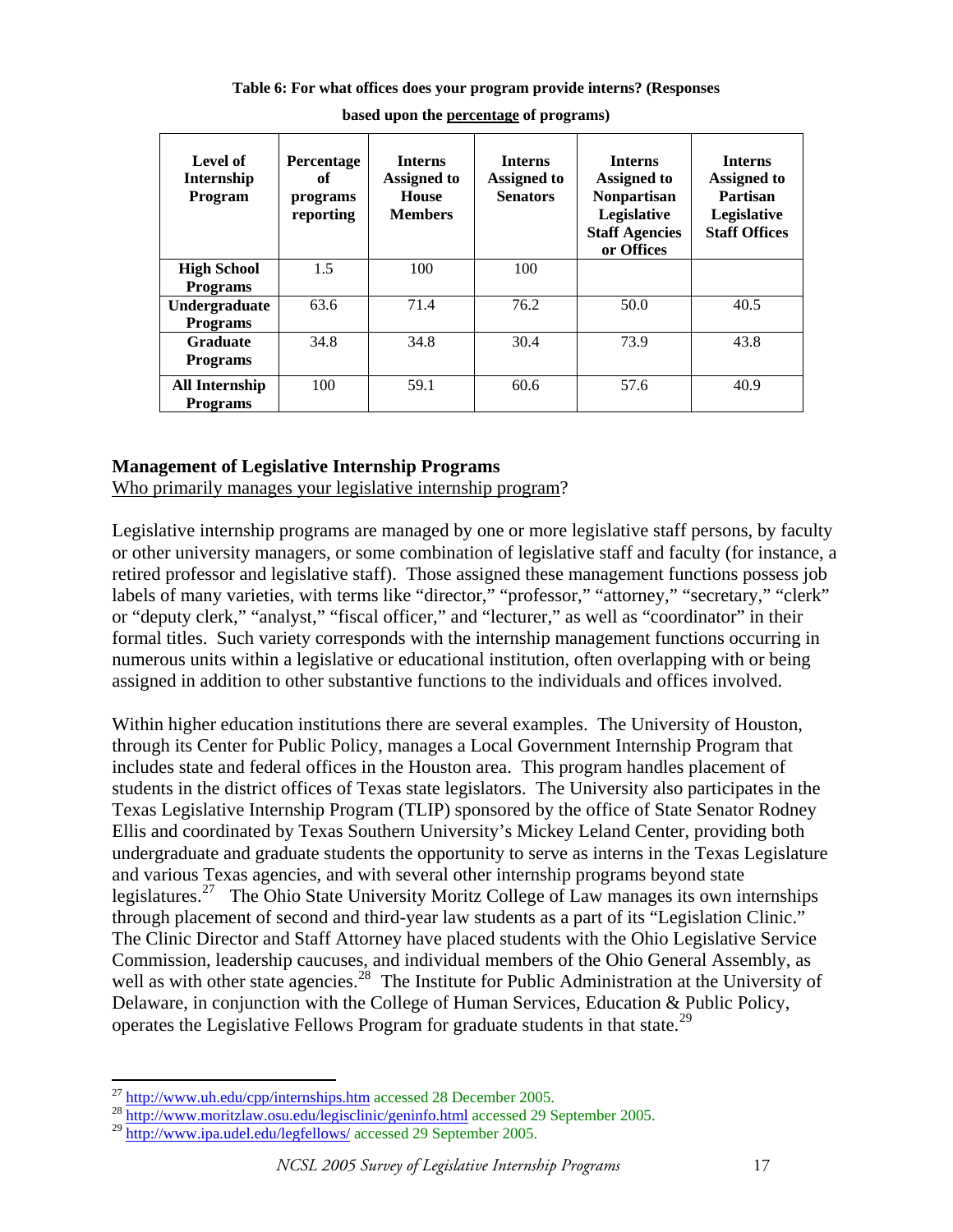| Table 6: For what offices does your program provide interns? (Responses |  |  |
|-------------------------------------------------------------------------|--|--|
|-------------------------------------------------------------------------|--|--|

| Level of<br>Internship<br><b>Program</b> | Percentage<br>оf<br>programs<br>reporting | <b>Interns</b><br>Assigned to<br><b>House</b><br><b>Members</b> | <b>Interns</b><br>Assigned to<br><b>Senators</b> | <b>Interns</b><br><b>Assigned to</b><br><b>Nonpartisan</b><br>Legislative<br><b>Staff Agencies</b><br>or Offices | <b>Interns</b><br>Assigned to<br>Partisan<br>Legislative<br><b>Staff Offices</b> |
|------------------------------------------|-------------------------------------------|-----------------------------------------------------------------|--------------------------------------------------|------------------------------------------------------------------------------------------------------------------|----------------------------------------------------------------------------------|
| <b>High School</b>                       | 1.5                                       | 100                                                             | 100                                              |                                                                                                                  |                                                                                  |
| <b>Programs</b>                          |                                           |                                                                 |                                                  |                                                                                                                  |                                                                                  |
| Undergraduate                            | 63.6                                      | 71.4                                                            | 76.2                                             | 50.0                                                                                                             | 40.5                                                                             |
| <b>Programs</b>                          |                                           |                                                                 |                                                  |                                                                                                                  |                                                                                  |
| <b>Graduate</b>                          | 34.8                                      | 34.8                                                            | 30.4                                             | 73.9                                                                                                             | 43.8                                                                             |
| <b>Programs</b>                          |                                           |                                                                 |                                                  |                                                                                                                  |                                                                                  |
| All Internship                           | 100                                       | 59.1                                                            | 60.6                                             | 57.6                                                                                                             | 40.9                                                                             |
| <b>Programs</b>                          |                                           |                                                                 |                                                  |                                                                                                                  |                                                                                  |

**based upon the percentage of programs)** 

# **Management of Legislative Internship Programs**

Who primarily manages your legislative internship program?

Legislative internship programs are managed by one or more legislative staff persons, by faculty or other university managers, or some combination of legislative staff and faculty (for instance, a retired professor and legislative staff). Those assigned these management functions possess job labels of many varieties, with terms like "director," "professor," "attorney," "secretary," "clerk" or "deputy clerk," "analyst," "fiscal officer," and "lecturer," as well as "coordinator" in their formal titles. Such variety corresponds with the internship management functions occurring in numerous units within a legislative or educational institution, often overlapping with or being assigned in addition to other substantive functions to the individuals and offices involved.

Within higher education institutions there are several examples. The University of Houston, through its Center for Public Policy, manages a Local Government Internship Program that includes state and federal offices in the Houston area. This program handles placement of students in the district offices of Texas state legislators. The University also participates in the Texas Legislative Internship Program (TLIP) sponsored by the office of State Senator Rodney Ellis and coordinated by Texas Southern University's Mickey Leland Center, providing both undergraduate and graduate students the opportunity to serve as interns in the Texas Legislature and various Texas agencies, and with several other internship programs beyond state legislatures.[27](#page-16-0) The Ohio State University Moritz College of Law manages its own internships through placement of second and third-year law students as a part of its "Legislation Clinic." The Clinic Director and Staff Attorney have placed students with the Ohio Legislative Service Commission, leadership caucuses, and individual members of the Ohio General Assembly, as well as with other state agencies.<sup>[28](#page-16-1)</sup> The Institute for Public Administration at the University of Delaware, in conjunction with the College of Human Services, Education & Public Policy, operates the Legislative Fellows Program for graduate students in that state.<sup>[29](#page-16-2)</sup>

<span id="page-16-0"></span> $^{27}$  http://www.uh.edu/cpp/internships.htm accessed 28 December 2005.

<span id="page-16-1"></span><sup>&</sup>lt;sup>28</sup> <http://www.moritzlaw.osu.edu/legisclinic/geninfo.html>accessed 29 September 2005.

<span id="page-16-2"></span><sup>29</sup> <http://www.ipa.udel.edu/legfellows/> accessed 29 September 2005.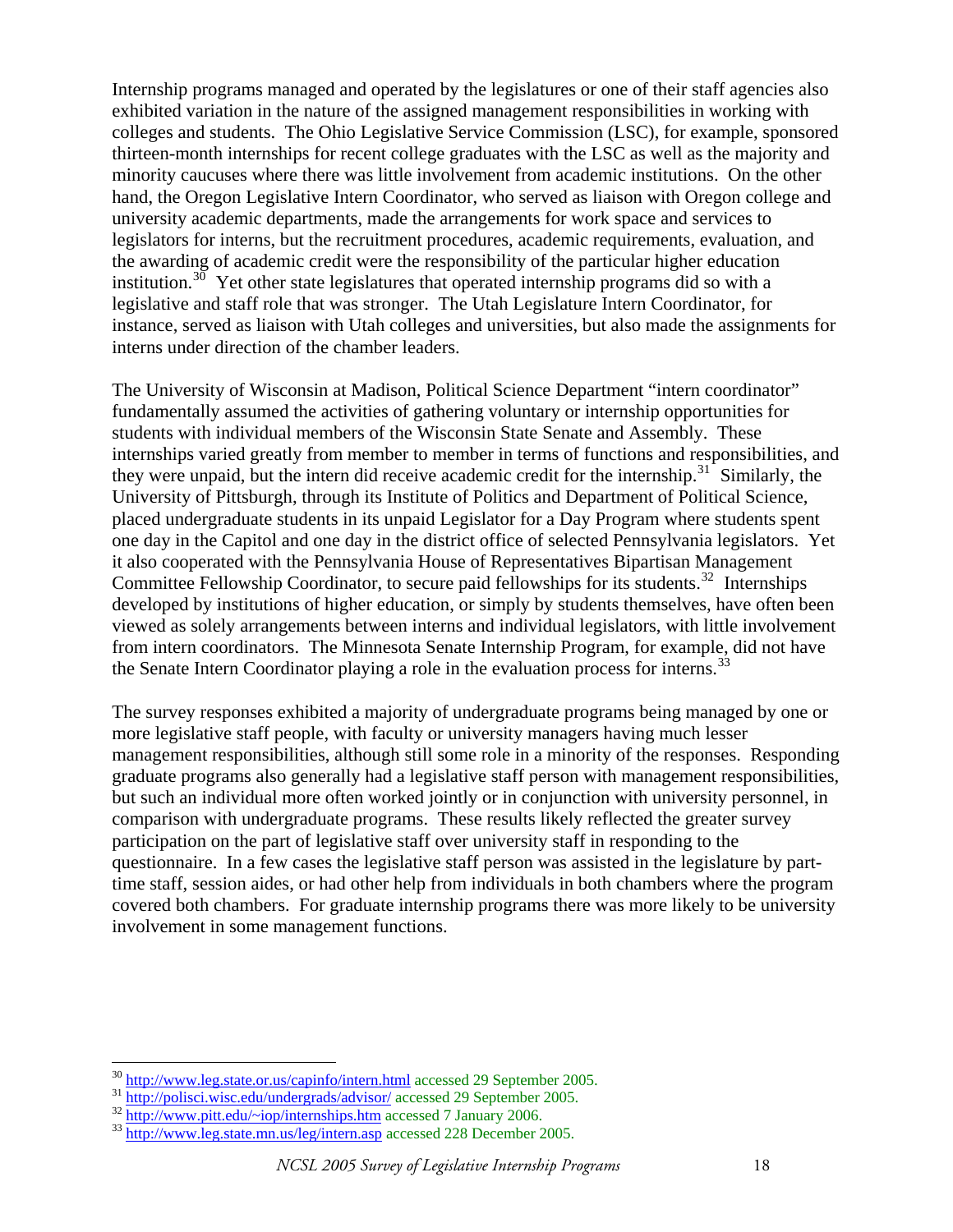Internship programs managed and operated by the legislatures or one of their staff agencies also exhibited variation in the nature of the assigned management responsibilities in working with colleges and students. The Ohio Legislative Service Commission (LSC), for example, sponsored thirteen-month internships for recent college graduates with the LSC as well as the majority and minority caucuses where there was little involvement from academic institutions. On the other hand, the Oregon Legislative Intern Coordinator, who served as liaison with Oregon college and university academic departments, made the arrangements for work space and services to legislators for interns, but the recruitment procedures, academic requirements, evaluation, and the awarding of academic credit were the responsibility of the particular higher education institution.<sup>[30](#page-17-0)</sup> Yet other state legislatures that operated internship programs did so with a legislative and staff role that was stronger. The Utah Legislature Intern Coordinator, for instance, served as liaison with Utah colleges and universities, but also made the assignments for interns under direction of the chamber leaders.

The University of Wisconsin at Madison, Political Science Department "intern coordinator" fundamentally assumed the activities of gathering voluntary or internship opportunities for students with individual members of the Wisconsin State Senate and Assembly. These internships varied greatly from member to member in terms of functions and responsibilities, and they were unpaid, but the intern did receive academic credit for the internship.<sup>[31](#page-17-1)</sup> Similarly, the University of Pittsburgh, through its Institute of Politics and Department of Political Science, placed undergraduate students in its unpaid Legislator for a Day Program where students spent one day in the Capitol and one day in the district office of selected Pennsylvania legislators. Yet it also cooperated with the Pennsylvania House of Representatives Bipartisan Management Committee Fellowship Coordinator, to secure paid fellowships for its students.<sup>[32](#page-17-2)</sup> Internships developed by institutions of higher education, or simply by students themselves, have often been viewed as solely arrangements between interns and individual legislators, with little involvement from intern coordinators. The Minnesota Senate Internship Program, for example, did not have the Senate Intern Coordinator playing a role in the evaluation process for interns.<sup>[33](#page-17-3)</sup>

The survey responses exhibited a majority of undergraduate programs being managed by one or more legislative staff people, with faculty or university managers having much lesser management responsibilities, although still some role in a minority of the responses. Responding graduate programs also generally had a legislative staff person with management responsibilities, but such an individual more often worked jointly or in conjunction with university personnel, in comparison with undergraduate programs. These results likely reflected the greater survey participation on the part of legislative staff over university staff in responding to the questionnaire. In a few cases the legislative staff person was assisted in the legislature by parttime staff, session aides, or had other help from individuals in both chambers where the program covered both chambers. For graduate internship programs there was more likely to be university involvement in some management functions.

<span id="page-17-2"></span><span id="page-17-1"></span>

<span id="page-17-0"></span><sup>&</sup>lt;sup>30</sup> <http://www.leg.state.or.us/capinfo/intern.html>accessed 29 September 2005.<br><sup>31</sup> <http://polisci.wisc.edu/undergrads/advisor/>accessed 29 September 2005.<br><sup>32</sup> [http://www.pitt.edu/~iop/internships.htm](http://www.pitt.edu/%7Eiop/internships.htm) accessed 7 January

<span id="page-17-3"></span>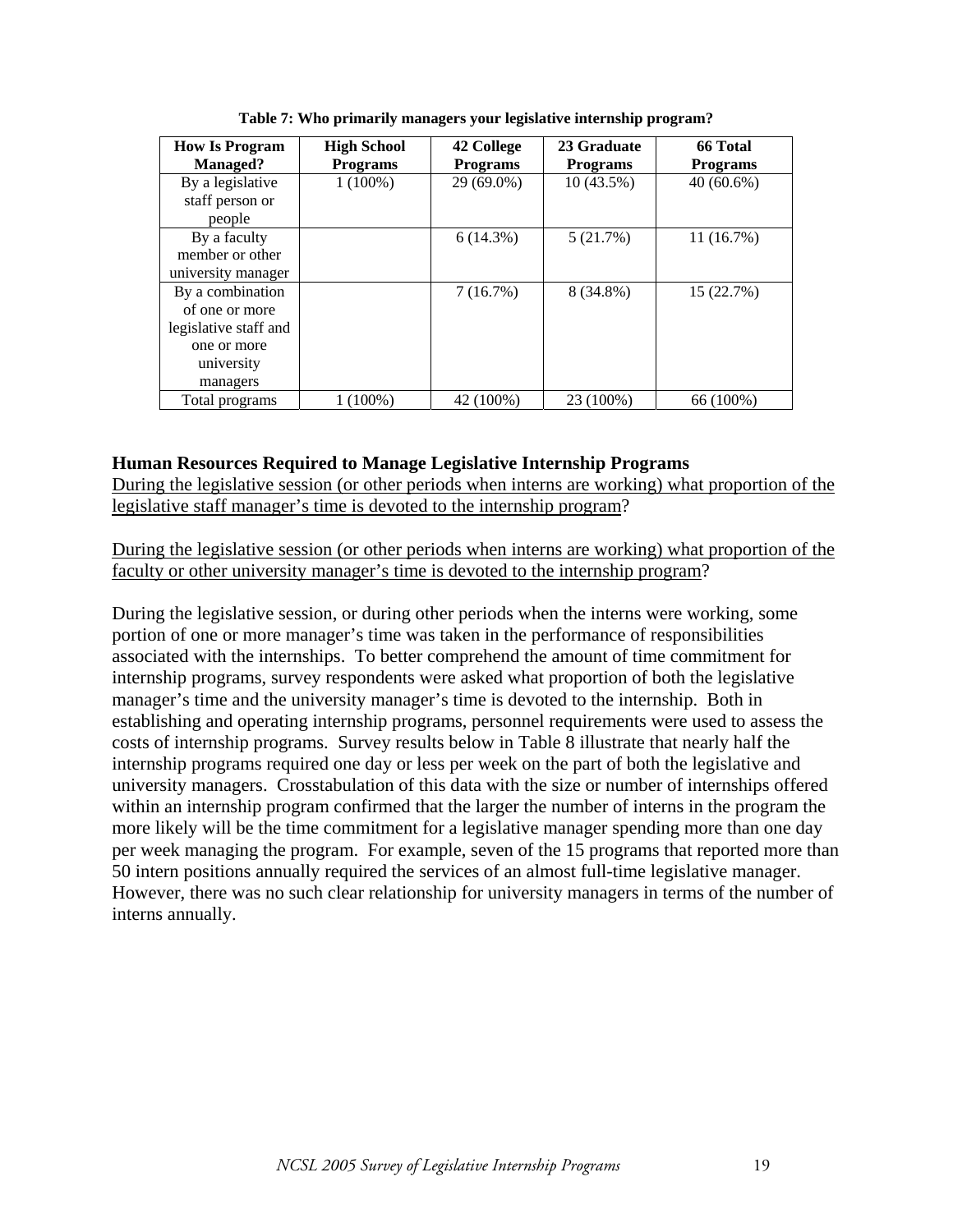| <b>How Is Program</b> | <b>High School</b> | 42 College      | 23 Graduate     | 66 Total        |
|-----------------------|--------------------|-----------------|-----------------|-----------------|
| <b>Managed?</b>       | <b>Programs</b>    | <b>Programs</b> | <b>Programs</b> | <b>Programs</b> |
| By a legislative      | $1(100\%)$         | 29 (69.0%)      | $10(43.5\%)$    | $40(60.6\%)$    |
| staff person or       |                    |                 |                 |                 |
| people                |                    |                 |                 |                 |
| By a faculty          |                    | 6(14.3%)        | 5(21.7%)        | 11(16.7%)       |
| member or other       |                    |                 |                 |                 |
| university manager    |                    |                 |                 |                 |
| By a combination      |                    | 7(16.7%)        | 8 (34.8%)       | 15 (22.7%)      |
| of one or more        |                    |                 |                 |                 |
| legislative staff and |                    |                 |                 |                 |
| one or more           |                    |                 |                 |                 |
| university            |                    |                 |                 |                 |
| managers              |                    |                 |                 |                 |
| Total programs        | $1(100\%)$         | 42 (100%)       | 23 (100%)       | 66 (100%)       |

**Table 7: Who primarily managers your legislative internship program?** 

# **Human Resources Required to Manage Legislative Internship Programs**

During the legislative session (or other periods when interns are working) what proportion of the legislative staff manager's time is devoted to the internship program?

During the legislative session (or other periods when interns are working) what proportion of the faculty or other university manager's time is devoted to the internship program?

During the legislative session, or during other periods when the interns were working, some portion of one or more manager's time was taken in the performance of responsibilities associated with the internships. To better comprehend the amount of time commitment for internship programs, survey respondents were asked what proportion of both the legislative manager's time and the university manager's time is devoted to the internship. Both in establishing and operating internship programs, personnel requirements were used to assess the costs of internship programs. Survey results below in Table 8 illustrate that nearly half the internship programs required one day or less per week on the part of both the legislative and university managers. Crosstabulation of this data with the size or number of internships offered within an internship program confirmed that the larger the number of interns in the program the more likely will be the time commitment for a legislative manager spending more than one day per week managing the program. For example, seven of the 15 programs that reported more than 50 intern positions annually required the services of an almost full-time legislative manager. However, there was no such clear relationship for university managers in terms of the number of interns annually.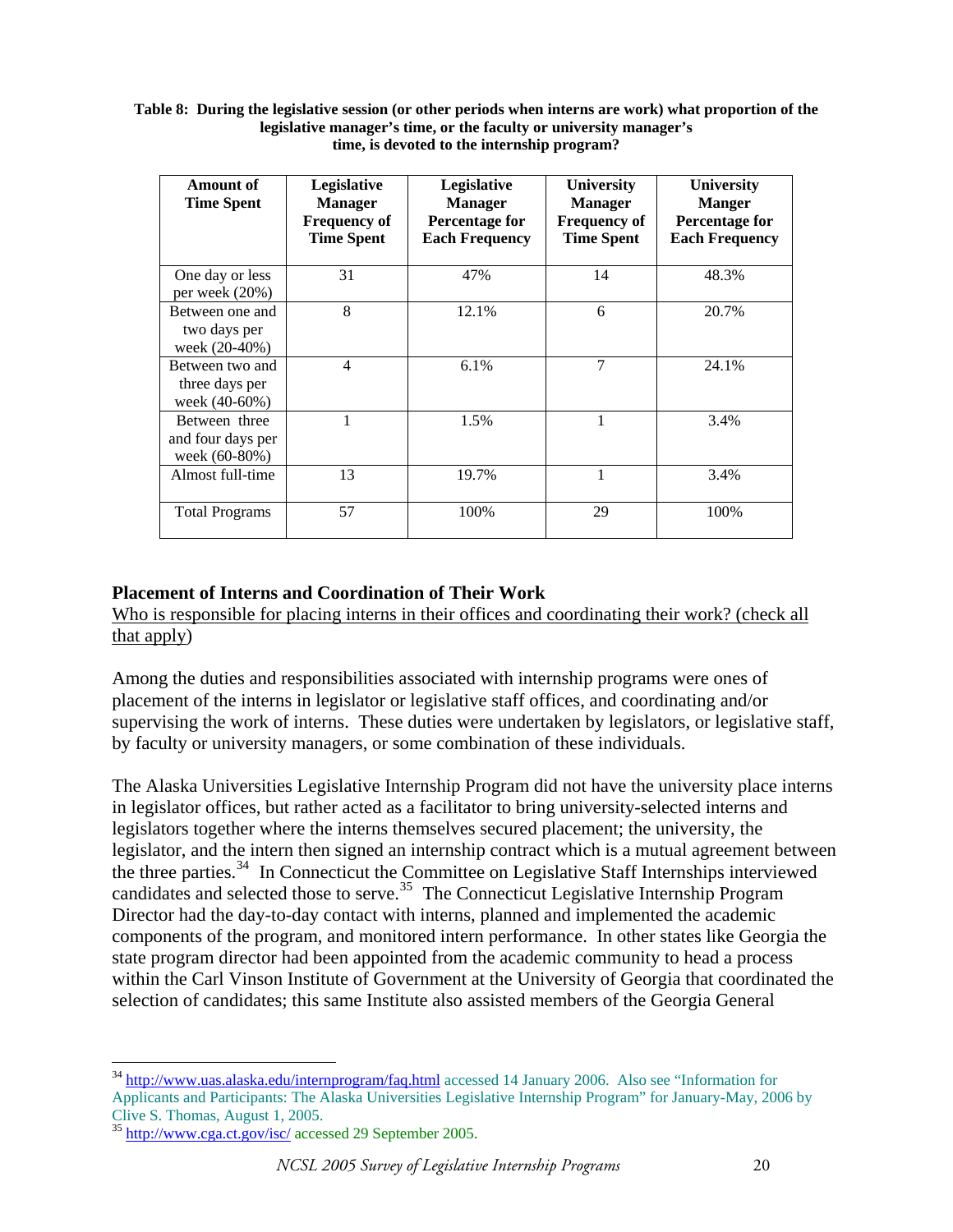#### **Table 8: During the legislative session (or other periods when interns are work) what proportion of the legislative manager's time, or the faculty or university manager's time, is devoted to the internship program?**

| Amount of<br><b>Time Spent</b>                      | <b>Legislative</b><br><b>Manager</b><br><b>Frequency of</b><br><b>Time Spent</b> | Legislative<br><b>Manager</b><br><b>Percentage for</b><br><b>Each Frequency</b> | University<br><b>Manager</b><br><b>Frequency of</b><br><b>Time Spent</b> | <b>University</b><br><b>Manger</b><br>Percentage for<br><b>Each Frequency</b> |
|-----------------------------------------------------|----------------------------------------------------------------------------------|---------------------------------------------------------------------------------|--------------------------------------------------------------------------|-------------------------------------------------------------------------------|
| One day or less<br>per week (20%)                   | 31                                                                               | 47%                                                                             | 14                                                                       | 48.3%                                                                         |
| Between one and<br>two days per<br>week (20-40%)    | 8                                                                                | 12.1%                                                                           | 6                                                                        | 20.7%                                                                         |
| Between two and<br>three days per<br>week (40-60%)  | 4                                                                                | 6.1%                                                                            | 7                                                                        | 24.1%                                                                         |
| Between three<br>and four days per<br>week (60-80%) |                                                                                  | 1.5%                                                                            |                                                                          | 3.4%                                                                          |
| Almost full-time                                    | 13                                                                               | 19.7%                                                                           | 1                                                                        | 3.4%                                                                          |
| <b>Total Programs</b>                               | 57                                                                               | 100%                                                                            | 29                                                                       | 100%                                                                          |

# **Placement of Interns and Coordination of Their Work**

Who is responsible for placing interns in their offices and coordinating their work? (check all that apply)

Among the duties and responsibilities associated with internship programs were ones of placement of the interns in legislator or legislative staff offices, and coordinating and/or supervising the work of interns. These duties were undertaken by legislators, or legislative staff, by faculty or university managers, or some combination of these individuals.

The Alaska Universities Legislative Internship Program did not have the university place interns in legislator offices, but rather acted as a facilitator to bring university-selected interns and legislators together where the interns themselves secured placement; the university, the legislator, and the intern then signed an internship contract which is a mutual agreement between the three parties.[34](#page-19-0) In Connecticut the Committee on Legislative Staff Internships interviewed candidates and selected those to serve.<sup>[35](#page-19-1)</sup> The Connecticut Legislative Internship Program Director had the day-to-day contact with interns, planned and implemented the academic components of the program, and monitored intern performance. In other states like Georgia the state program director had been appointed from the academic community to head a process within the Carl Vinson Institute of Government at the University of Georgia that coordinated the selection of candidates; this same Institute also assisted members of the Georgia General

<span id="page-19-0"></span><sup>&</sup>lt;sup>34</sup> <http://www.uas.alaska.edu/internprogram/faq.html> accessed 14 January 2006. Also see "Information for Applicants and Participants: The Alaska Universities Legislative Internship Program" for January-May, 2006 by Clive S. Thomas, August 1, 2005.

<span id="page-19-1"></span><sup>35</sup> <http://www.cga.ct.gov/isc/>accessed 29 September 2005.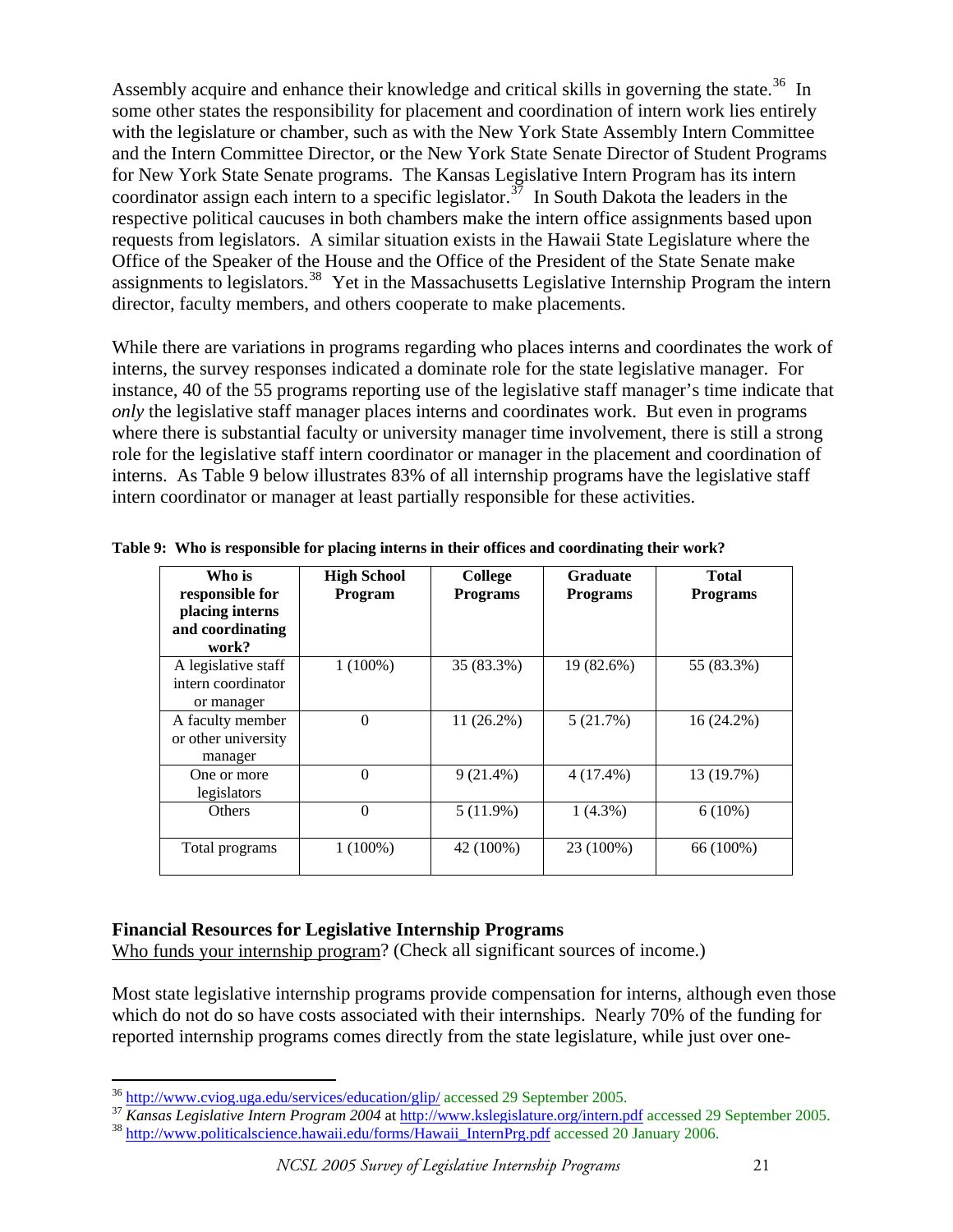Assembly acquire and enhance their knowledge and critical skills in governing the state.<sup>[36](#page-20-0)</sup> In some other states the responsibility for placement and coordination of intern work lies entirely with the legislature or chamber, such as with the New York State Assembly Intern Committee and the Intern Committee Director, or the New York State Senate Director of Student Programs for New York State Senate programs. The Kansas Legislative Intern Program has its intern coordinator assign each intern to a specific legislator.<sup>[37](#page-20-1)</sup> In South Dakota the leaders in the respective political caucuses in both chambers make the intern office assignments based upon requests from legislators. A similar situation exists in the Hawaii State Legislature where the Office of the Speaker of the House and the Office of the President of the State Senate make assignments to legislators.<sup>[38](#page-20-2)</sup> Yet in the Massachusetts Legislative Internship Program the intern director, faculty members, and others cooperate to make placements.

 While there are variations in programs regarding who places interns and coordinates the work of interns, the survey responses indicated a dominate role for the state legislative manager. For instance, 40 of the 55 programs reporting use of the legislative staff manager's time indicate that *only* the legislative staff manager places interns and coordinates work. But even in programs where there is substantial faculty or university manager time involvement, there is still a strong role for the legislative staff intern coordinator or manager in the placement and coordination of interns. As Table 9 below illustrates 83% of all internship programs have the legislative staff intern coordinator or manager at least partially responsible for these activities.

| Who is<br>responsible for<br>placing interns<br>and coordinating<br>work? | <b>High School</b><br><b>Program</b> | College<br><b>Programs</b> | <b>Graduate</b><br><b>Programs</b> | <b>Total</b><br><b>Programs</b> |
|---------------------------------------------------------------------------|--------------------------------------|----------------------------|------------------------------------|---------------------------------|
| A legislative staff<br>intern coordinator<br>or manager                   | $1(100\%)$                           | 35 (83.3%)                 | 19 (82.6%)                         | 55 (83.3%)                      |
| A faculty member<br>or other university<br>manager                        | $\theta$                             | $11(26.2\%)$               | 5(21.7%)                           | 16 (24.2%)                      |
| One or more<br>legislators                                                | $\theta$                             | $9(21.4\%)$                | $4(17.4\%)$                        | 13 (19.7%)                      |
| Others                                                                    | $\overline{0}$                       | 5(11.9%)                   | $1(4.3\%)$                         | $6(10\%)$                       |
| Total programs                                                            | $1(100\%)$                           | 42 (100%)                  | 23 (100%)                          | 66 (100%)                       |

**Table 9: Who is responsible for placing interns in their offices and coordinating their work?** 

#### **Financial Resources for Legislative Internship Programs**

Who funds your internship program? (Check all significant sources of income.)

Most state legislative internship programs provide compensation for interns, although even those which do not do so have costs associated with their internships. Nearly 70% of the funding for reported internship programs comes directly from the state legislature, while just over one-

 $36$  http://www.cviog.uga.edu/services/education/glip/ accessed 29 September 2005.

<span id="page-20-2"></span><span id="page-20-1"></span><span id="page-20-0"></span><sup>&</sup>lt;sup>37</sup> Kansas Legislative Intern Program 2004 at http://www.kslegislature.org/intern.pdf accessed 29 September 2005.<br><sup>38</sup> [http://www.politicalscience.hawaii.edu/forms/Hawaii\\_InternPrg.pdf](http://www.politicalscience.hawaii.edu/forms/Hawaii_InternPrg.pdf) accessed 20 January 2006.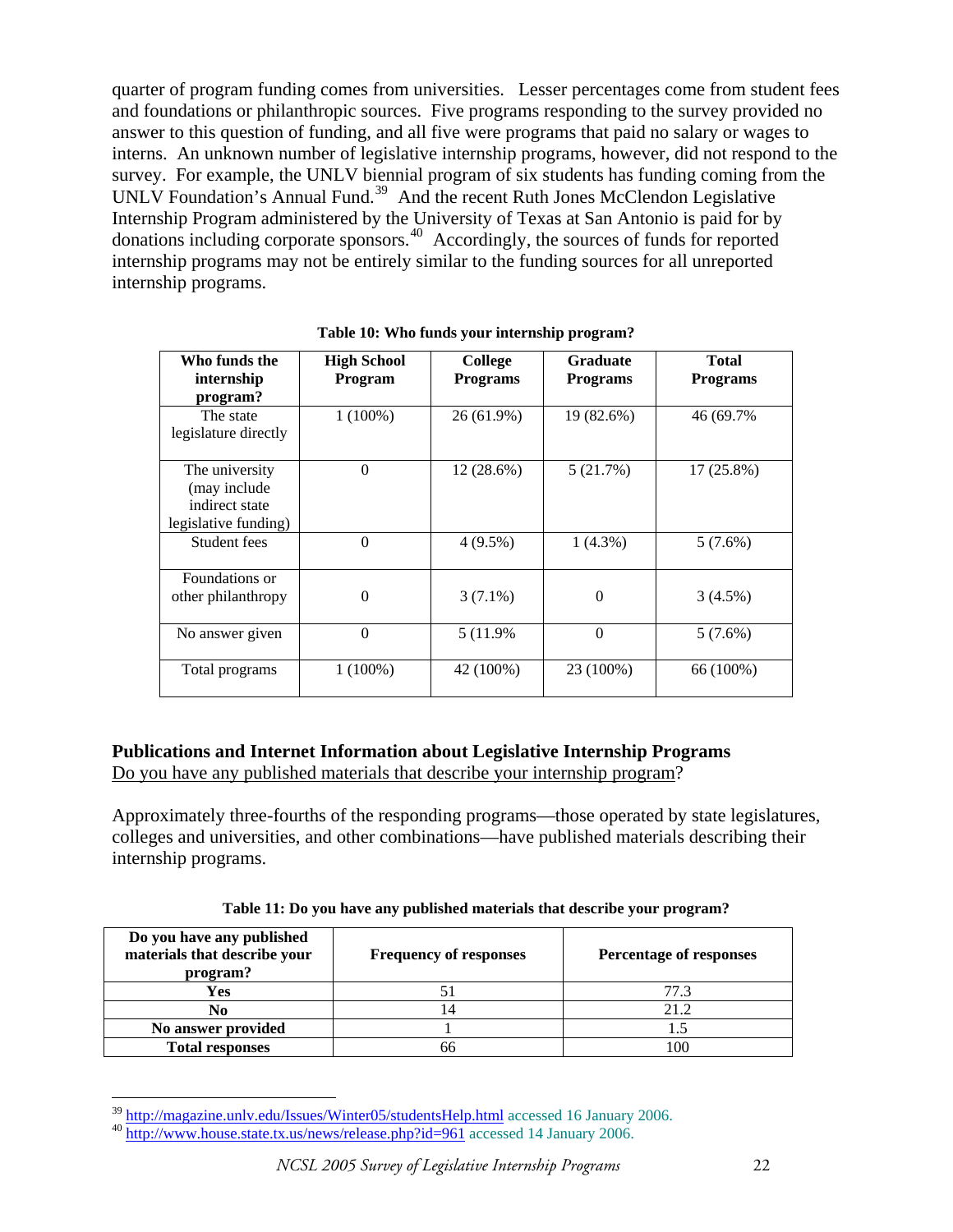quarter of program funding comes from universities. Lesser percentages come from student fees and foundations or philanthropic sources. Five programs responding to the survey provided no answer to this question of funding, and all five were programs that paid no salary or wages to interns. An unknown number of legislative internship programs, however, did not respond to the survey. For example, the UNLV biennial program of six students has funding coming from the UNLV Foundation's Annual Fund.<sup>[39](#page-21-0)</sup> And the recent Ruth Jones McClendon Legislative Internship Program administered by the University of Texas at San Antonio is paid for by donations including corporate sponsors.[40](#page-21-1) Accordingly, the sources of funds for reported internship programs may not be entirely similar to the funding sources for all unreported internship programs.

| Who funds the<br>internship<br>program?                                  | <b>High School</b><br>Program | College<br><b>Programs</b> | Graduate<br><b>Programs</b> | <b>Total</b><br><b>Programs</b> |
|--------------------------------------------------------------------------|-------------------------------|----------------------------|-----------------------------|---------------------------------|
| The state<br>legislature directly                                        | $1(100\%)$                    | 26 (61.9%)                 | 19 (82.6%)                  | 46 (69.7%)                      |
| The university<br>(may include<br>indirect state<br>legislative funding) | $\theta$                      | 12 (28.6%)                 | 5(21.7%)                    | 17 (25.8%)                      |
| Student fees                                                             | $\theta$                      | $4(9.5\%)$                 | $1(4.3\%)$                  | $5(7.6\%)$                      |
| Foundations or<br>other philanthropy                                     | $\theta$                      | $3(7.1\%)$                 | $\theta$                    | 3(4.5%)                         |
| No answer given                                                          | $\theta$                      | 5 (11.9%)                  | $\theta$                    | 5(7.6%)                         |
| Total programs                                                           | $1(100\%)$                    | 42 (100%)                  | 23 (100%)                   | 66 (100%)                       |

**Table 10: Who funds your internship program?** 

# **Publications and Internet Information about Legislative Internship Programs**

Do you have any published materials that describe your internship program?

Approximately three-fourths of the responding programs—those operated by state legislatures, colleges and universities, and other combinations—have published materials describing their internship programs.

| Do you have any published<br>materials that describe your<br>program? | <b>Frequency of responses</b> | <b>Percentage of responses</b> |
|-----------------------------------------------------------------------|-------------------------------|--------------------------------|
| Yes                                                                   |                               | 77.3                           |
| No                                                                    |                               | 21.2                           |
| No answer provided                                                    |                               |                                |
| <b>Total responses</b>                                                |                               | .00                            |

<sup>&</sup>lt;sup>39</sup> http://magazine.unly.edu/Issues/Winter05/studentsHelp.html accessed 16 January 2006.

<span id="page-21-1"></span><span id="page-21-0"></span> $\frac{100 \text{ Hz}}{100 \text{ http}}$ .//www.house.state.tx.us/news/release.php?id=961 accessed 14 January 2006.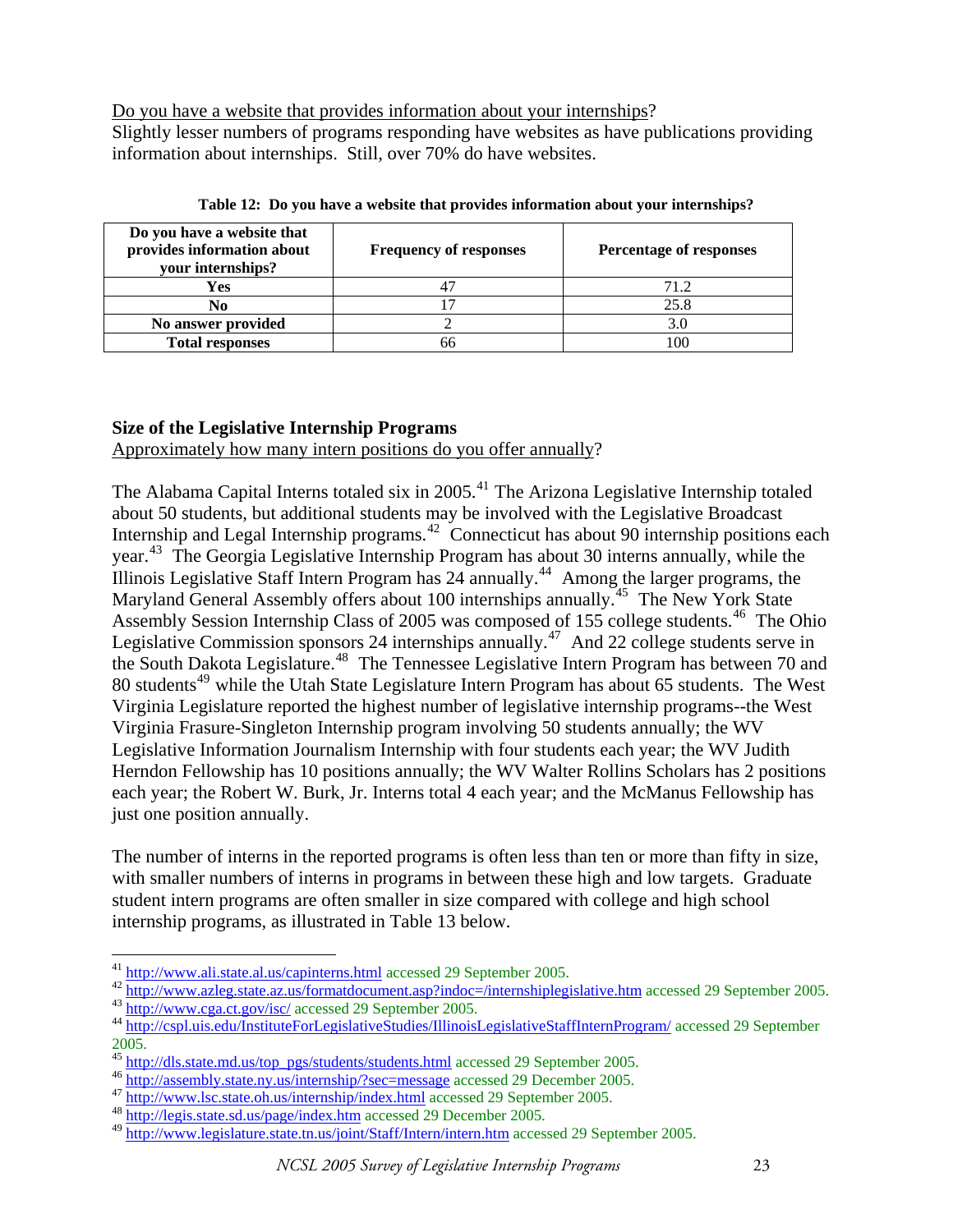Do you have a website that provides information about your internships?

Slightly lesser numbers of programs responding have websites as have publications providing information about internships. Still, over 70% do have websites.

| Do you have a website that<br>provides information about<br>your internships? | <b>Frequency of responses</b> | <b>Percentage of responses</b> |
|-------------------------------------------------------------------------------|-------------------------------|--------------------------------|
| Yes                                                                           |                               | 71.2                           |
| No                                                                            |                               | 25.8                           |
| No answer provided                                                            |                               | 3.0                            |
| <b>Total responses</b>                                                        |                               | 100                            |

**Table 12: Do you have a website that provides information about your internships?** 

# **Size of the Legislative Internship Programs**

Approximately how many intern positions do you offer annually?

The Alabama Capital Interns totaled six in 2005.<sup>[41](#page-22-0)</sup> The Arizona Legislative Internship totaled about 50 students, but additional students may be involved with the Legislative Broadcast Internship and Legal Internship programs.<sup>[42](#page-22-1)</sup> Connecticut has about 90 internship positions each year.<sup>[43](#page-22-2)</sup> The Georgia Legislative Internship Program has about 30 interns annually, while the Illinois Legislative Staff Intern Program has  $24$  annually.<sup>[44](#page-22-3)</sup> Among the larger programs, the Maryland General Assembly offers about 100 internships annually.<sup>[45](#page-22-4)</sup> The New York State Assembly Session Internship Class of 2005 was composed of 155 college students.<sup>[46](#page-22-5)</sup> The Ohio Legislative Commission sponsors 24 internships annually.<sup>[47](#page-22-6)</sup> And 22 college students serve in the South Dakota Legislature.<sup>[48](#page-22-7)</sup> The Tennessee Legislative Intern Program has between 70 and 80 students<sup>[49](#page-22-8)</sup> while the Utah State Legislature Intern Program has about 65 students. The West Virginia Legislature reported the highest number of legislative internship programs--the West Virginia Frasure-Singleton Internship program involving 50 students annually; the WV Legislative Information Journalism Internship with four students each year; the WV Judith Herndon Fellowship has 10 positions annually; the WV Walter Rollins Scholars has 2 positions each year; the Robert W. Burk, Jr. Interns total 4 each year; and the McManus Fellowship has just one position annually.

The number of interns in the reported programs is often less than ten or more than fifty in size, with smaller numbers of interns in programs in between these high and low targets. Graduate student intern programs are often smaller in size compared with college and high school internship programs, as illustrated in Table 13 below.

 $\overline{a}$ 

<span id="page-22-0"></span><sup>&</sup>lt;sup>41</sup> <http://www.ali.state.al.us/capinterns.html>accessed 29 September 2005.<br><sup>42</sup> <http://www.azleg.state.az.us/formatdocument.asp?indoc=/internshiplegislative.htm>accessed 29 September 2005.<br><sup>43</sup> http://www.cga.ct.gov/isc/

<span id="page-22-3"></span><span id="page-22-2"></span><span id="page-22-1"></span>

<sup>2005.</sup> 

<span id="page-22-4"></span><sup>&</sup>lt;sup>45</sup> http://dls.state.md.us/top\_pgs/students/students.html accessed 29 September 2005.<br><sup>46</sup> http://assembly.state.ny.us/internship/?sec=message accessed 29 December 2005.<br><sup>47</sup> http://www.lsc.state.oh.us/internship/index.ht

<span id="page-22-5"></span>

<span id="page-22-7"></span><span id="page-22-6"></span>

<span id="page-22-8"></span><sup>49</sup> <http://www.legislature.state.tn.us/joint/Staff/Intern/intern.htm> accessed 29 September 2005.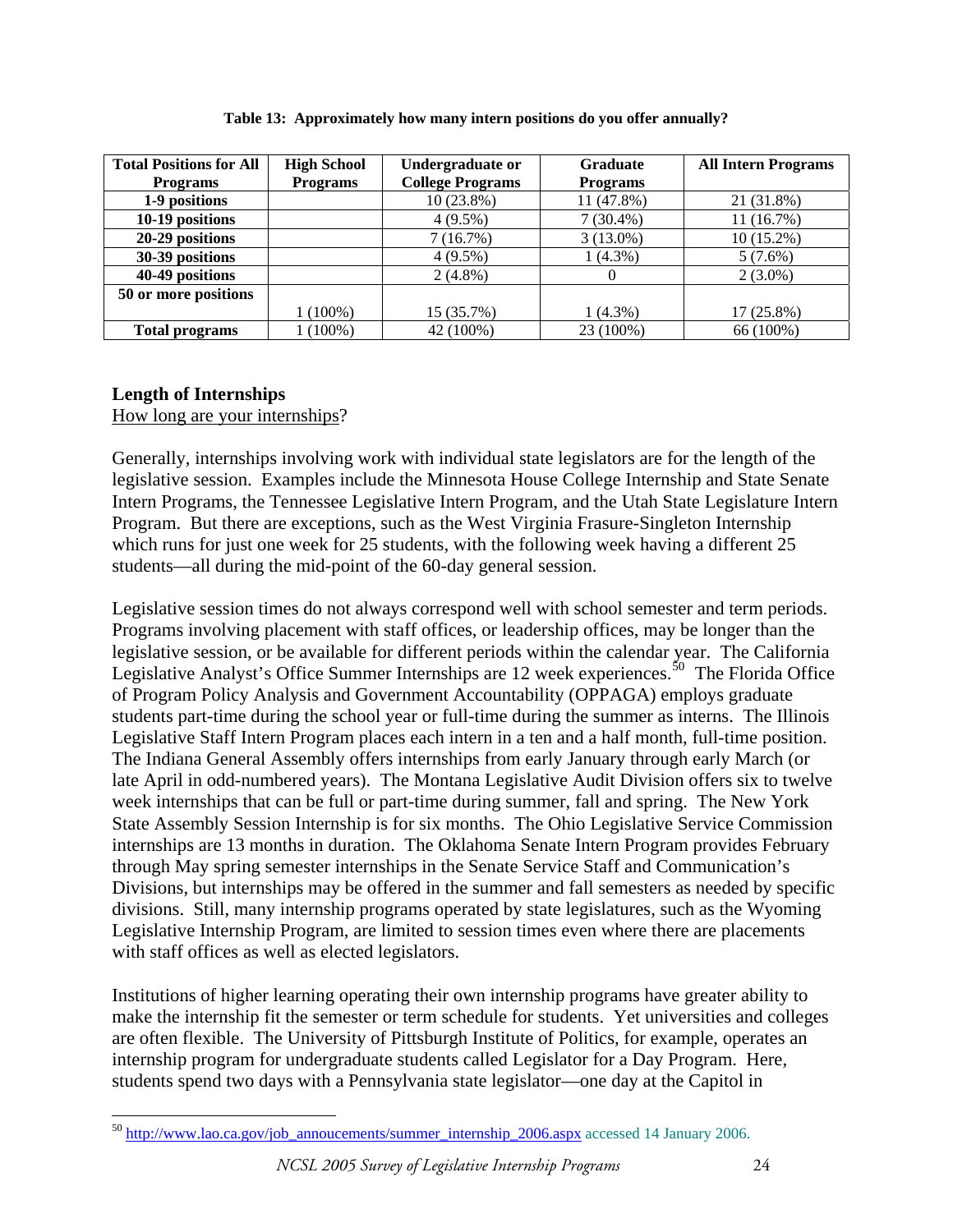| <b>Total Positions for All</b> | <b>High School</b> | Undergraduate or        | Graduate        | <b>All Intern Programs</b> |
|--------------------------------|--------------------|-------------------------|-----------------|----------------------------|
| <b>Programs</b>                | <b>Programs</b>    | <b>College Programs</b> | <b>Programs</b> |                            |
| 1-9 positions                  |                    | $10(23.8\%)$            | 11 (47.8%)      | 21 (31.8%)                 |
| 10-19 positions                |                    | $4(9.5\%)$              | $7(30.4\%)$     | 11(16.7%)                  |
| 20-29 positions                |                    | 7(16.7%)                | $3(13.0\%)$     | $10(15.2\%)$               |
| 30-39 positions                |                    | $4(9.5\%)$              | $1(4.3\%)$      | $5(7.6\%)$                 |
| 40-49 positions                |                    | $2(4.8\%)$              |                 | $2(3.0\%)$                 |
| 50 or more positions           |                    |                         |                 |                            |
|                                | $1(100\%)$         | 15 (35.7%)              | $1(4.3\%)$      | 17 (25.8%)                 |
| <b>Total programs</b>          | 1 (100%)           | 42 (100%)               | 23 (100%)       | 66 (100%)                  |

**Table 13: Approximately how many intern positions do you offer annually?** 

# **Length of Internships**

How long are your internships?

Generally, internships involving work with individual state legislators are for the length of the legislative session. Examples include the Minnesota House College Internship and State Senate Intern Programs, the Tennessee Legislative Intern Program, and the Utah State Legislature Intern Program. But there are exceptions, such as the West Virginia Frasure-Singleton Internship which runs for just one week for 25 students, with the following week having a different 25 students—all during the mid-point of the 60-day general session.

Legislative session times do not always correspond well with school semester and term periods. Programs involving placement with staff offices, or leadership offices, may be longer than the legislative session, or be available for different periods within the calendar year. The California Legislative Analyst's Office Summer Internships are 12 week experiences.<sup>[50](#page-23-0)</sup> The Florida Office of Program Policy Analysis and Government Accountability (OPPAGA) employs graduate students part-time during the school year or full-time during the summer as interns. The Illinois Legislative Staff Intern Program places each intern in a ten and a half month, full-time position. The Indiana General Assembly offers internships from early January through early March (or late April in odd-numbered years). The Montana Legislative Audit Division offers six to twelve week internships that can be full or part-time during summer, fall and spring. The New York State Assembly Session Internship is for six months. The Ohio Legislative Service Commission internships are 13 months in duration. The Oklahoma Senate Intern Program provides February through May spring semester internships in the Senate Service Staff and Communication's Divisions, but internships may be offered in the summer and fall semesters as needed by specific divisions. Still, many internship programs operated by state legislatures, such as the Wyoming Legislative Internship Program, are limited to session times even where there are placements with staff offices as well as elected legislators.

Institutions of higher learning operating their own internship programs have greater ability to make the internship fit the semester or term schedule for students. Yet universities and colleges are often flexible. The University of Pittsburgh Institute of Politics, for example, operates an internship program for undergraduate students called Legislator for a Day Program. Here, students spend two days with a Pennsylvania state legislator—one day at the Capitol in

<span id="page-23-0"></span> $\overline{a}$ <sup>50</sup> [http://www.lao.ca.gov/job\\_annoucements/summer\\_internship\\_2006.aspx](http://www.lao.ca.gov/job_annoucements/summer_internship_2006.aspx) accessed 14 January 2006.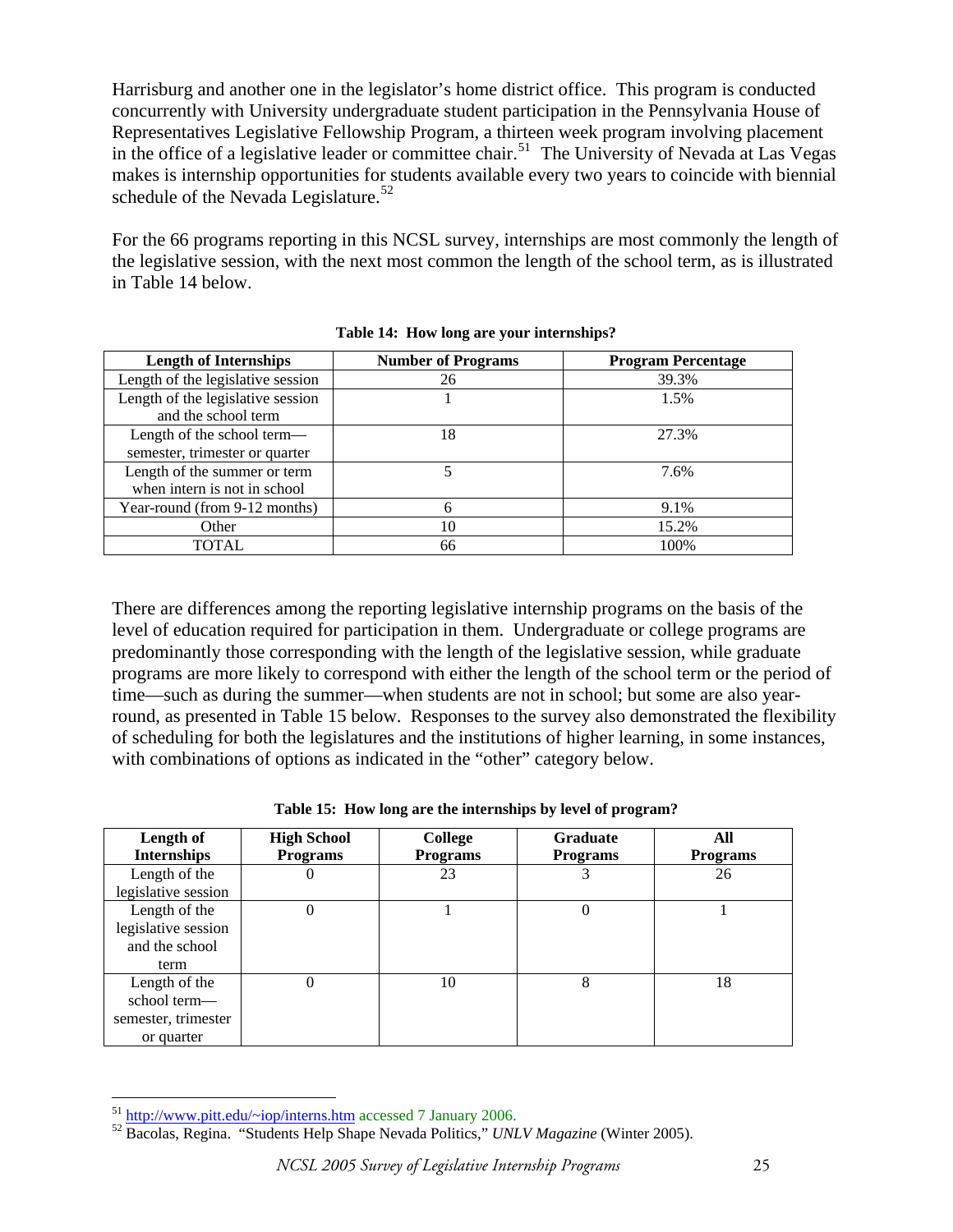Harrisburg and another one in the legislator's home district office. This program is conducted concurrently with University undergraduate student participation in the Pennsylvania House of Representatives Legislative Fellowship Program, a thirteen week program involving placement in the office of a legislative leader or committee chair.<sup>[51](#page-24-0)</sup> The University of Nevada at Las Vegas makes is internship opportunities for students available every two years to coincide with biennial schedule of the Nevada Legislature.<sup>[52](#page-24-1)</sup>

For the 66 programs reporting in this NCSL survey, internships are most commonly the length of the legislative session, with the next most common the length of the school term, as is illustrated in Table 14 below.

| <b>Length of Internships</b>                             | <b>Number of Programs</b> | <b>Program Percentage</b> |
|----------------------------------------------------------|---------------------------|---------------------------|
| Length of the legislative session                        | 26                        | 39.3%                     |
| Length of the legislative session<br>and the school term |                           | 1.5%                      |
| Length of the school term—                               | 18                        | 27.3%                     |
| semester, trimester or quarter                           |                           |                           |
| Length of the summer or term                             |                           | 7.6%                      |
| when intern is not in school                             |                           |                           |
| Year-round (from 9-12 months)                            |                           | 9.1%                      |
| Other                                                    | 10                        | 15.2%                     |
| TOTAL                                                    | 66                        | 100%                      |

**Table 14: How long are your internships?** 

There are differences among the reporting legislative internship programs on the basis of the level of education required for participation in them. Undergraduate or college programs are predominantly those corresponding with the length of the legislative session, while graduate programs are more likely to correspond with either the length of the school term or the period of time—such as during the summer—when students are not in school; but some are also yearround, as presented in Table 15 below. Responses to the survey also demonstrated the flexibility of scheduling for both the legislatures and the institutions of higher learning, in some instances, with combinations of options as indicated in the "other" category below.

| Length of<br><b>Internships</b>                                    | <b>High School</b><br><b>Programs</b> | <b>College</b><br><b>Programs</b> | <b>Graduate</b><br><b>Programs</b> | All<br><b>Programs</b> |
|--------------------------------------------------------------------|---------------------------------------|-----------------------------------|------------------------------------|------------------------|
| Length of the<br>legislative session                               | U                                     | 23                                |                                    | 26                     |
| Length of the<br>legislative session<br>and the school<br>term     | 0                                     |                                   | 0                                  |                        |
| Length of the<br>school term-<br>semester, trimester<br>or quarter | 0                                     | 10                                | 8                                  | 18                     |

|  | Table 15: How long are the internships by level of program? |  |
|--|-------------------------------------------------------------|--|
|  |                                                             |  |

<span id="page-24-0"></span> $^{51}$  http://www.pitt.edu/~iop/interns.htm accessed 7 January 2006.

<span id="page-24-1"></span><sup>&</sup>lt;sup>52</sup> [Bacolas, Regina. "Students Help Sha](http://www.pitt.edu/%7Eiop/interns.htm)pe Nevada Politics," *UNLV Magazine* (Winter 2005).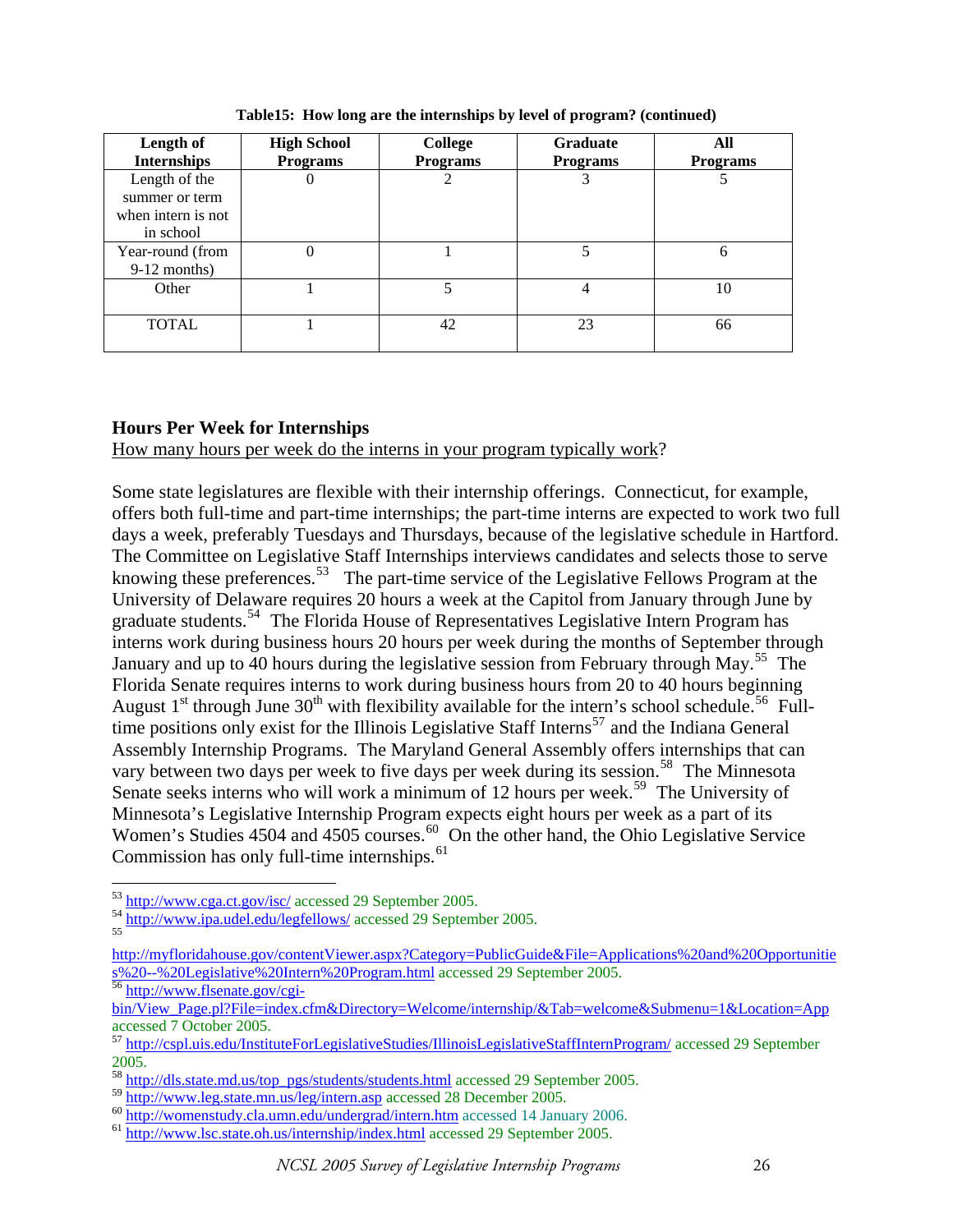| Length of<br><b>Internships</b> | <b>High School</b><br><b>Programs</b> | College<br><b>Programs</b> | <b>Graduate</b><br><b>Programs</b> | All<br><b>Programs</b> |
|---------------------------------|---------------------------------------|----------------------------|------------------------------------|------------------------|
| Length of the                   | O                                     |                            |                                    |                        |
| summer or term                  |                                       |                            |                                    |                        |
| when intern is not              |                                       |                            |                                    |                        |
| in school                       |                                       |                            |                                    |                        |
| Year-round (from                | 0                                     |                            | 5                                  | 6                      |
| $9-12$ months)                  |                                       |                            |                                    |                        |
| Other                           |                                       | 5                          | $\overline{4}$                     | 10                     |
|                                 |                                       |                            |                                    |                        |
| <b>TOTAL</b>                    |                                       | 42                         | 23                                 | 66                     |
|                                 |                                       |                            |                                    |                        |

**Table15: How long are the internships by level of program? (continued)** 

# **Hours Per Week for Internships**

How many hours per week do the interns in your program typically work?

Some state legislatures are flexible with their internship offerings. Connecticut, for example, offers both full-time and part-time internships; the part-time interns are expected to work two full days a week, preferably Tuesdays and Thursdays, because of the legislative schedule in Hartford. The Committee on Legislative Staff Internships interviews candidates and selects those to serve knowing these preferences.<sup>[53](#page-25-0)</sup> The part-time service of the Legislative Fellows Program at the University of Delaware requires 20 hours a week at the Capitol from January through June by graduate students.[54](#page-25-1) The Florida House of Representatives Legislative Intern Program has interns work during business hours 20 hours per week during the months of September through January and up to 40 hours during the legislative session from February through May.<sup>[55](#page-25-2)</sup> The Florida Senate requires interns to work during business hours from 20 to 40 hours beginning August  $1<sup>st</sup>$  through June  $30<sup>th</sup>$  with flexibility available for the intern's school schedule.<sup>[56](#page-25-3)</sup> Full-time positions only exist for the Illinois Legislative Staff Interns<sup>[57](#page-25-4)</sup> and the Indiana General Assembly Internship Programs. The Maryland General Assembly offers internships that can vary between two days per week to five days per week during its session.<sup>[58](#page-25-5)</sup> The Minnesota Senate seeks interns who will work a minimum of 12 hours per week.<sup>[59](#page-25-6)</sup> The University of Minnesota's Legislative Internship Program expects eight hours per week as a part of its Women's Studies 4504 and 4505 courses.<sup>[60](#page-25-7)</sup> On the other hand, the Ohio Legislative Service Commission has only full-time internships. $61$ 

<span id="page-25-0"></span><sup>&</sup>lt;sup>53</sup> http://www.cga.ct.gov/isc/ accessed 29 September 2005.

<span id="page-25-1"></span><sup>&</sup>lt;sup>54</sup> <http://www.ipa.udel.edu/legfellows/> accessed 29 September 2005.

<span id="page-25-2"></span>[http://myfloridahouse.gov/contentViewer.aspx?Category=PublicGuide&File=Applications%20and%20Opportunitie](http://myfloridahouse.gov/contentViewer.aspx?Category=PublicGuide&File=Applications%20and%20Opportunities%20--%20Legislative%20Intern%20Program.html) s%20--%20Legislative%20Intern%20Program.html accessed 29 September 2005. [56](http://myfloridahouse.gov/contentViewer.aspx?Category=PublicGuide&File=Applications%20and%20Opportunities%20--%20Legislative%20Intern%20Program.html) [http://www.flsenate.gov/cgi-](http://www.flsenate.gov/cgi-bin/View_Page.pl?File=index.cfm&Directory=Welcome/internship/&Tab=welcome&Submenu=1&Location=App)

<span id="page-25-3"></span>

[bin/View\\_Page.pl?File=index.cfm&Directory=Welcome/internship/&Tab=welcome&Submenu=1&Location=App](http://www.flsenate.gov/cgi-bin/View_Page.pl?File=index.cfm&Directory=Welcome/internship/&Tab=welcome&Submenu=1&Location=App) accessed 7 October 2005.

<span id="page-25-4"></span><sup>57</sup> <http://cspl.uis.edu/InstituteForLegislativeStudies/IllinoisLegislativeStaffInternProgram/> accessed 29 September 2005.

<span id="page-25-5"></span><sup>&</sup>lt;sup>58</sup> [http://dls.state.md.us/top\\_pgs/students/students.html](http://dls.state.md.us/top_pgs/students/students.html) accessed 29 September 2005.<br>59 http://www.leg.state.mn.us/leg/intern.asp accessed 28 December 2005.

<span id="page-25-6"></span>

<span id="page-25-8"></span><span id="page-25-7"></span><sup>&</sup>lt;sup>60</sup> http://womenstudy.cla.umn.edu/undergrad/intern.htm accessed 14 January 2006.<br><sup>61</sup> <http://www.lsc.state.oh.us/internship/index.html> accessed 29 September 2005.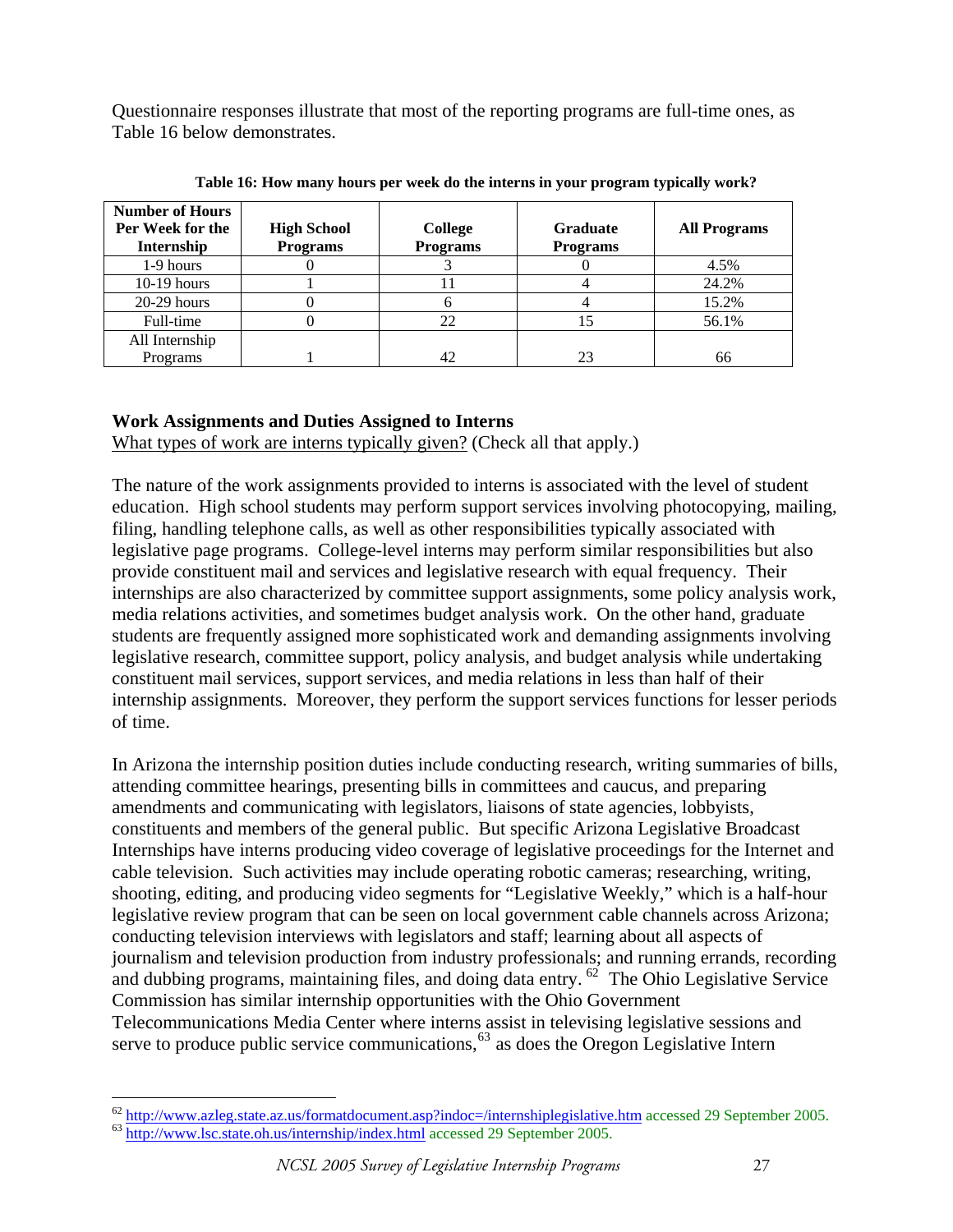Questionnaire responses illustrate that most of the reporting programs are full-time ones, as Table 16 below demonstrates.

| <b>Number of Hours</b><br>Per Week for the<br>Internship | <b>High School</b><br><b>Programs</b> | College<br><b>Programs</b> | <b>Graduate</b><br><b>Programs</b> | <b>All Programs</b> |
|----------------------------------------------------------|---------------------------------------|----------------------------|------------------------------------|---------------------|
| 1-9 hours                                                |                                       |                            |                                    | 4.5%                |
| $10-19$ hours                                            |                                       |                            |                                    | 24.2%               |
| $20-29$ hours                                            |                                       |                            |                                    | 15.2%               |
| Full-time                                                |                                       | 22                         | 15                                 | 56.1%               |
| All Internship                                           |                                       |                            |                                    |                     |
| Programs                                                 |                                       |                            | 23                                 | 66                  |

**Table 16: How many hours per week do the interns in your program typically work?** 

# **Work Assignments and Duties Assigned to Interns**

What types of work are interns typically given? (Check all that apply.)

The nature of the work assignments provided to interns is associated with the level of student education. High school students may perform support services involving photocopying, mailing, filing, handling telephone calls, as well as other responsibilities typically associated with legislative page programs. College-level interns may perform similar responsibilities but also provide constituent mail and services and legislative research with equal frequency. Their internships are also characterized by committee support assignments, some policy analysis work, media relations activities, and sometimes budget analysis work. On the other hand, graduate students are frequently assigned more sophisticated work and demanding assignments involving legislative research, committee support, policy analysis, and budget analysis while undertaking constituent mail services, support services, and media relations in less than half of their internship assignments. Moreover, they perform the support services functions for lesser periods of time.

In Arizona the internship position duties include conducting research, writing summaries of bills, attending committee hearings, presenting bills in committees and caucus, and preparing amendments and communicating with legislators, liaisons of state agencies, lobbyists, constituents and members of the general public. But specific Arizona Legislative Broadcast Internships have interns producing video coverage of legislative proceedings for the Internet and cable television. Such activities may include operating robotic cameras; researching, writing, shooting, editing, and producing video segments for "Legislative Weekly," which is a half-hour legislative review program that can be seen on local government cable channels across Arizona; conducting television interviews with legislators and staff; learning about all aspects of journalism and television production from industry professionals; and running errands, recording and dubbing programs, maintaining files, and doing data entry. <sup>[62](#page-26-0)</sup> The Ohio Legislative Service Commission has similar internship opportunities with the Ohio Government Telecommunications Media Center where interns assist in televising legislative sessions and serve to produce public service communications,  $63$  as does the Oregon Legislative Intern

<span id="page-26-1"></span><span id="page-26-0"></span> $\frac{62 \text{ http://www.azleg.state.az.us/formation}ent.asp?indoc=/internshiplegislative.htm}$  accessed 29 September 2005.<br> $\frac{63 \text{ http://www.lsc.state.oh.us/internship/index.htm}}{53 \text{ http://www.lsc.state.oh.us/internship/index.htm}}$  accessed 29 September 2005.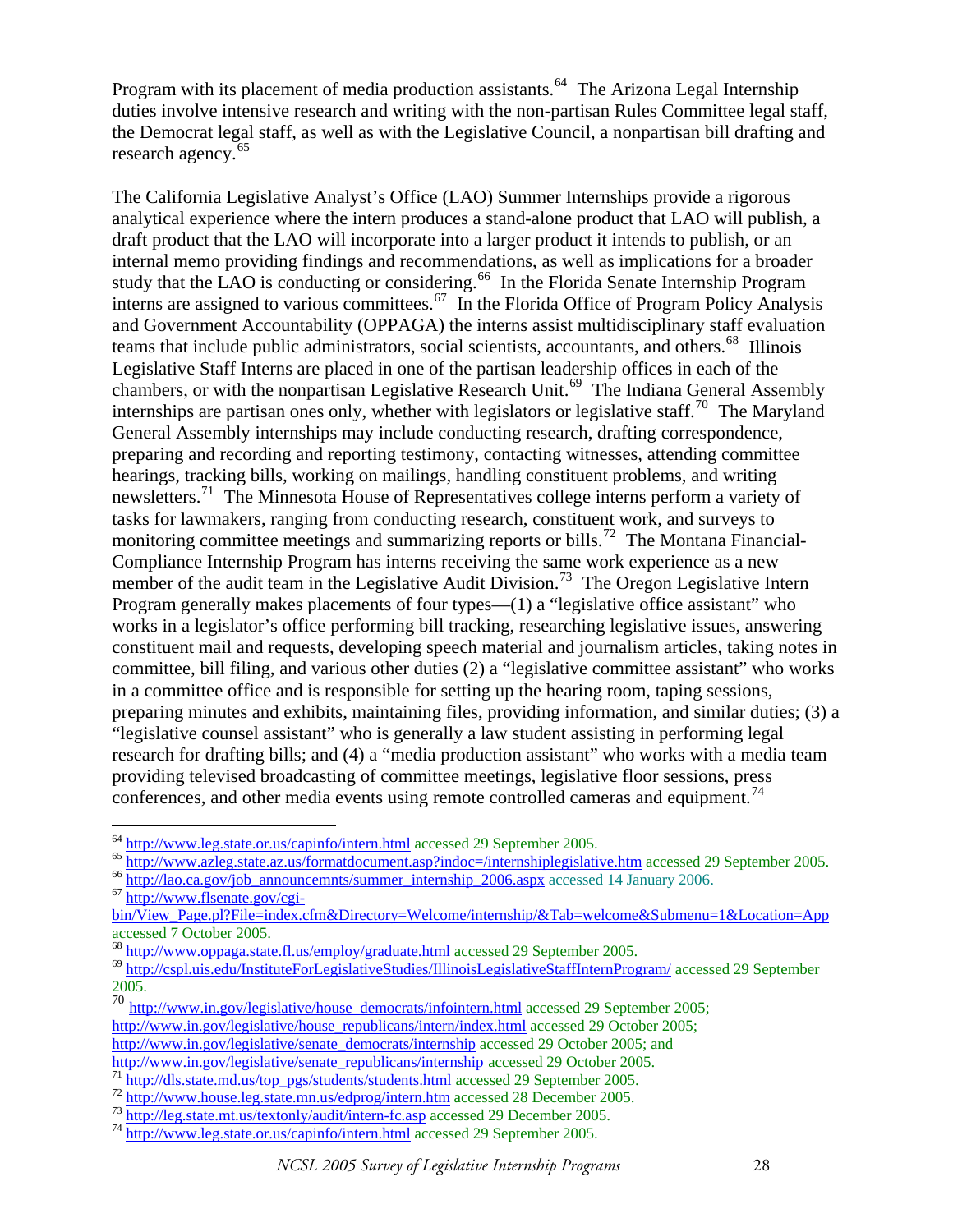Program with its placement of media production assistants.<sup>[64](#page-27-0)</sup> The Arizona Legal Internship duties involve intensive research and writing with the non-partisan Rules Committee legal staff, the Democrat legal staff, as well as with the Legislative Council, a nonpartisan bill drafting and research agency.<sup>[65](#page-27-1)</sup>

The California Legislative Analyst's Office (LAO) Summer Internships provide a rigorous analytical experience where the intern produces a stand-alone product that LAO will publish, a draft product that the LAO will incorporate into a larger product it intends to publish, or an internal memo providing findings and recommendations, as well as implications for a broader study that the LAO is conducting or considering.<sup>[66](#page-27-2)</sup> In the Florida Senate Internship Program interns are assigned to various committees.[67](#page-27-3) In the Florida Office of Program Policy Analysis and Government Accountability (OPPAGA) the interns assist multidisciplinary staff evaluation teams that include public administrators, social scientists, accountants, and others.<sup>[68](#page-27-4)</sup> Illinois Legislative Staff Interns are placed in one of the partisan leadership offices in each of the chambers, or with the nonpartisan Legislative Research Unit.<sup>[69](#page-27-5)</sup> The Indiana General Assembly internships are partisan ones only, whether with legislators or legislative staff.<sup>[70](#page-27-6)</sup> The Maryland General Assembly internships may include conducting research, drafting correspondence, preparing and recording and reporting testimony, contacting witnesses, attending committee hearings, tracking bills, working on mailings, handling constituent problems, and writing newsletters.<sup>[71](#page-27-7)</sup> The Minnesota House of Representatives college interns perform a variety of tasks for lawmakers, ranging from conducting research, constituent work, and surveys to monitoring committee meetings and summarizing reports or bills.<sup>[72](#page-27-8)</sup> The Montana Financial-Compliance Internship Program has interns receiving the same work experience as a new member of the audit team in the Legislative Audit Division.<sup>[73](#page-27-9)</sup> The Oregon Legislative Intern Program generally makes placements of four types—(1) a "legislative office assistant" who works in a legislator's office performing bill tracking, researching legislative issues, answering constituent mail and requests, developing speech material and journalism articles, taking notes in committee, bill filing, and various other duties (2) a "legislative committee assistant" who works in a committee office and is responsible for setting up the hearing room, taping sessions, preparing minutes and exhibits, maintaining files, providing information, and similar duties; (3) a "legislative counsel assistant" who is generally a law student assisting in performing legal research for drafting bills; and (4) a "media production assistant" who works with a media team providing televised broadcasting of committee meetings, legislative floor sessions, press conferences, and other media events using remote controlled cameras and equipment.<sup>[74](#page-27-10)</sup>

<span id="page-27-1"></span><span id="page-27-0"></span><sup>&</sup>lt;sup>64</sup> <http://www.leg.state.or.us/capinfo/intern.html>accessed 29 September 2005.<br>
<sup>65</sup> <http://www.azleg.state.az.us/formatdocument.asp?indoc=/internshiplegislative.htm>accessed 29 September 2005.<br>
<sup>66</sup> http://lao.ca.gov/jo

<span id="page-27-2"></span>

<span id="page-27-3"></span>

[bin/View\\_Page.pl?File=index.cfm&Directory=Welcome/internship/&Tab=welcome&Submenu=1&Location=App](http://www.flsenate.gov/cgi-bin/View_Page.pl?File=index.cfm&Directory=Welcome/internship/&Tab=welcome&Submenu=1&Location=App) accessed 7 October 2005.<br><sup>68</sup> http://www.oppaga.state.fl.us/employ/graduate.html accessed 29 September 2005.

<span id="page-27-5"></span><span id="page-27-4"></span><sup>&</sup>lt;sup>69</sup> <http://cspl.uis.edu/InstituteForLegislativeStudies/IllinoisLegislativeStaffInternProgram/> accessed 29 September 2005.

<span id="page-27-6"></span><sup>70</sup> [http://www.in.gov/legislative/house\\_democrats/infointern.html](http://www.in.gov/legislative/house_democrats/infointern.html) accessed 29 September 2005; [http://www.in.gov/legislative/house\\_republicans/intern/index.html](http://www.in.gov/legislative/house_republicans/intern/index.html) accessed 29 October 2005; [http://www.in.gov/legislative/senate\\_democrats/internship](http://www.in.gov/legislative/senate_democrats/internship) accessed 29 October 2005; and http://www.in.gov/legislative/senate\_republicans/internship accessed 29 October 2005.

<span id="page-27-7"></span> $\frac{71 \text{ http://dls.state.md.us/top pgs/students/students.html}}{71 \text{ http://dls.state.md.us/top pgs/students/students.html}$  $\frac{71 \text{ http://dls.state.md.us/top pgs/students/students.html}}{71 \text{ http://dls.state.md.us/top pgs/students/students.html}$  $\frac{71 \text{ http://dls.state.md.us/top pgs/students/students.html}}{71 \text{ http://dls.state.md.us/top pgs/students/students.html}$  accessed 29 September 2005.<br>  $\frac{72 \text{ http://www.house.leg.state.mn.us/edprog/intern.html}}{73 \text{ http://leg.state.mt.us/textonly/audit/intern-fc.asp}$ accessed 29 December 2005.

<span id="page-27-8"></span>

<span id="page-27-10"></span><span id="page-27-9"></span>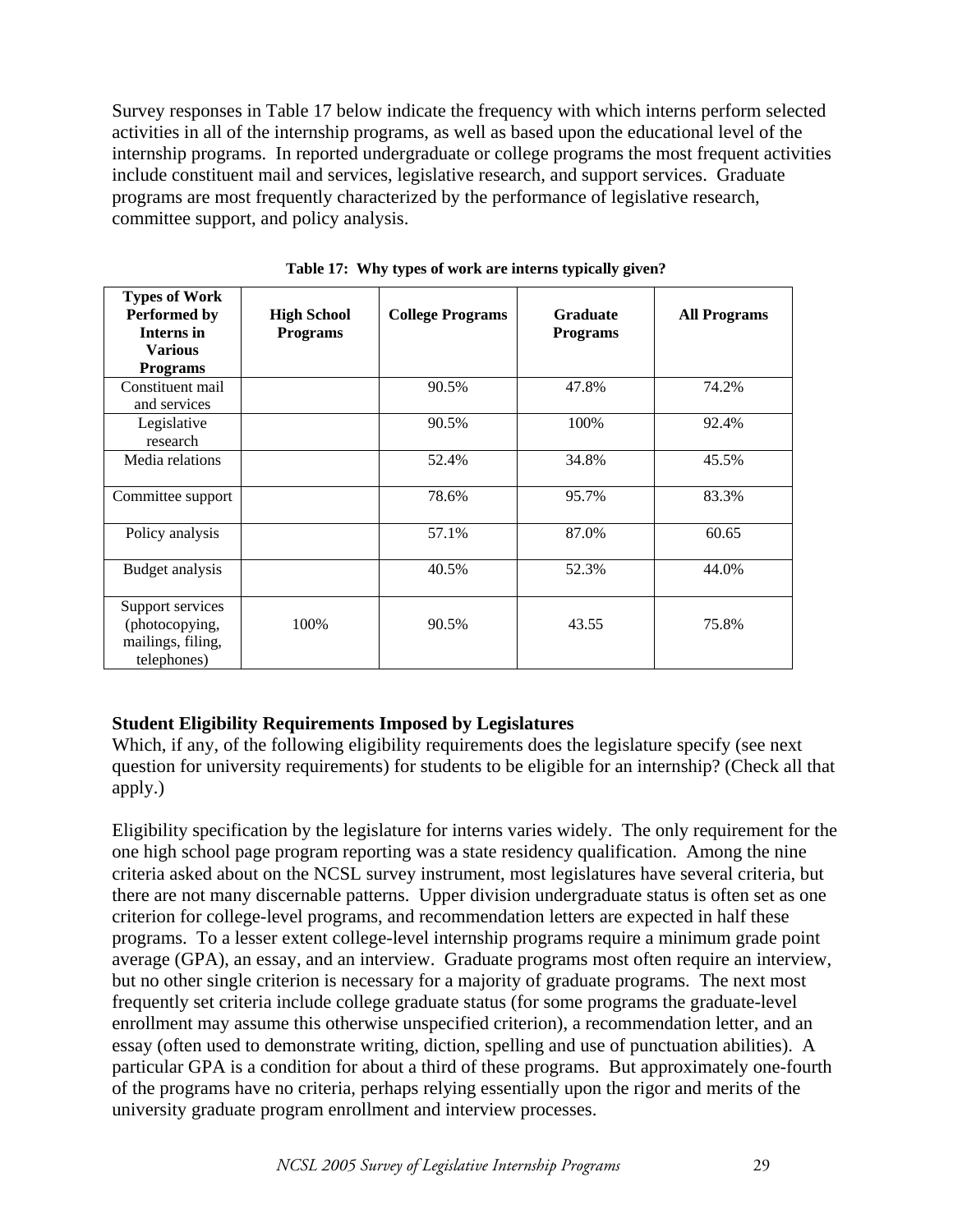Survey responses in Table 17 below indicate the frequency with which interns perform selected activities in all of the internship programs, as well as based upon the educational level of the internship programs. In reported undergraduate or college programs the most frequent activities include constituent mail and services, legislative research, and support services. Graduate programs are most frequently characterized by the performance of legislative research, committee support, and policy analysis.

| <b>Types of Work</b><br><b>Performed by</b><br><b>Interns in</b><br><b>Various</b><br><b>Programs</b> | <b>High School</b><br><b>Programs</b> | <b>College Programs</b> | <b>Graduate</b><br><b>Programs</b> | <b>All Programs</b> |
|-------------------------------------------------------------------------------------------------------|---------------------------------------|-------------------------|------------------------------------|---------------------|
| Constituent mail<br>and services                                                                      |                                       | 90.5%                   | 47.8%                              | 74.2%               |
| Legislative<br>research                                                                               |                                       | 90.5%                   | 100%                               | 92.4%               |
| Media relations                                                                                       |                                       | 52.4%                   | 34.8%                              | 45.5%               |
| Committee support                                                                                     |                                       | 78.6%                   | 95.7%                              | 83.3%               |
| Policy analysis                                                                                       |                                       | 57.1%                   | 87.0%                              | 60.65               |
| Budget analysis                                                                                       |                                       | 40.5%                   | 52.3%                              | 44.0%               |
| Support services<br>(photocopying,<br>mailings, filing,<br>telephones)                                | 100%                                  | 90.5%                   | 43.55                              | 75.8%               |

**Table 17: Why types of work are interns typically given?** 

# **Student Eligibility Requirements Imposed by Legislatures**

Which, if any, of the following eligibility requirements does the legislature specify (see next question for university requirements) for students to be eligible for an internship? (Check all that apply.)

Eligibility specification by the legislature for interns varies widely. The only requirement for the one high school page program reporting was a state residency qualification. Among the nine criteria asked about on the NCSL survey instrument, most legislatures have several criteria, but there are not many discernable patterns. Upper division undergraduate status is often set as one criterion for college-level programs, and recommendation letters are expected in half these programs. To a lesser extent college-level internship programs require a minimum grade point average (GPA), an essay, and an interview. Graduate programs most often require an interview, but no other single criterion is necessary for a majority of graduate programs. The next most frequently set criteria include college graduate status (for some programs the graduate-level enrollment may assume this otherwise unspecified criterion), a recommendation letter, and an essay (often used to demonstrate writing, diction, spelling and use of punctuation abilities). A particular GPA is a condition for about a third of these programs. But approximately one-fourth of the programs have no criteria, perhaps relying essentially upon the rigor and merits of the university graduate program enrollment and interview processes.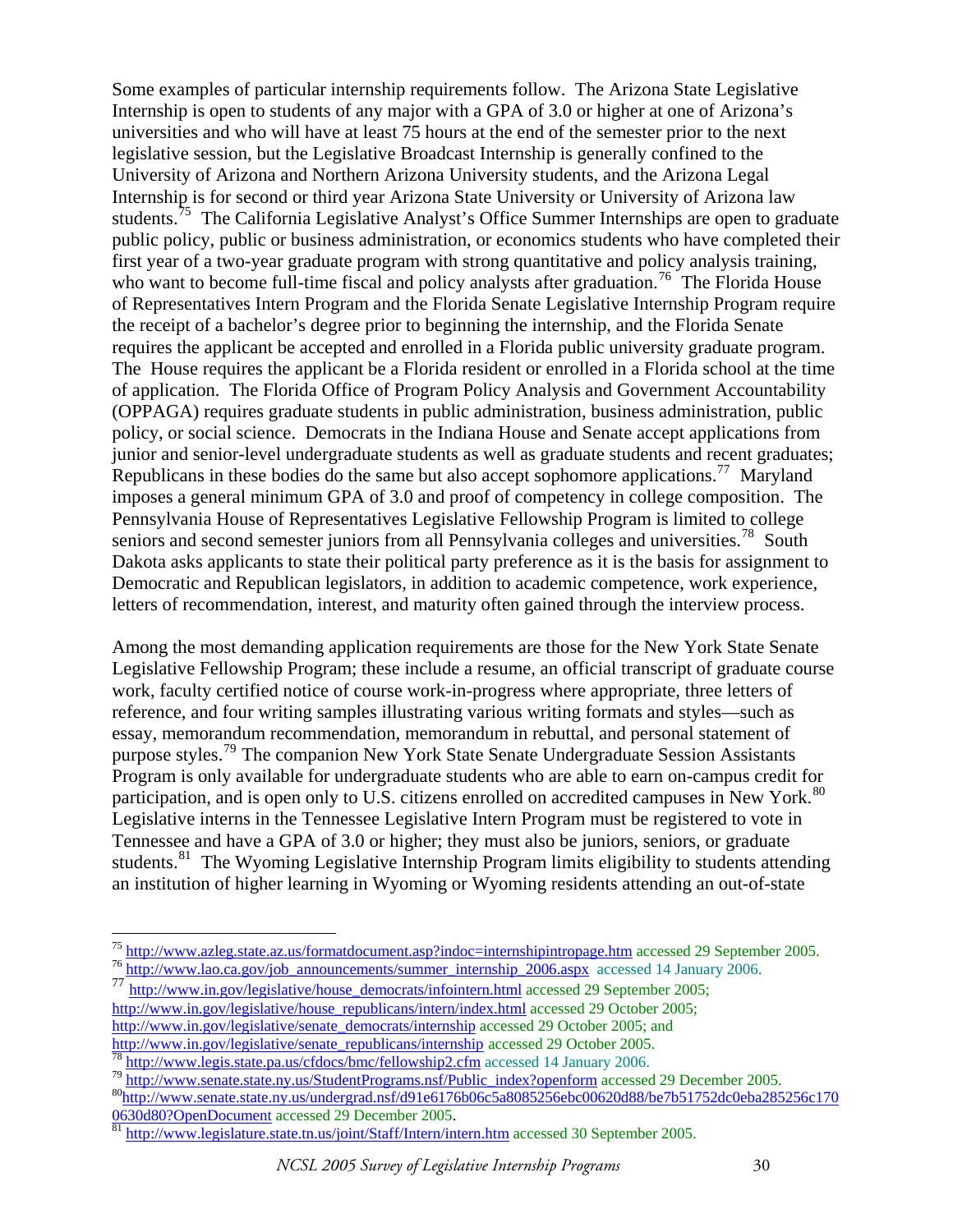Some examples of particular internship requirements follow. The Arizona State Legislative Internship is open to students of any major with a GPA of 3.0 or higher at one of Arizona's universities and who will have at least 75 hours at the end of the semester prior to the next legislative session, but the Legislative Broadcast Internship is generally confined to the University of Arizona and Northern Arizona University students, and the Arizona Legal Internship is for second or third year Arizona State University or University of Arizona law students.<sup>[75](#page-29-0)</sup> The California Legislative Analyst's Office Summer Internships are open to graduate public policy, public or business administration, or economics students who have completed their first year of a two-year graduate program with strong quantitative and policy analysis training, who want to become full-time fiscal and policy analysts after graduation.<sup>[76](#page-29-1)</sup> The Florida House of Representatives Intern Program and the Florida Senate Legislative Internship Program require the receipt of a bachelor's degree prior to beginning the internship, and the Florida Senate requires the applicant be accepted and enrolled in a Florida public university graduate program. The House requires the applicant be a Florida resident or enrolled in a Florida school at the time of application. The Florida Office of Program Policy Analysis and Government Accountability (OPPAGA) requires graduate students in public administration, business administration, public policy, or social science. Democrats in the Indiana House and Senate accept applications from junior and senior-level undergraduate students as well as graduate students and recent graduates; Republicans in these bodies do the same but also accept sophomore applications.<sup>[77](#page-29-2)</sup> Maryland imposes a general minimum GPA of 3.0 and proof of competency in college composition. The Pennsylvania House of Representatives Legislative Fellowship Program is limited to college seniors and second semester juniors from all Pennsylvania colleges and universities.<sup>[78](#page-29-3)</sup> South Dakota asks applicants to state their political party preference as it is the basis for assignment to Democratic and Republican legislators, in addition to academic competence, work experience, letters of recommendation, interest, and maturity often gained through the interview process.

Among the most demanding application requirements are those for the New York State Senate Legislative Fellowship Program; these include a resume, an official transcript of graduate course work, faculty certified notice of course work-in-progress where appropriate, three letters of reference, and four writing samples illustrating various writing formats and styles—such as essay, memorandum recommendation, memorandum in rebuttal, and personal statement of purpose styles.<sup>[79](#page-29-4)</sup> The companion New York State Senate Undergraduate Session Assistants Program is only available for undergraduate students who are able to earn on-campus credit for participation, and is open only to U.S. citizens enrolled on accredited campuses in New York.<sup>[80](#page-29-5)</sup> Legislative interns in the Tennessee Legislative Intern Program must be registered to vote in Tennessee and have a GPA of 3.0 or higher; they must also be juniors, seniors, or graduate students.<sup>[81](#page-29-6)</sup> The Wyoming Legislative Internship Program limits eligibility to students attending an institution of higher learning in Wyoming or Wyoming residents attending an out-of-state

<span id="page-29-0"></span><sup>&</sup>lt;sup>75</sup> http://www.azleg.state.az.us/formatdocument.asp?indoc=internshipintropage.htm accessed 29 September 2005. <sup>75</sup> <http://www.azleg.state.az.us/formatdocument.asp?indoc=internshipintropage.htm>accessed 29 September 2005. <sup>76</sup> [http://www.lao.ca.gov/job\\_announcements/summer\\_internship\\_2006.aspx](http://www.lao.ca.gov/job_announcements/summer_internship_2006.aspx) accessed 14 January 2006.

<span id="page-29-2"></span><span id="page-29-1"></span><sup>77</sup> [http://www.in.gov/legislative/house\\_democrats/infointern.html](http://www.in.gov/legislative/house_democrats/infointern.html) accessed 29 September 2005; [http://www.in.gov/legislative/house\\_republicans/intern/index.html](http://www.in.gov/legislative/house_republicans/intern/index.html) accessed 29 October 2005;

[http://www.in.gov/legislative/senate\\_democrats/internship](http://www.in.gov/legislative/senate_democrats/internship) accessed 29 October 2005; and http://www.in.gov/legislative/senate\_republicans/internship accessed 29 October 2005.

<span id="page-29-4"></span><span id="page-29-3"></span>

<span id="page-29-5"></span>

<sup>&</sup>lt;sup>[78](http://www.in.gov/legislative/senate_republicans/internship)</sup> http://www.legis.state.pa.us/cfdocs/bmc/fellowship2.cfm<br><sup>79</sup> [http://www.senate.state.ny.us/StudentPrograms.nsf/Public\\_index?openform](http://www.senate.state.ny.us/StudentPrograms.nsf/Public_index?openform) accessed 29 December 2005.<br><sup>80</sup>http://www.senate.state.ny.us/undergrad.nsf/d91e6176b

<span id="page-29-6"></span>[<sup>81</sup>](http://www.senate.state.ny.us/undergrad.nsf/d91e6176b06c5a8085256ebc00620d88/be7b51752dc0eba285256c1700630d80?OpenDocument) <http://www.legislature.state.tn.us/joint/Staff/Intern/intern.htm> accessed 30 September 2005.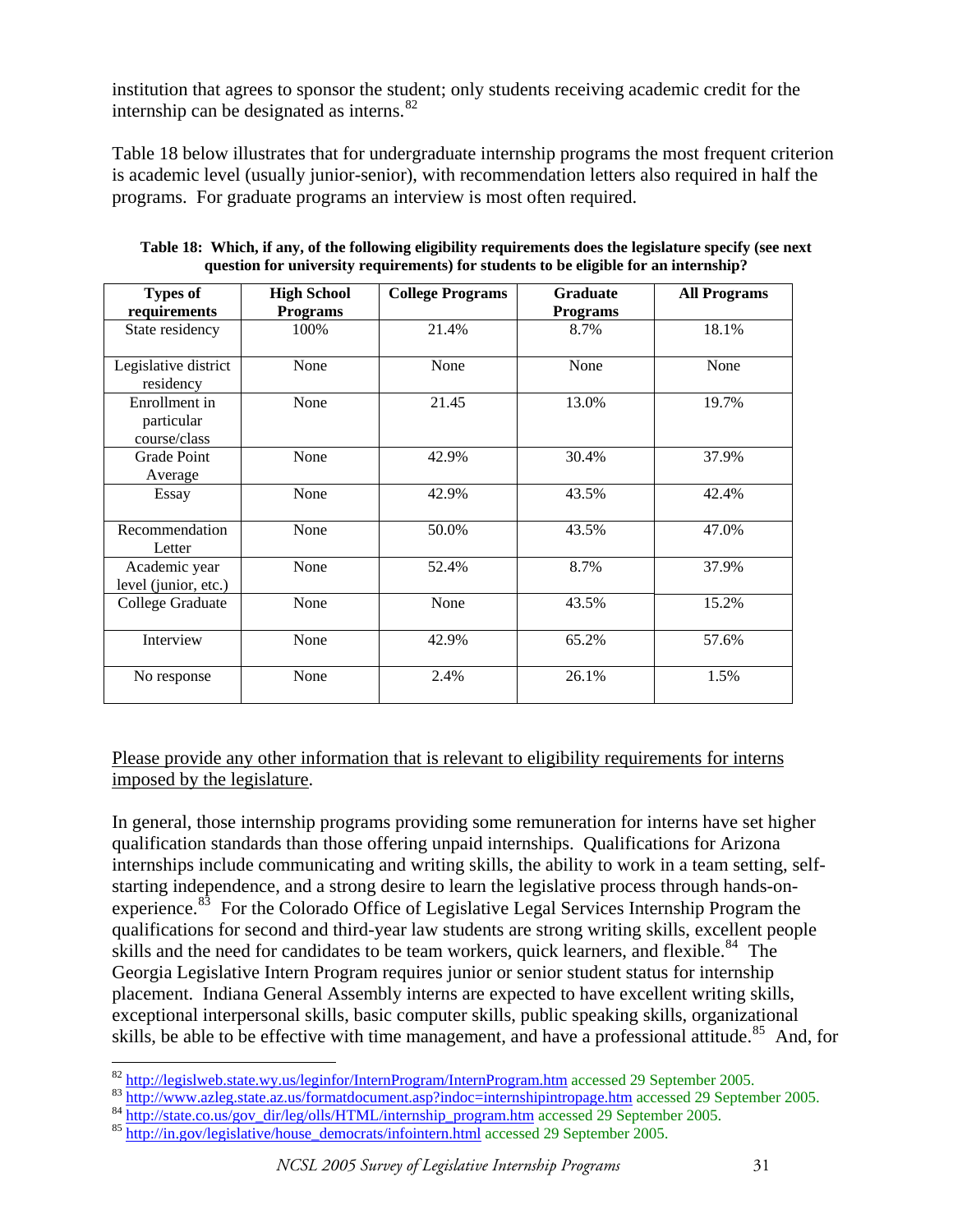institution that agrees to sponsor the student; only students receiving academic credit for the internship can be designated as interns. $82$ 

Table 18 below illustrates that for undergraduate internship programs the most frequent criterion is academic level (usually junior-senior), with recommendation letters also required in half the programs. For graduate programs an interview is most often required.

| <b>Types of</b>                             | <b>High School</b> | <b>College Programs</b> | <b>Graduate</b> | <b>All Programs</b> |
|---------------------------------------------|--------------------|-------------------------|-----------------|---------------------|
| requirements                                | <b>Programs</b>    |                         | <b>Programs</b> |                     |
| State residency                             | 100%               | 21.4%                   | 8.7%            | 18.1%               |
| Legislative district<br>residency           | None               | None                    | None            | None                |
| Enrollment in<br>particular<br>course/class | None               | 21.45                   | 13.0%           | 19.7%               |
| Grade Point<br>Average                      | None               | 42.9%                   | 30.4%           | 37.9%               |
| Essay                                       | None               | 42.9%                   | 43.5%           | 42.4%               |
| Recommendation<br>Letter                    | None               | 50.0%                   | 43.5%           | 47.0%               |
| Academic year<br>level (junior, etc.)       | None               | 52.4%                   | 8.7%            | 37.9%               |
| College Graduate                            | None               | None                    | 43.5%           | 15.2%               |
| Interview                                   | None               | 42.9%                   | 65.2%           | 57.6%               |
| No response                                 | None               | 2.4%                    | 26.1%           | 1.5%                |

**Table 18: Which, if any, of the following eligibility requirements does the legislature specify (see next question for university requirements) for students to be eligible for an internship?** 

# Please provide any other information that is relevant to eligibility requirements for interns imposed by the legislature.

In general, those internship programs providing some remuneration for interns have set higher qualification standards than those offering unpaid internships. Qualifications for Arizona internships include communicating and writing skills, the ability to work in a team setting, selfstarting independence, and a strong desire to learn the legislative process through hands-on-experience.<sup>[83](#page-30-1)</sup> For the Colorado Office of Legislative Legal Services Internship Program the qualifications for second and third-year law students are strong writing skills, excellent people skills and the need for candidates to be team workers, quick learners, and flexible.<sup>[84](#page-30-2)</sup> The Georgia Legislative Intern Program requires junior or senior student status for internship placement. Indiana General Assembly interns are expected to have excellent writing skills, exceptional interpersonal skills, basic computer skills, public speaking skills, organizational skills, be able to be effective with time management, and have a professional attitude.<sup>[85](#page-30-3)</sup> And, for

<sup>82</sup> http://legislweb.state.wy.us/leginfor/InternProgram/InternProgram.htm accessed 29 September 2005.

<span id="page-30-1"></span><span id="page-30-0"></span><sup>&</sup>lt;sup>83</sup> <http://www.azleg.state.az.us/formatdocument.asp?indoc=internshipintropage.htm>accessed 29 September 2005.<br><sup>84</sup> http://state.co.us/gov dir/leg/olls/HTML/internship program.htm accessed 29 September 2005.<br><sup>85</sup> http://in

<span id="page-30-3"></span><span id="page-30-2"></span>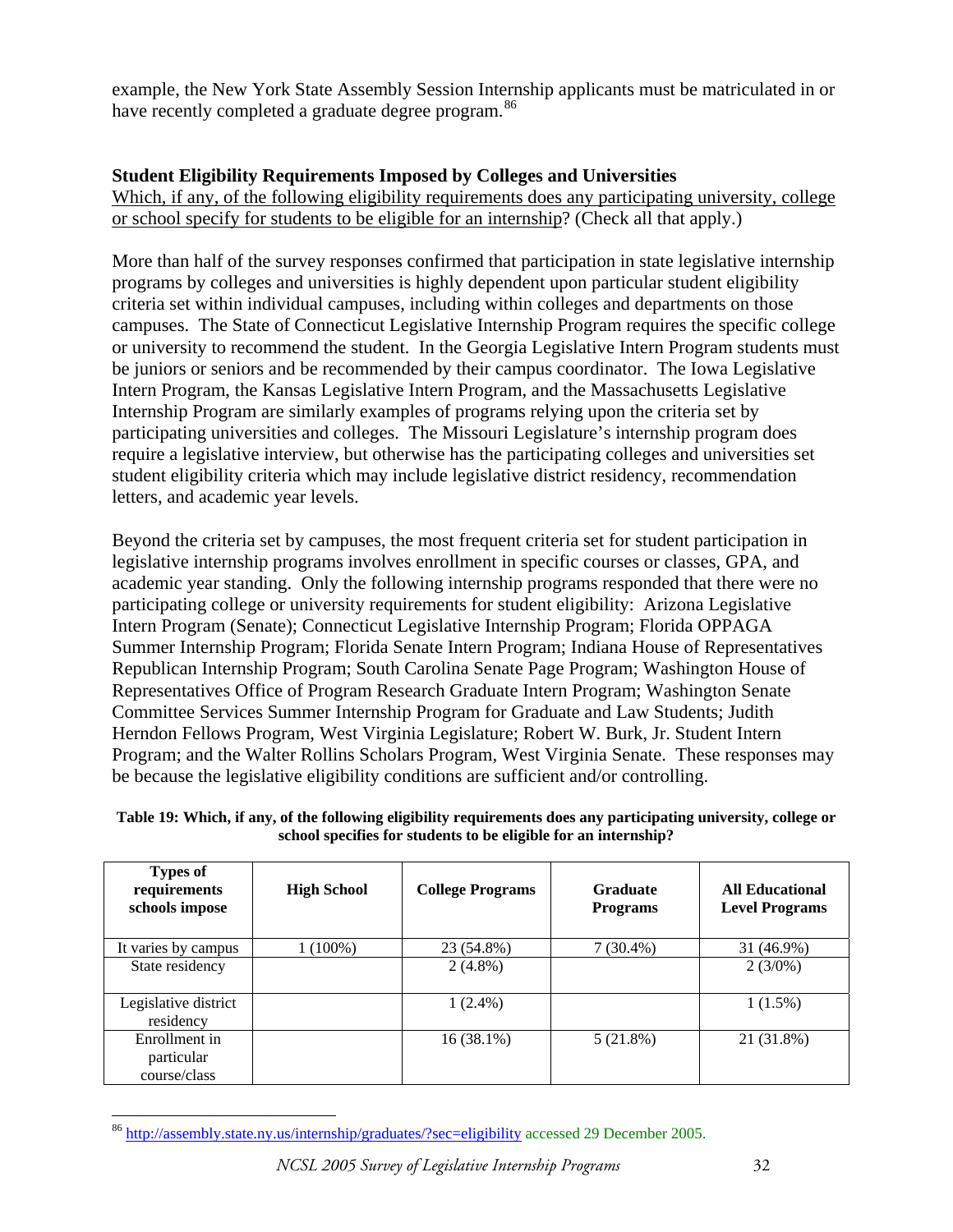example, the New York State Assembly Session Internship applicants must be matriculated in or have recently completed a graduate degree program.<sup>[86](#page-31-0)</sup>

# **Student Eligibility Requirements Imposed by Colleges and Universities**

Which, if any, of the following eligibility requirements does any participating university, college or school specify for students to be eligible for an internship? (Check all that apply.)

More than half of the survey responses confirmed that participation in state legislative internship programs by colleges and universities is highly dependent upon particular student eligibility criteria set within individual campuses, including within colleges and departments on those campuses. The State of Connecticut Legislative Internship Program requires the specific college or university to recommend the student. In the Georgia Legislative Intern Program students must be juniors or seniors and be recommended by their campus coordinator. The Iowa Legislative Intern Program, the Kansas Legislative Intern Program, and the Massachusetts Legislative Internship Program are similarly examples of programs relying upon the criteria set by participating universities and colleges. The Missouri Legislature's internship program does require a legislative interview, but otherwise has the participating colleges and universities set student eligibility criteria which may include legislative district residency, recommendation letters, and academic year levels.

Beyond the criteria set by campuses, the most frequent criteria set for student participation in legislative internship programs involves enrollment in specific courses or classes, GPA, and academic year standing. Only the following internship programs responded that there were no participating college or university requirements for student eligibility: Arizona Legislative Intern Program (Senate); Connecticut Legislative Internship Program; Florida OPPAGA Summer Internship Program; Florida Senate Intern Program; Indiana House of Representatives Republican Internship Program; South Carolina Senate Page Program; Washington House of Representatives Office of Program Research Graduate Intern Program; Washington Senate Committee Services Summer Internship Program for Graduate and Law Students; Judith Herndon Fellows Program, West Virginia Legislature; Robert W. Burk, Jr. Student Intern Program; and the Walter Rollins Scholars Program, West Virginia Senate. These responses may be because the legislative eligibility conditions are sufficient and/or controlling.

| <b>Types of</b><br>requirements<br>schools impose | <b>High School</b> | <b>College Programs</b> | <b>Graduate</b><br><b>Programs</b> | <b>All Educational</b><br><b>Level Programs</b> |
|---------------------------------------------------|--------------------|-------------------------|------------------------------------|-------------------------------------------------|
| It varies by campus                               | 1 (100%)           | 23 (54.8%)              | $7(30.4\%)$                        | 31 (46.9%)                                      |
| State residency                                   |                    | $2(4.8\%)$              |                                    | 2(3/0%)                                         |
| Legislative district<br>residency                 |                    | $1(2.4\%)$              |                                    | $1(1.5\%)$                                      |
| Enrollment in<br>particular<br>course/class       |                    | 16(38.1%)               | 5(21.8%)                           | 21 (31.8%)                                      |

**Table 19: Which, if any, of the following eligibility requirements does any participating university, college or school specifies for students to be eligible for an internship?** 

<span id="page-31-0"></span> $\overline{a}$ <sup>86</sup> <http://assembly.state.ny.us/internship/graduates/?sec=eligibility> accessed 29 December 2005.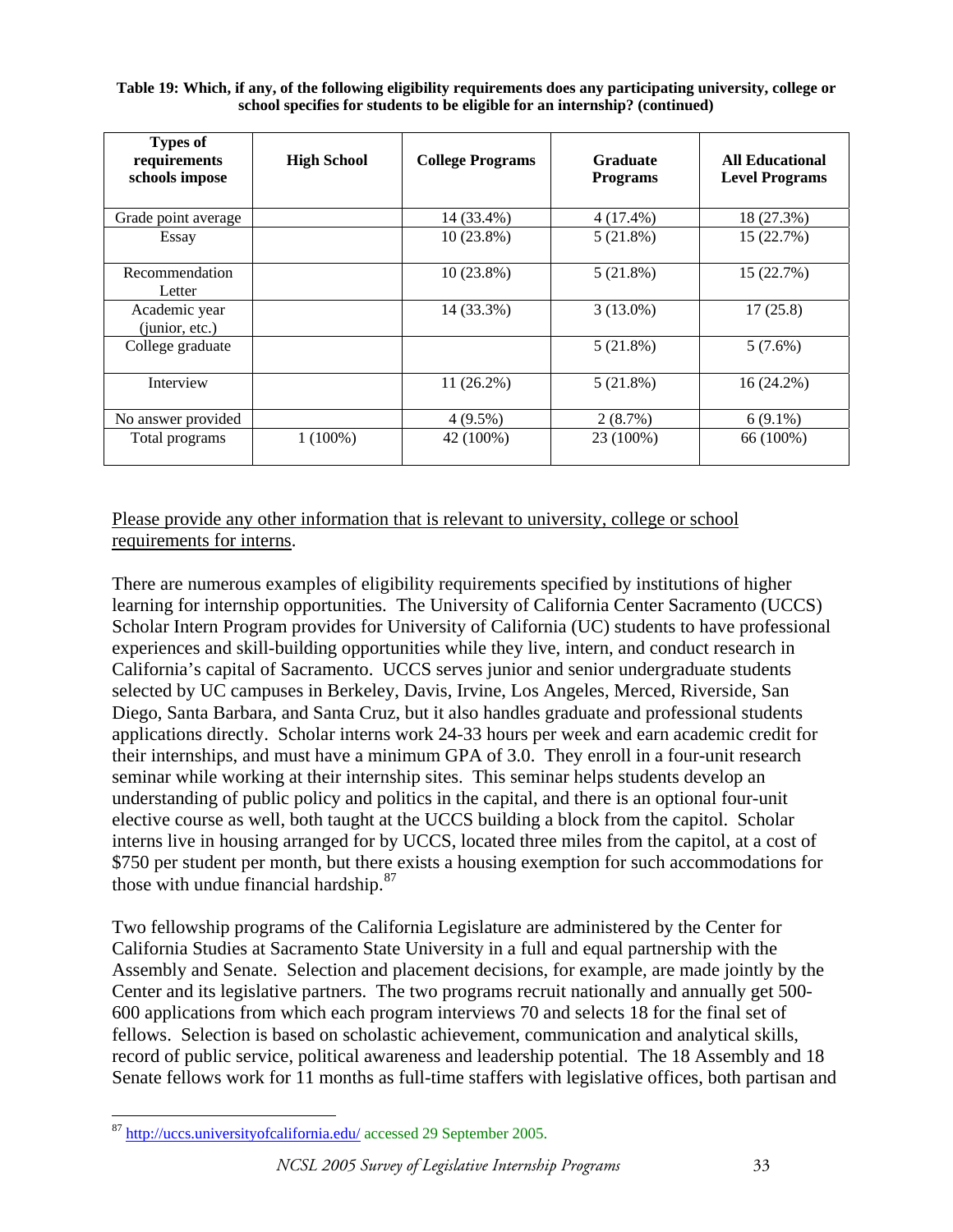**Table 19: Which, if any, of the following eligibility requirements does any participating university, college or school specifies for students to be eligible for an internship? (continued)** 

| <b>Types of</b><br>requirements<br>schools impose | <b>High School</b> | <b>College Programs</b> | <b>Graduate</b><br><b>Programs</b> | <b>All Educational</b><br><b>Level Programs</b> |
|---------------------------------------------------|--------------------|-------------------------|------------------------------------|-------------------------------------------------|
| Grade point average                               |                    | 14 (33.4%)              | $4(17.4\%)$                        | 18 (27.3%)                                      |
| Essay                                             |                    | $10(23.8\%)$            | 5(21.8%)                           | 15 (22.7%)                                      |
| Recommendation<br>Letter                          |                    | $10(23.8\%)$            | 5(21.8%)                           | 15 (22.7%)                                      |
| Academic year<br>(junior, etc.)                   |                    | 14 (33.3%)              | $3(13.0\%)$                        | 17(25.8)                                        |
| College graduate                                  |                    |                         | 5(21.8%)                           | $5(7.6\%)$                                      |
| Interview                                         |                    | $11(26.2\%)$            | 5(21.8%)                           | 16 (24.2%)                                      |
| No answer provided                                |                    | 4 (9.5%)                | 2(8.7%)                            | $6(9.1\%)$                                      |
| Total programs                                    | $1(100\%)$         | 42 (100%)               | 23 (100%)                          | 66 (100%)                                       |

# Please provide any other information that is relevant to university, college or school requirements for interns.

There are numerous examples of eligibility requirements specified by institutions of higher learning for internship opportunities. The University of California Center Sacramento (UCCS) Scholar Intern Program provides for University of California (UC) students to have professional experiences and skill-building opportunities while they live, intern, and conduct research in California's capital of Sacramento. UCCS serves junior and senior undergraduate students selected by UC campuses in Berkeley, Davis, Irvine, Los Angeles, Merced, Riverside, San Diego, Santa Barbara, and Santa Cruz, but it also handles graduate and professional students applications directly. Scholar interns work 24-33 hours per week and earn academic credit for their internships, and must have a minimum GPA of 3.0. They enroll in a four-unit research seminar while working at their internship sites. This seminar helps students develop an understanding of public policy and politics in the capital, and there is an optional four-unit elective course as well, both taught at the UCCS building a block from the capitol. Scholar interns live in housing arranged for by UCCS, located three miles from the capitol, at a cost of \$750 per student per month, but there exists a housing exemption for such accommodations for those with undue financial hardship. $87$ 

Two fellowship programs of the California Legislature are administered by the Center for California Studies at Sacramento State University in a full and equal partnership with the Assembly and Senate. Selection and placement decisions, for example, are made jointly by the Center and its legislative partners. The two programs recruit nationally and annually get 500- 600 applications from which each program interviews 70 and selects 18 for the final set of fellows. Selection is based on scholastic achievement, communication and analytical skills, record of public service, political awareness and leadership potential. The 18 Assembly and 18 Senate fellows work for 11 months as full-time staffers with legislative offices, both partisan and

<span id="page-32-0"></span> $\overline{a}$ <sup>87</sup> <http://uccs.universityofcalifornia.edu/>accessed 29 September 2005.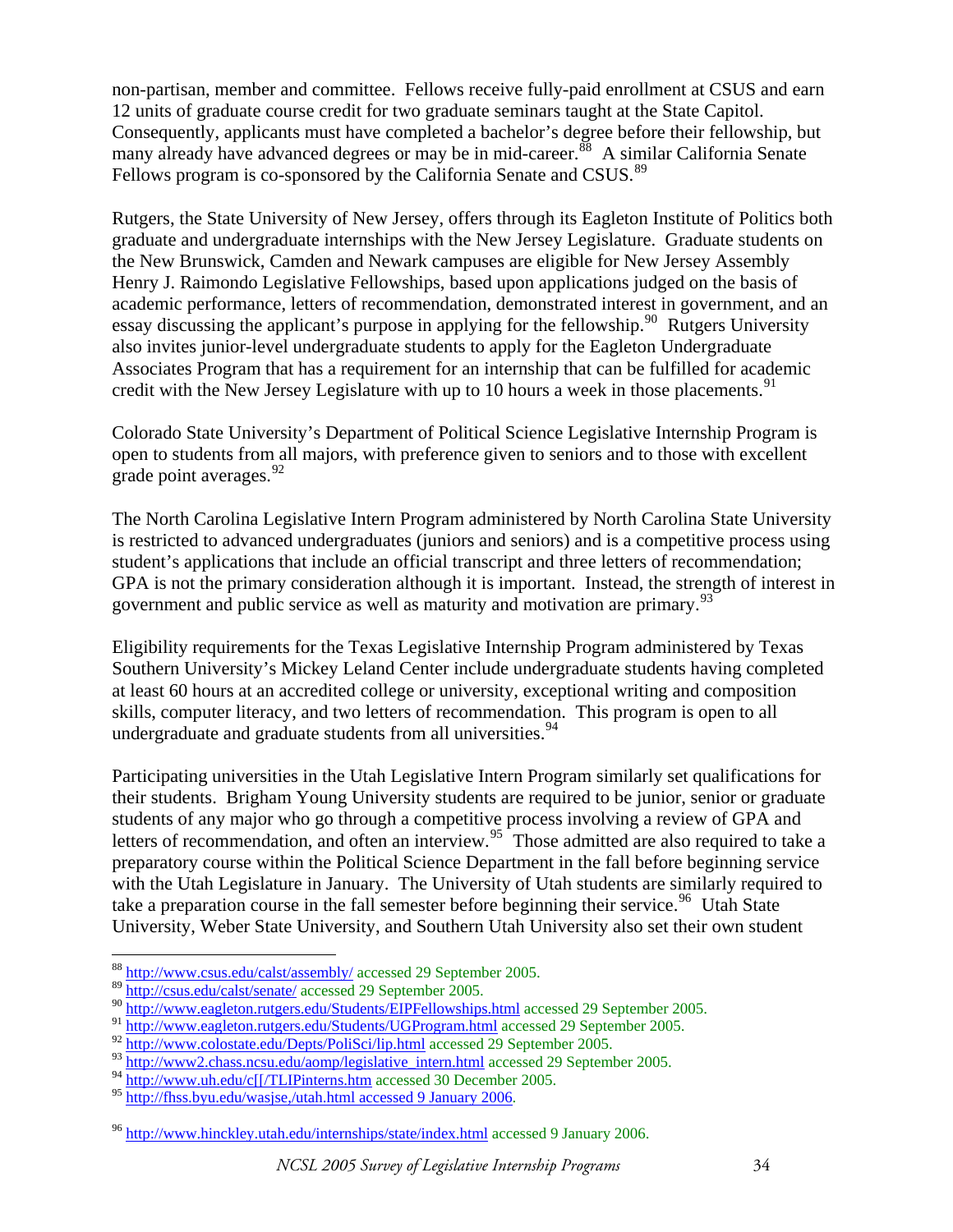non-partisan, member and committee. Fellows receive fully-paid enrollment at CSUS and earn 12 units of graduate course credit for two graduate seminars taught at the State Capitol. Consequently, applicants must have completed a bachelor's degree before their fellowship, but many already have advanced degrees or may be in mid-career.<sup>[88](#page-33-0)</sup> A similar California Senate Fellows program is co-sponsored by the California Senate and CSUS.<sup>[89](#page-33-1)</sup>

Rutgers, the State University of New Jersey, offers through its Eagleton Institute of Politics both graduate and undergraduate internships with the New Jersey Legislature. Graduate students on the New Brunswick, Camden and Newark campuses are eligible for New Jersey Assembly Henry J. Raimondo Legislative Fellowships, based upon applications judged on the basis of academic performance, letters of recommendation, demonstrated interest in government, and an essay discussing the applicant's purpose in applying for the fellowship.<sup>[90](#page-33-2)</sup> Rutgers University also invites junior-level undergraduate students to apply for the Eagleton Undergraduate Associates Program that has a requirement for an internship that can be fulfilled for academic credit with the New Jersey Legislature with up to 10 hours a week in those placements.<sup>[91](#page-33-3)</sup>

Colorado State University's Department of Political Science Legislative Internship Program is open to students from all majors, with preference given to seniors and to those with excellent grade point averages.  $92$ 

The North Carolina Legislative Intern Program administered by North Carolina State University is restricted to advanced undergraduates (juniors and seniors) and is a competitive process using student's applications that include an official transcript and three letters of recommendation; GPA is not the primary consideration although it is important. Instead, the strength of interest in government and public service as well as maturity and motivation are primary.<sup>[93](#page-33-5)</sup>

Eligibility requirements for the Texas Legislative Internship Program administered by Texas Southern University's Mickey Leland Center include undergraduate students having completed at least 60 hours at an accredited college or university, exceptional writing and composition skills, computer literacy, and two letters of recommendation. This program is open to all undergraduate and graduate students from all universities.<sup>[94](#page-33-6)</sup>

Participating universities in the Utah Legislative Intern Program similarly set qualifications for their students. Brigham Young University students are required to be junior, senior or graduate students of any major who go through a competitive process involving a review of GPA and letters of recommendation, and often an interview.<sup>[95](#page-33-7)</sup> Those admitted are also required to take a preparatory course within the Political Science Department in the fall before beginning service with the Utah Legislature in January. The University of Utah students are similarly required to take a preparation course in the fall semester before beginning their service.<sup>[96](#page-33-8)</sup> Utah State University, Weber State University, and Southern Utah University also set their own student

<span id="page-33-0"></span><sup>88</sup> <http://www.csus.edu/calst/assembly/>accessed 29 September 2005.

<span id="page-33-1"></span><sup>89</sup> <http://csus.edu/calst/senate/>accessed 29 September 2005.

<span id="page-33-2"></span><sup>90</sup> <http://www.eagleton.rutgers.edu/Students/EIPFellowships.html> accessed 29 September 2005.

<span id="page-33-3"></span><sup>91</sup> <http://www.eagleton.rutgers.edu/Students/UGProgram.html>accessed 29 September 2005.

<span id="page-33-4"></span><sup>92</sup> <http://www.colostate.edu/Depts/PoliSci/lip.html> accessed 29 September 2005.

<span id="page-33-5"></span><sup>93</sup> [http://www2.chass.ncsu.edu/aomp/legislative\\_intern.html](http://www2.chass.ncsu.edu/aomp/legislative_intern.html) accessed 29 September 2005.

<span id="page-33-6"></span><sup>94</sup> [http://www.uh.edu/c\[\[/TLIPinterns.htm](http://www.uh.edu/c%5B%5B/TLIPinterns.htm) accessed 30 December 2005.

<span id="page-33-7"></span><sup>95</sup> [http://fhss.byu.edu/wasjse,/utah.html accessed 9 January 2006](http://fhss.byu.edu/wasjse,/utah.html%20accessed%209%20January%202006).

<span id="page-33-8"></span><sup>96</sup> <http://www.hinckley.utah.edu/internships/state/index.html> accessed 9 January 2006.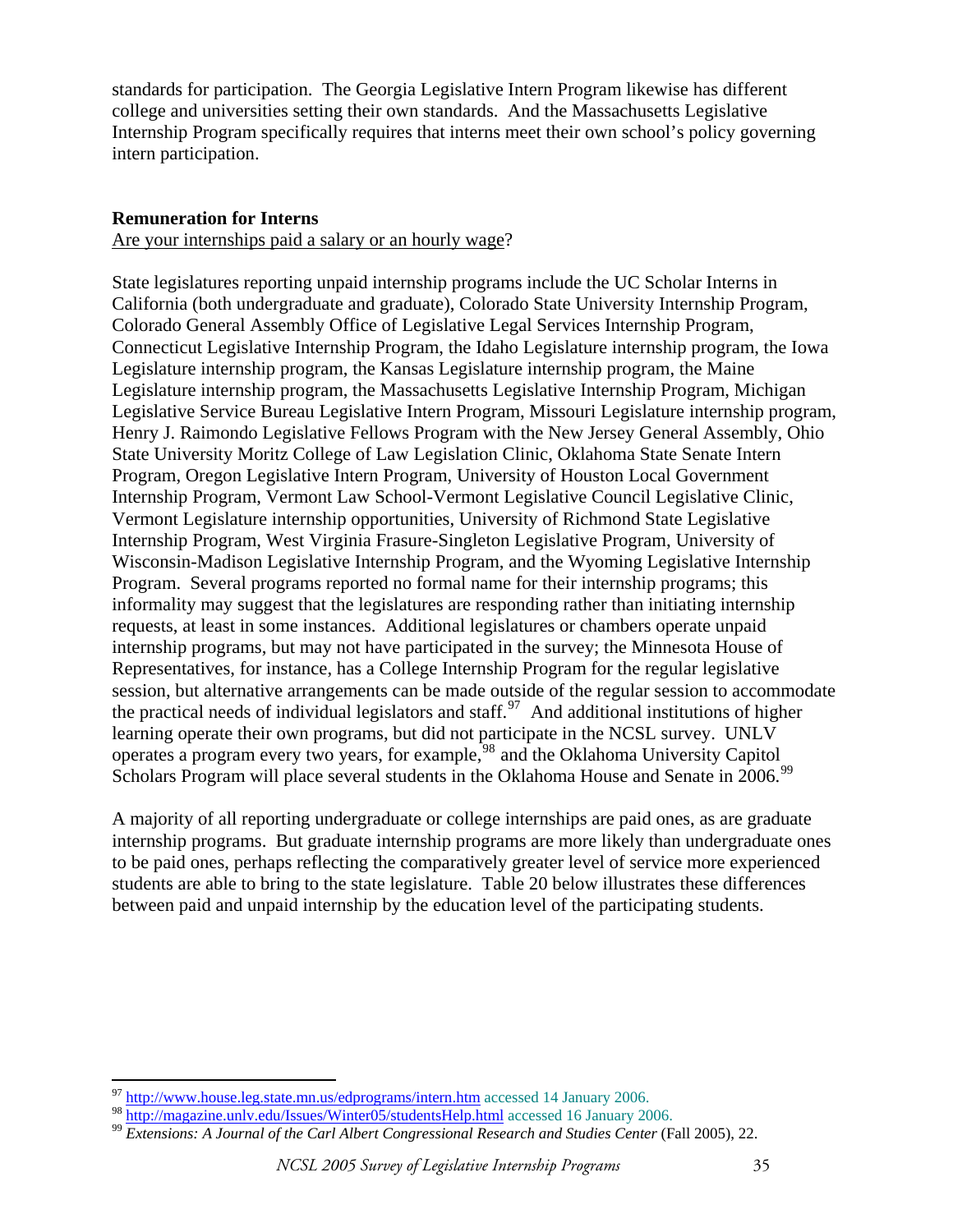standards for participation. The Georgia Legislative Intern Program likewise has different college and universities setting their own standards. And the Massachusetts Legislative Internship Program specifically requires that interns meet their own school's policy governing intern participation.

## **Remuneration for Interns**

Are your internships paid a salary or an hourly wage?

State legislatures reporting unpaid internship programs include the UC Scholar Interns in California (both undergraduate and graduate), Colorado State University Internship Program, Colorado General Assembly Office of Legislative Legal Services Internship Program, Connecticut Legislative Internship Program, the Idaho Legislature internship program, the Iowa Legislature internship program, the Kansas Legislature internship program, the Maine Legislature internship program, the Massachusetts Legislative Internship Program, Michigan Legislative Service Bureau Legislative Intern Program, Missouri Legislature internship program, Henry J. Raimondo Legislative Fellows Program with the New Jersey General Assembly, Ohio State University Moritz College of Law Legislation Clinic, Oklahoma State Senate Intern Program, Oregon Legislative Intern Program, University of Houston Local Government Internship Program, Vermont Law School-Vermont Legislative Council Legislative Clinic, Vermont Legislature internship opportunities, University of Richmond State Legislative Internship Program, West Virginia Frasure-Singleton Legislative Program, University of Wisconsin-Madison Legislative Internship Program, and the Wyoming Legislative Internship Program. Several programs reported no formal name for their internship programs; this informality may suggest that the legislatures are responding rather than initiating internship requests, at least in some instances. Additional legislatures or chambers operate unpaid internship programs, but may not have participated in the survey; the Minnesota House of Representatives, for instance, has a College Internship Program for the regular legislative session, but alternative arrangements can be made outside of the regular session to accommodate the practical needs of individual legislators and staff.<sup>[97](#page-34-0)</sup> And additional institutions of higher learning operate their own programs, but did not participate in the NCSL survey. UNLV operates a program every two years, for example,[98](#page-34-1) and the Oklahoma University Capitol Scholars Program will place several students in the Oklahoma House and Senate in 2006.<sup>[99](#page-34-2)</sup>

A majority of all reporting undergraduate or college internships are paid ones, as are graduate internship programs. But graduate internship programs are more likely than undergraduate ones to be paid ones, perhaps reflecting the comparatively greater level of service more experienced students are able to bring to the state legislature. Table 20 below illustrates these differences between paid and unpaid internship by the education level of the participating students.

 $\overline{a}$ <sup>97</sup> <http://www.house.leg.state.mn.us/edprograms/intern.htm> accessed 14 January 2006.

<span id="page-34-2"></span><span id="page-34-1"></span><span id="page-34-0"></span><sup>98</sup> http://magazine.unlv.edu/Issues/Winter05/studentsHelp.html accessed 16 January 2006. 99 *Extensions: A Journal of the Carl Albert Congressional Research and Studies Center* (Fall 2005), 22.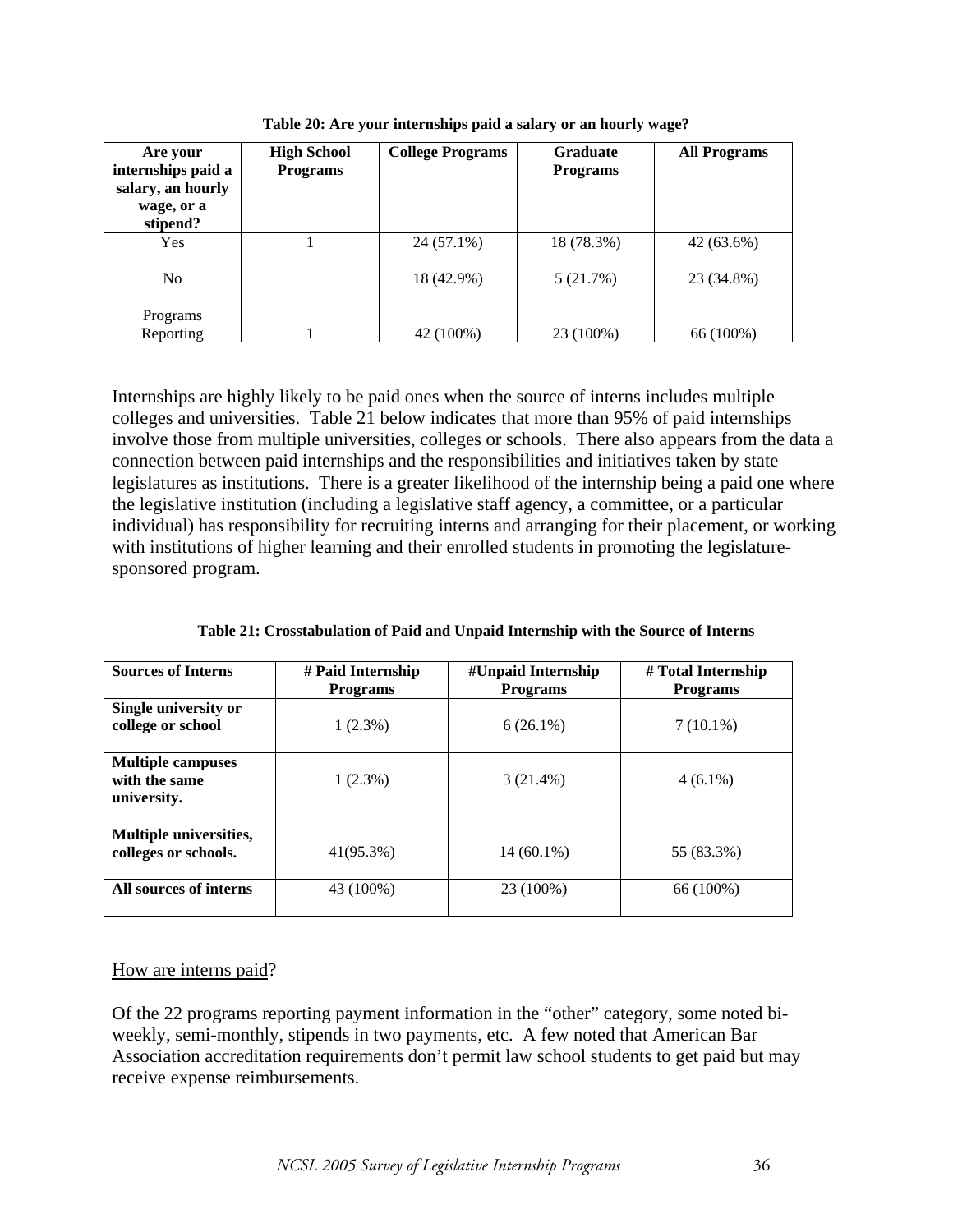| Are your<br>internships paid a<br>salary, an hourly<br>wage, or a<br>stipend? | <b>High School</b><br><b>Programs</b> | <b>College Programs</b> | <b>Graduate</b><br><b>Programs</b> | <b>All Programs</b> |
|-------------------------------------------------------------------------------|---------------------------------------|-------------------------|------------------------------------|---------------------|
| <b>Yes</b>                                                                    |                                       | 24 (57.1%)              | 18 (78.3%)                         | 42 (63.6%)          |
| N <sub>0</sub>                                                                |                                       | 18 (42.9%)              | 5(21.7%)                           | 23 (34.8%)          |
| Programs                                                                      |                                       |                         |                                    |                     |
| Reporting                                                                     |                                       | 42 (100%)               | 23 (100%)                          | 66 (100%)           |

**Table 20: Are your internships paid a salary or an hourly wage?** 

Internships are highly likely to be paid ones when the source of interns includes multiple colleges and universities. Table 21 below indicates that more than 95% of paid internships involve those from multiple universities, colleges or schools. There also appears from the data a connection between paid internships and the responsibilities and initiatives taken by state legislatures as institutions. There is a greater likelihood of the internship being a paid one where the legislative institution (including a legislative staff agency, a committee, or a particular individual) has responsibility for recruiting interns and arranging for their placement, or working with institutions of higher learning and their enrolled students in promoting the legislaturesponsored program.

| <b>Sources of Interns</b>                                | # Paid Internship<br><b>Programs</b> | #Unpaid Internship<br><b>Programs</b> | # Total Internship<br><b>Programs</b> |
|----------------------------------------------------------|--------------------------------------|---------------------------------------|---------------------------------------|
| Single university or<br>college or school                | $1(2.3\%)$                           | $6(26.1\%)$                           | $7(10.1\%)$                           |
| <b>Multiple campuses</b><br>with the same<br>university. | $1(2.3\%)$                           | $3(21.4\%)$                           | $4(6.1\%)$                            |
| Multiple universities,<br>colleges or schools.           | 41(95.3%)                            | $14(60.1\%)$                          | 55 (83.3%)                            |
| All sources of interns                                   | 43 (100%)                            | 23 (100%)                             | 66 (100%)                             |

**Table 21: Crosstabulation of Paid and Unpaid Internship with the Source of Interns** 

# How are interns paid?

Of the 22 programs reporting payment information in the "other" category, some noted biweekly, semi-monthly, stipends in two payments, etc. A few noted that American Bar Association accreditation requirements don't permit law school students to get paid but may receive expense reimbursements.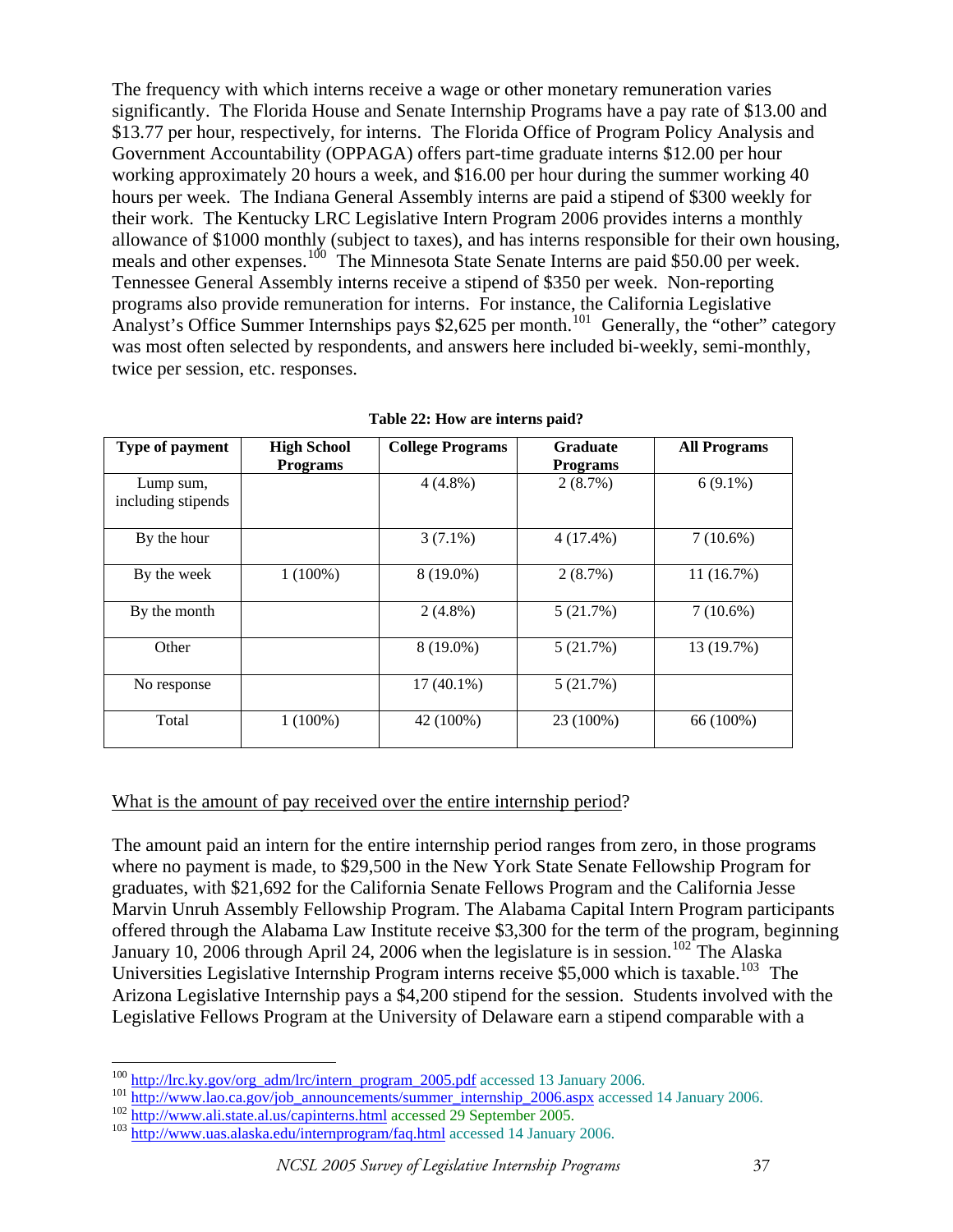The frequency with which interns receive a wage or other monetary remuneration varies significantly. The Florida House and Senate Internship Programs have a pay rate of \$13.00 and \$13.77 per hour, respectively, for interns. The Florida Office of Program Policy Analysis and Government Accountability (OPPAGA) offers part-time graduate interns \$12.00 per hour working approximately 20 hours a week, and \$16.00 per hour during the summer working 40 hours per week. The Indiana General Assembly interns are paid a stipend of \$300 weekly for their work. The Kentucky LRC Legislative Intern Program 2006 provides interns a monthly allowance of \$1000 monthly (subject to taxes), and has interns responsible for their own housing, meals and other expenses.<sup>[100](#page-36-0)</sup> The Minnesota State Senate Interns are paid \$50.00 per week. Tennessee General Assembly interns receive a stipend of \$350 per week. Non-reporting programs also provide remuneration for interns. For instance, the California Legislative Analyst's Office Summer Internships pays \$2,625 per month.<sup>[101](#page-36-1)</sup> Generally, the "other" category was most often selected by respondents, and answers here included bi-weekly, semi-monthly, twice per session, etc. responses.

| Type of payment                 | <b>High School</b> | <b>College Programs</b> | <b>Graduate</b> | <b>All Programs</b> |
|---------------------------------|--------------------|-------------------------|-----------------|---------------------|
|                                 | <b>Programs</b>    |                         | <b>Programs</b> |                     |
| Lump sum,<br>including stipends |                    | $4(4.8\%)$              | 2(8.7%)         | $6(9.1\%)$          |
| By the hour                     |                    | $3(7.1\%)$              | $4(17.4\%)$     | $7(10.6\%)$         |
| By the week                     | $1(100\%)$         | 8 (19.0%)               | 2(8.7%)         | 11(16.7%)           |
| By the month                    |                    | $2(4.8\%)$              | 5(21.7%)        | $7(10.6\%)$         |
| Other                           |                    | 8 (19.0%)               | 5(21.7%)        | 13 (19.7%)          |
| No response                     |                    | $17(40.1\%)$            | 5(21.7%)        |                     |
| Total                           | $1(100\%)$         | 42 (100%)               | 23 (100%)       | 66 (100%)           |

**Table 22: How are interns paid?** 

#### What is the amount of pay received over the entire internship period?

The amount paid an intern for the entire internship period ranges from zero, in those programs where no payment is made, to \$29,500 in the New York State Senate Fellowship Program for graduates, with \$21,692 for the California Senate Fellows Program and the California Jesse Marvin Unruh Assembly Fellowship Program. The Alabama Capital Intern Program participants offered through the Alabama Law Institute receive \$3,300 for the term of the program, beginning January 10, 2006 through April 24, 2006 when the legislature is in session.<sup>[102](#page-36-2)</sup> The Alaska Universities Legislative Internship Program interns receive  $$5,000$  which is taxable.<sup>[103](#page-36-3)</sup> The Arizona Legislative Internship pays a \$4,200 stipend for the session. Students involved with the Legislative Fellows Program at the University of Delaware earn a stipend comparable with a

<span id="page-36-0"></span><sup>&</sup>lt;sup>100</sup> http://lrc.ky.gov/org\_adm/lrc/intern\_program\_2005.pdf accessed 13 January 2006.

<span id="page-36-1"></span><sup>101</sup> http://www.lao.ca.gov/job\_announcements/summer\_internship\_2006.aspx</u>\_accessed\_14\_January\_2006.<br>
102 <http://www.ali.state.al.us/capinterns.html>accessed\_29\_September\_2005.<br>
103 http://www.uas.alaska.edu/internprogram/fa

<span id="page-36-3"></span><span id="page-36-2"></span>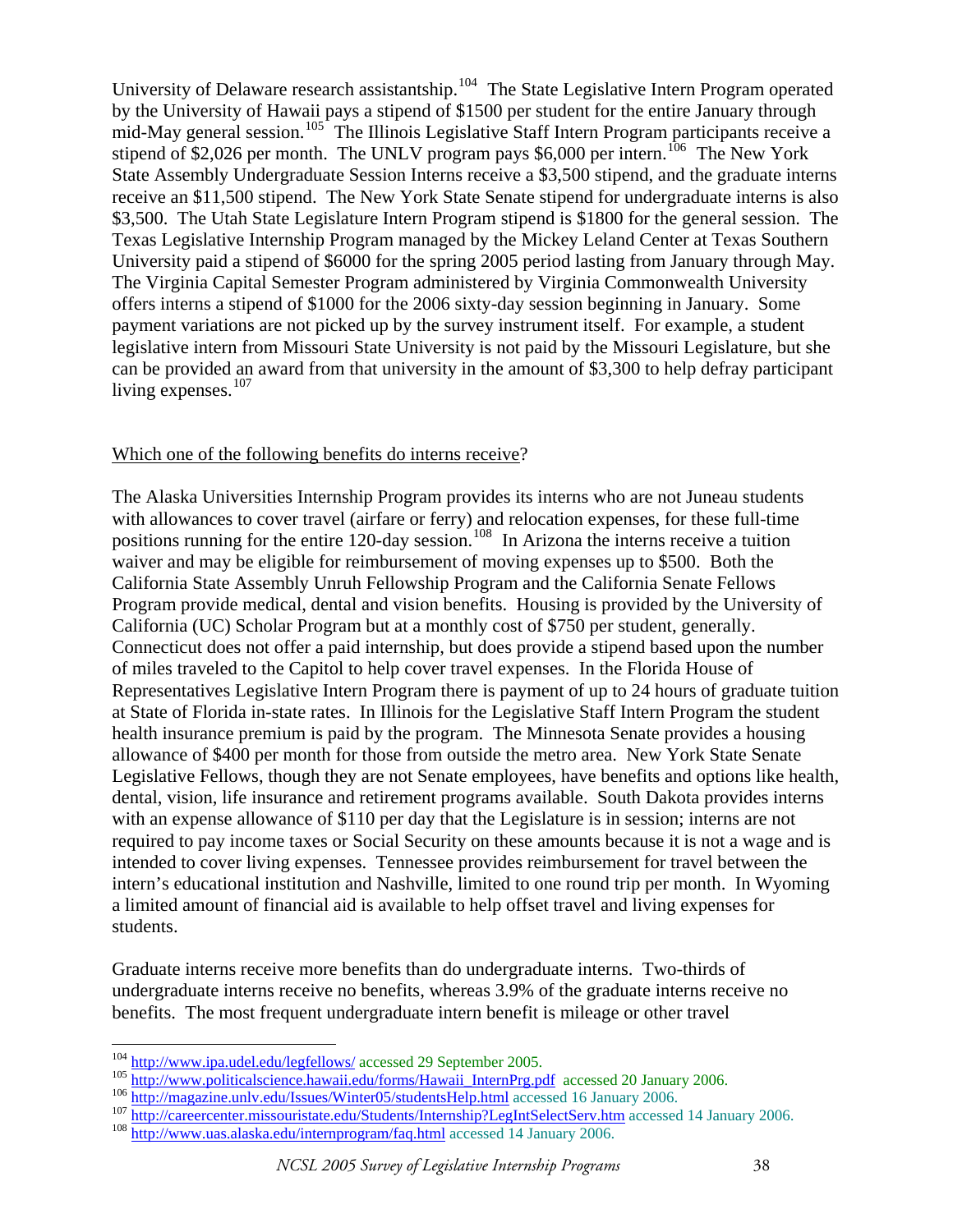University of Delaware research assistantship.<sup>[104](#page-37-0)</sup> The State Legislative Intern Program operated by the University of Hawaii pays a stipend of \$1500 per student for the entire January through mid-May general session.<sup>[105](#page-37-1)</sup> The Illinois Legislative Staff Intern Program participants receive a stipend of \$2,026 per month. The UNLV program pays \$6,000 per intern.<sup>[106](#page-37-2)</sup> The New York State Assembly Undergraduate Session Interns receive a \$3,500 stipend, and the graduate interns receive an \$11,500 stipend. The New York State Senate stipend for undergraduate interns is also \$3,500. The Utah State Legislature Intern Program stipend is \$1800 for the general session. The Texas Legislative Internship Program managed by the Mickey Leland Center at Texas Southern University paid a stipend of \$6000 for the spring 2005 period lasting from January through May. The Virginia Capital Semester Program administered by Virginia Commonwealth University offers interns a stipend of \$1000 for the 2006 sixty-day session beginning in January. Some payment variations are not picked up by the survey instrument itself. For example, a student legislative intern from Missouri State University is not paid by the Missouri Legislature, but she can be provided an award from that university in the amount of \$3,300 to help defray participant living expenses. $107$ 

#### Which one of the following benefits do interns receive?

The Alaska Universities Internship Program provides its interns who are not Juneau students with allowances to cover travel (airfare or ferry) and relocation expenses, for these full-time positions running for the entire 120-day session.<sup>[108](#page-37-4)</sup> In Arizona the interns receive a tuition waiver and may be eligible for reimbursement of moving expenses up to \$500. Both the California State Assembly Unruh Fellowship Program and the California Senate Fellows Program provide medical, dental and vision benefits. Housing is provided by the University of California (UC) Scholar Program but at a monthly cost of \$750 per student, generally. Connecticut does not offer a paid internship, but does provide a stipend based upon the number of miles traveled to the Capitol to help cover travel expenses. In the Florida House of Representatives Legislative Intern Program there is payment of up to 24 hours of graduate tuition at State of Florida in-state rates. In Illinois for the Legislative Staff Intern Program the student health insurance premium is paid by the program. The Minnesota Senate provides a housing allowance of \$400 per month for those from outside the metro area. New York State Senate Legislative Fellows, though they are not Senate employees, have benefits and options like health, dental, vision, life insurance and retirement programs available. South Dakota provides interns with an expense allowance of \$110 per day that the Legislature is in session; interns are not required to pay income taxes or Social Security on these amounts because it is not a wage and is intended to cover living expenses. Tennessee provides reimbursement for travel between the intern's educational institution and Nashville, limited to one round trip per month. In Wyoming a limited amount of financial aid is available to help offset travel and living expenses for students.

Graduate interns receive more benefits than do undergraduate interns. Two-thirds of undergraduate interns receive no benefits, whereas 3.9% of the graduate interns receive no benefits. The most frequent undergraduate intern benefit is mileage or other travel

<span id="page-37-0"></span><sup>&</sup>lt;sup>104</sup> http://www.ipa.udel.edu/legfellows/ accessed 29 September 2005.

<span id="page-37-2"></span><span id="page-37-1"></span>

<span id="page-37-3"></span>

<sup>&</sup>lt;sup>105</sup> [http://www.politicalscience.hawaii.edu/forms/Hawaii\\_InternPrg.pdf](http://www.politicalscience.hawaii.edu/forms/Hawaii_InternPrg.pdf) accessed 20 January 2006.<br><sup>106</sup> http://magazine.unly.edu/Issues/Winter05/studentsHelp.html accessed 16 January 2006.<br><sup>107</sup> http://careercenter.missour

<span id="page-37-4"></span>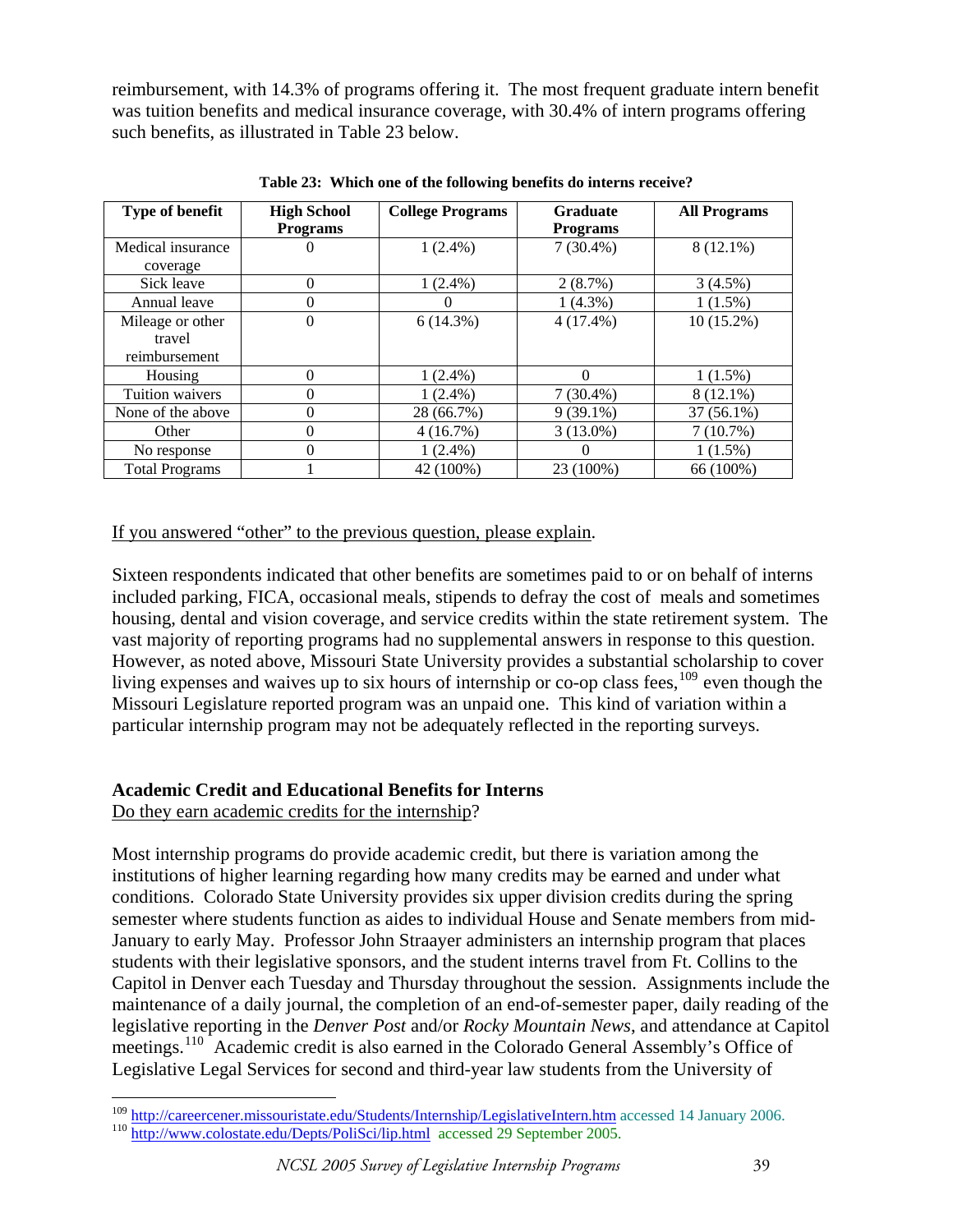reimbursement, with 14.3% of programs offering it. The most frequent graduate intern benefit was tuition benefits and medical insurance coverage, with 30.4% of intern programs offering such benefits, as illustrated in Table 23 below.

| <b>Type of benefit</b> | <b>High School</b> | <b>College Programs</b> | <b>Graduate</b> | <b>All Programs</b> |
|------------------------|--------------------|-------------------------|-----------------|---------------------|
|                        | <b>Programs</b>    |                         | <b>Programs</b> |                     |
| Medical insurance      | 0                  | $1(2.4\%)$              | $7(30.4\%)$     | $8(12.1\%)$         |
| coverage               |                    |                         |                 |                     |
| Sick leave             | $\Omega$           | $1(2.4\%)$              | 2(8.7%)         | 3(4.5%)             |
| Annual leave           | $\Omega$           |                         | $1(4.3\%)$      | $1(1.5\%)$          |
| Mileage or other       | 0                  | 6(14.3%)                | $4(17.4\%)$     | $10(15.2\%)$        |
| travel                 |                    |                         |                 |                     |
| reimbursement          |                    |                         |                 |                     |
| Housing                | $\theta$           | $1(2.4\%)$              | 0               | $1(1.5\%)$          |
| Tuition waivers        | $\theta$           | $1(2.4\%)$              | $7(30.4\%)$     | 8 (12.1%)           |
| None of the above      | $\overline{0}$     | 28 (66.7%)              | $9(39.1\%)$     | 37 (56.1%)          |
| Other                  | $\theta$           | 4(16.7%)                | $3(13.0\%)$     | 7(10.7%)            |
| No response            | $\overline{0}$     | $1(2.4\%)$              | 0               | $1(1.5\%)$          |
| <b>Total Programs</b>  |                    | 42 (100%)               | 23 (100%)       | 66 (100%)           |

**Table 23: Which one of the following benefits do interns receive?** 

If you answered "other" to the previous question, please explain.

Sixteen respondents indicated that other benefits are sometimes paid to or on behalf of interns included parking, FICA, occasional meals, stipends to defray the cost of meals and sometimes housing, dental and vision coverage, and service credits within the state retirement system. The vast majority of reporting programs had no supplemental answers in response to this question. However, as noted above, Missouri State University provides a substantial scholarship to cover living expenses and waives up to six hours of internship or co-op class fees,  $^{109}$  $^{109}$  $^{109}$  even though the Missouri Legislature reported program was an unpaid one. This kind of variation within a particular internship program may not be adequately reflected in the reporting surveys.

# **Academic Credit and Educational Benefits for Interns**

Do they earn academic credits for the internship?

Most internship programs do provide academic credit, but there is variation among the institutions of higher learning regarding how many credits may be earned and under what conditions. Colorado State University provides six upper division credits during the spring semester where students function as aides to individual House and Senate members from mid-January to early May. Professor John Straayer administers an internship program that places students with their legislative sponsors, and the student interns travel from Ft. Collins to the Capitol in Denver each Tuesday and Thursday throughout the session. Assignments include the maintenance of a daily journal, the completion of an end-of-semester paper, daily reading of the legislative reporting in the *Denver Post* and/or *Rocky Mountain News*, and attendance at Capitol meetings.<sup>[110](#page-38-1)</sup> Academic credit is also earned in the Colorado General Assembly's Office of Legislative Legal Services for second and third-year law students from the University of

<span id="page-38-0"></span> $\overline{a}$ <sup>109</sup> http://careercener.missouristate.edu/Students/Internship/LegislativeIntern.htm accessed 14 January 2006.<br><sup>110</sup> [http://www.colostate.edu/Depts/PoliSci/lip.html](http://www.colostte.edu/Depts/PolilSci/lip.html) accessed 29 September 2005.

<span id="page-38-1"></span>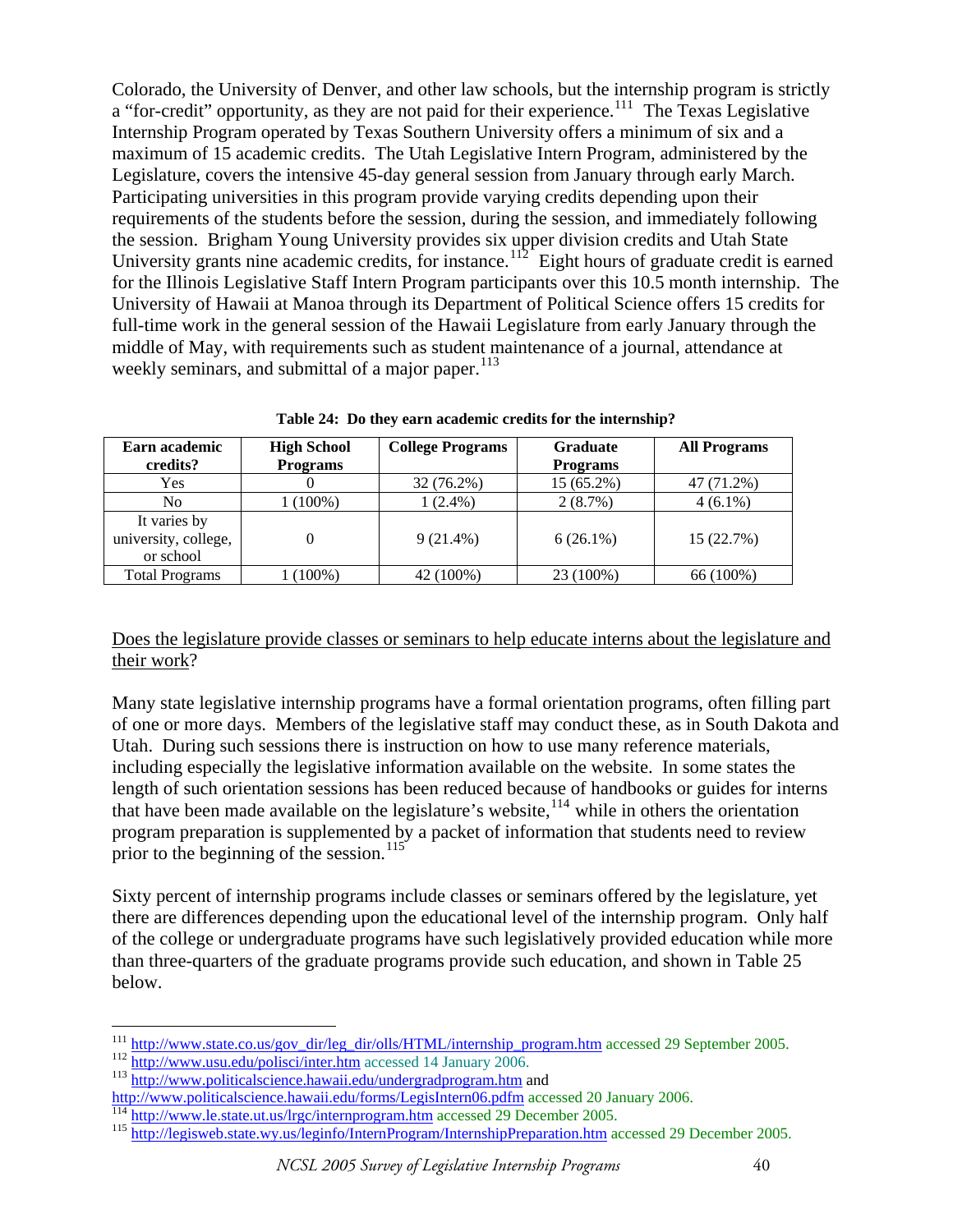Colorado, the University of Denver, and other law schools, but the internship program is strictly a "for-credit" opportunity, as they are not paid for their experience.<sup>[111](#page-39-0)</sup> The Texas Legislative Internship Program operated by Texas Southern University offers a minimum of six and a maximum of 15 academic credits. The Utah Legislative Intern Program, administered by the Legislature, covers the intensive 45-day general session from January through early March. Participating universities in this program provide varying credits depending upon their requirements of the students before the session, during the session, and immediately following the session. Brigham Young University provides six upper division credits and Utah State University grants nine academic credits, for instance.<sup>[112](#page-39-1)</sup> Eight hours of graduate credit is earned for the Illinois Legislative Staff Intern Program participants over this 10.5 month internship. The University of Hawaii at Manoa through its Department of Political Science offers 15 credits for full-time work in the general session of the Hawaii Legislature from early January through the middle of May, with requirements such as student maintenance of a journal, attendance at weekly seminars, and submittal of a major paper. $113$ 

| Earn academic         | <b>High School</b> | <b>College Programs</b> | <b>Graduate</b> | <b>All Programs</b> |  |
|-----------------------|--------------------|-------------------------|-----------------|---------------------|--|
| credits?              | <b>Programs</b>    |                         | <b>Programs</b> |                     |  |
| Yes                   |                    | 32 (76.2%)              | 15 (65.2%)      | 47 (71.2%)          |  |
| N <sub>0</sub>        | $(100\%)$          | $1(2.4\%)$              | 2(8.7%)         | $4(6.1\%)$          |  |
| It varies by          |                    |                         |                 |                     |  |
| university, college,  |                    | $9(21.4\%)$             | $6(26.1\%)$     | 15 (22.7%)          |  |
| or school             |                    |                         |                 |                     |  |
| <b>Total Programs</b> | $(100\%)$          | 42 (100%)               | 23 (100%)       | 66 (100%)           |  |

**Table 24: Do they earn academic credits for the internship?** 

Does the legislature provide classes or seminars to help educate interns about the legislature and their work?

Many state legislative internship programs have a formal orientation programs, often filling part of one or more days. Members of the legislative staff may conduct these, as in South Dakota and Utah. During such sessions there is instruction on how to use many reference materials, including especially the legislative information available on the website. In some states the length of such orientation sessions has been reduced because of handbooks or guides for interns that have been made available on the legislature's website, $114$  while in others the orientation program preparation is supplemented by a packet of information that students need to review prior to the beginning of the session.<sup>[115](#page-39-4)</sup>

Sixty percent of internship programs include classes or seminars offered by the legislature, yet there are differences depending upon the educational level of the internship program. Only half of the college or undergraduate programs have such legislatively provided education while more than three-quarters of the graduate programs provide such education, and shown in Table 25 below.

<span id="page-39-0"></span><sup>&</sup>lt;sup>111</sup> [http://www.state.co.us/gov\\_dir/leg\\_dir/olls/HTML/internship\\_program.htm](http://www.state.co.us/gov_dir/leg_dir/olls/HTML/internship_program.htm) accessed 29 September 2005.<br><sup>112</sup> <http://www.usu.edu/polisci/inter.htm> accessed 14 January 2006.<br><sup>113</sup> http://www.politicalscience.hawaii.edu/un

<span id="page-39-1"></span>

<span id="page-39-2"></span>

<span id="page-39-3"></span>

<span id="page-39-4"></span>

http://www.politicalscience.hawaii.edu/forms/LegisIntern06.pdfm accessed 20 January 2006.<br>
<sup>[114](http://www.politicalscience.hawaii.edu/forms/LegisIntern06.pdfm)</sup> http://www.le.state.ut.us/lrgc/internprogram.htm accessed 29 December 2005.<br>
<sup>115</sup> http://legisweb.state.wy.us/leginfo/Intern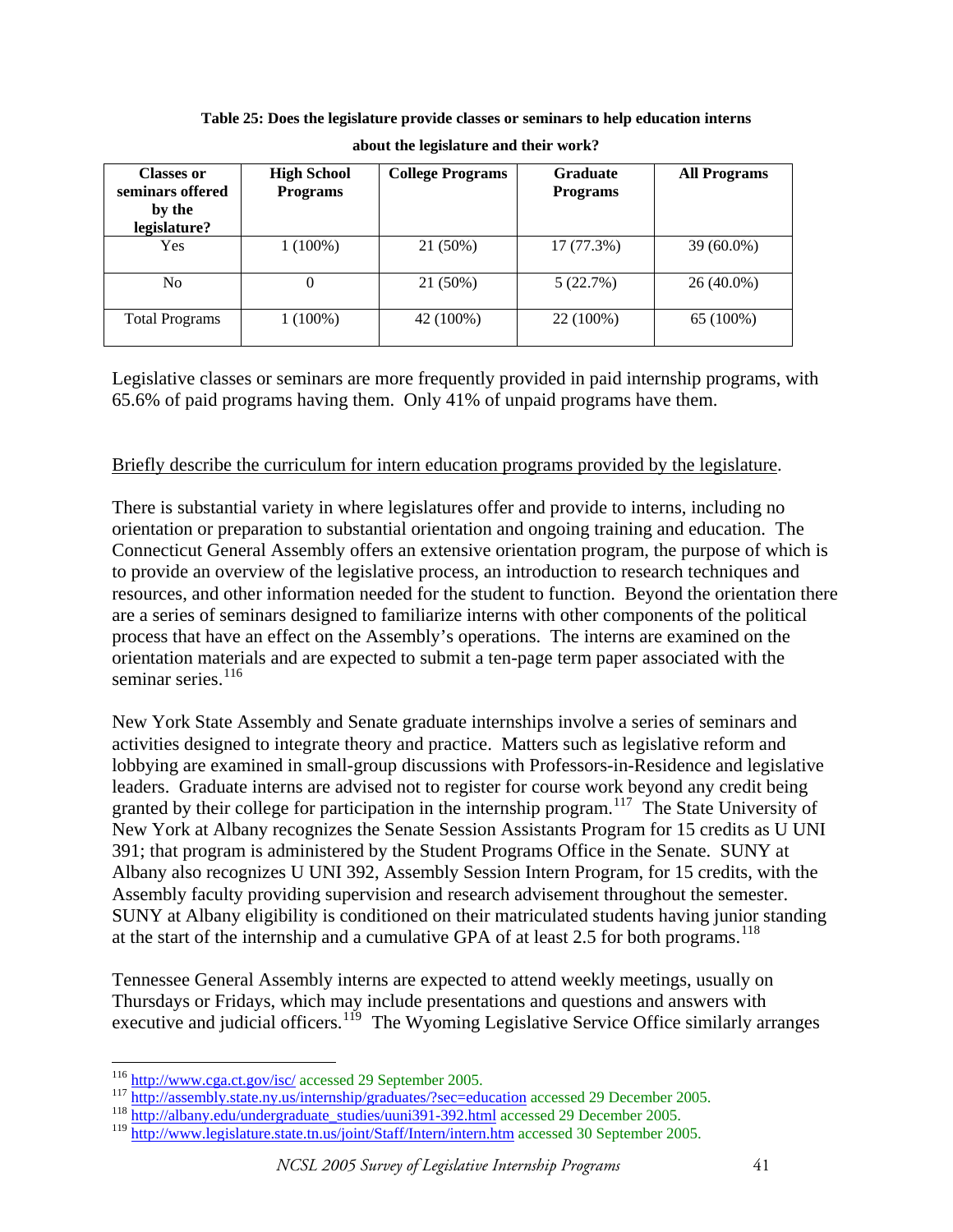| <b>Classes or</b><br>seminars offered<br>by the<br>legislature? | <b>High School</b><br><b>Programs</b> | <b>College Programs</b> | <b>Graduate</b><br><b>Programs</b> | <b>All Programs</b> |  |
|-----------------------------------------------------------------|---------------------------------------|-------------------------|------------------------------------|---------------------|--|
| Yes                                                             | $1(100\%)$                            | 21 (50%)                | 17 (77.3%)                         | $39(60.0\%)$        |  |
| No                                                              | 0                                     | 21 (50%)                | 5(22.7%)                           | $26(40.0\%)$        |  |
| <b>Total Programs</b>                                           | $1(100\%)$                            | 42 (100%)               | 22 (100%)                          | 65 (100%)           |  |

**Table 25: Does the legislature provide classes or seminars to help education interns about the legislature and their work?** 

Legislative classes or seminars are more frequently provided in paid internship programs, with 65.6% of paid programs having them. Only 41% of unpaid programs have them.

# Briefly describe the curriculum for intern education programs provided by the legislature.

There is substantial variety in where legislatures offer and provide to interns, including no orientation or preparation to substantial orientation and ongoing training and education. The Connecticut General Assembly offers an extensive orientation program, the purpose of which is to provide an overview of the legislative process, an introduction to research techniques and resources, and other information needed for the student to function. Beyond the orientation there are a series of seminars designed to familiarize interns with other components of the political process that have an effect on the Assembly's operations. The interns are examined on the orientation materials and are expected to submit a ten-page term paper associated with the seminar series. $116$ 

New York State Assembly and Senate graduate internships involve a series of seminars and activities designed to integrate theory and practice. Matters such as legislative reform and lobbying are examined in small-group discussions with Professors-in-Residence and legislative leaders. Graduate interns are advised not to register for course work beyond any credit being granted by their college for participation in the internship program.<sup>[117](#page-40-1)</sup> The State University of New York at Albany recognizes the Senate Session Assistants Program for 15 credits as U UNI 391; that program is administered by the Student Programs Office in the Senate. SUNY at Albany also recognizes U UNI 392, Assembly Session Intern Program, for 15 credits, with the Assembly faculty providing supervision and research advisement throughout the semester. SUNY at Albany eligibility is conditioned on their matriculated students having junior standing at the start of the internship and a cumulative GPA of at least 2.5 for both programs.<sup>[118](#page-40-2)</sup>

Tennessee General Assembly interns are expected to attend weekly meetings, usually on Thursdays or Fridays, which may include presentations and questions and answers with executive and judicial officers.<sup>[119](#page-40-3)</sup> The Wyoming Legislative Service Office similarly arranges

<span id="page-40-0"></span><sup>&</sup>lt;sup>116</sup> http://www.cga.ct.gov/isc/ accessed 29 September 2005.

<span id="page-40-1"></span><sup>117</sup> <http://assembly.state.ny.us/internship/graduates/?sec=education>accessed 29 December 2005.<br><sup>118</sup> [http://albany.edu/undergraduate\\_studies/uuni391-392.html](http://albany.edu/undergraduate_studies/uuni391-392.html) accessed 29 December 2005.

<span id="page-40-2"></span>

<span id="page-40-3"></span><sup>119</sup> <http://www.legislature.state.tn.us/joint/Staff/Intern/intern.htm> accessed 30 September 2005.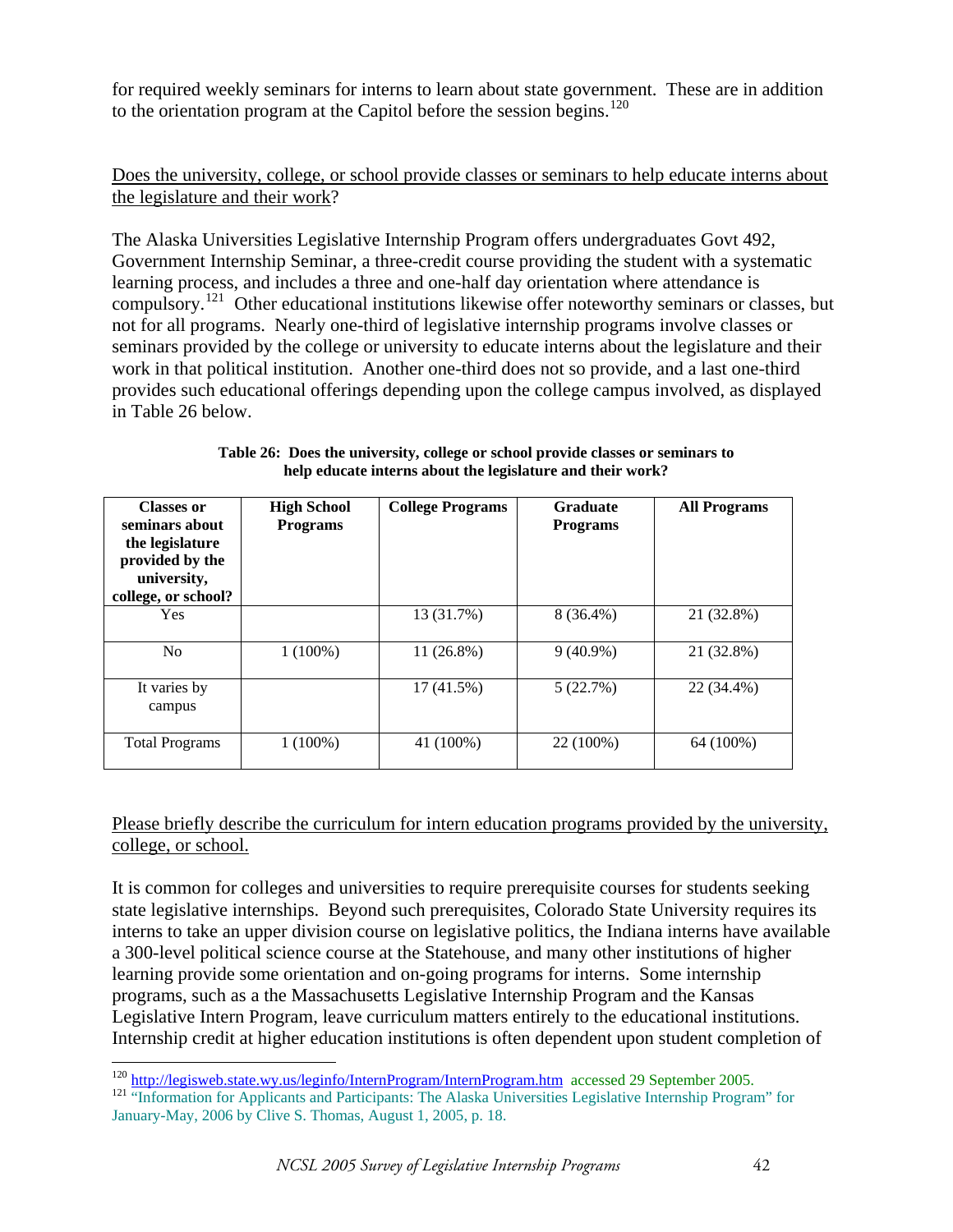for required weekly seminars for interns to learn about state government. These are in addition to the orientation program at the Capitol before the session begins.<sup>[120](#page-41-0)</sup>

# Does the university, college, or school provide classes or seminars to help educate interns about the legislature and their work?

The Alaska Universities Legislative Internship Program offers undergraduates Govt 492, Government Internship Seminar, a three-credit course providing the student with a systematic learning process, and includes a three and one-half day orientation where attendance is compulsory.<sup>[121](#page-41-1)</sup> Other educational institutions likewise offer noteworthy seminars or classes, but not for all programs. Nearly one-third of legislative internship programs involve classes or seminars provided by the college or university to educate interns about the legislature and their work in that political institution. Another one-third does not so provide, and a last one-third provides such educational offerings depending upon the college campus involved, as displayed in Table 26 below.

| <b>Classes or</b><br>seminars about<br>the legislature<br>provided by the<br>university,<br>college, or school? | <b>High School</b><br><b>Programs</b> | <b>College Programs</b> | <b>Graduate</b><br><b>Programs</b> | <b>All Programs</b> |
|-----------------------------------------------------------------------------------------------------------------|---------------------------------------|-------------------------|------------------------------------|---------------------|
| <b>Yes</b>                                                                                                      |                                       | 13 (31.7%)              | $8(36.4\%)$                        | 21 (32.8%)          |
| No                                                                                                              | $1(100\%)$                            | $11(26.8\%)$            | $9(40.9\%)$                        | 21 (32.8%)          |
| It varies by<br>campus                                                                                          |                                       | 17 (41.5%)              | 5(22.7%)                           | 22 (34.4%)          |
| <b>Total Programs</b>                                                                                           | $1(100\%)$                            | 41 (100%)               | 22 (100%)                          | 64 (100%)           |

**Table 26: Does the university, college or school provide classes or seminars to help educate interns about the legislature and their work?** 

Please briefly describe the curriculum for intern education programs provided by the university, college, or school.

It is common for colleges and universities to require prerequisite courses for students seeking state legislative internships. Beyond such prerequisites, Colorado State University requires its interns to take an upper division course on legislative politics, the Indiana interns have available a 300-level political science course at the Statehouse, and many other institutions of higher learning provide some orientation and on-going programs for interns. Some internship programs, such as a the Massachusetts Legislative Internship Program and the Kansas Legislative Intern Program, leave curriculum matters entirely to the educational institutions. Internship credit at higher education institutions is often dependent upon student completion of

<sup>&</sup>lt;sup>120</sup> http://legisweb.state.wy.us/leginfo/InternProgram/InternProgram.htm accessed 29 September 2005.

<span id="page-41-1"></span><span id="page-41-0"></span><sup>121 &</sup>quot;Information for Applicants and Participants: The Alaska Universities Legislative Internship Program" for January-May, 2006 by Clive S. Thomas, August 1, 2005, p. 18.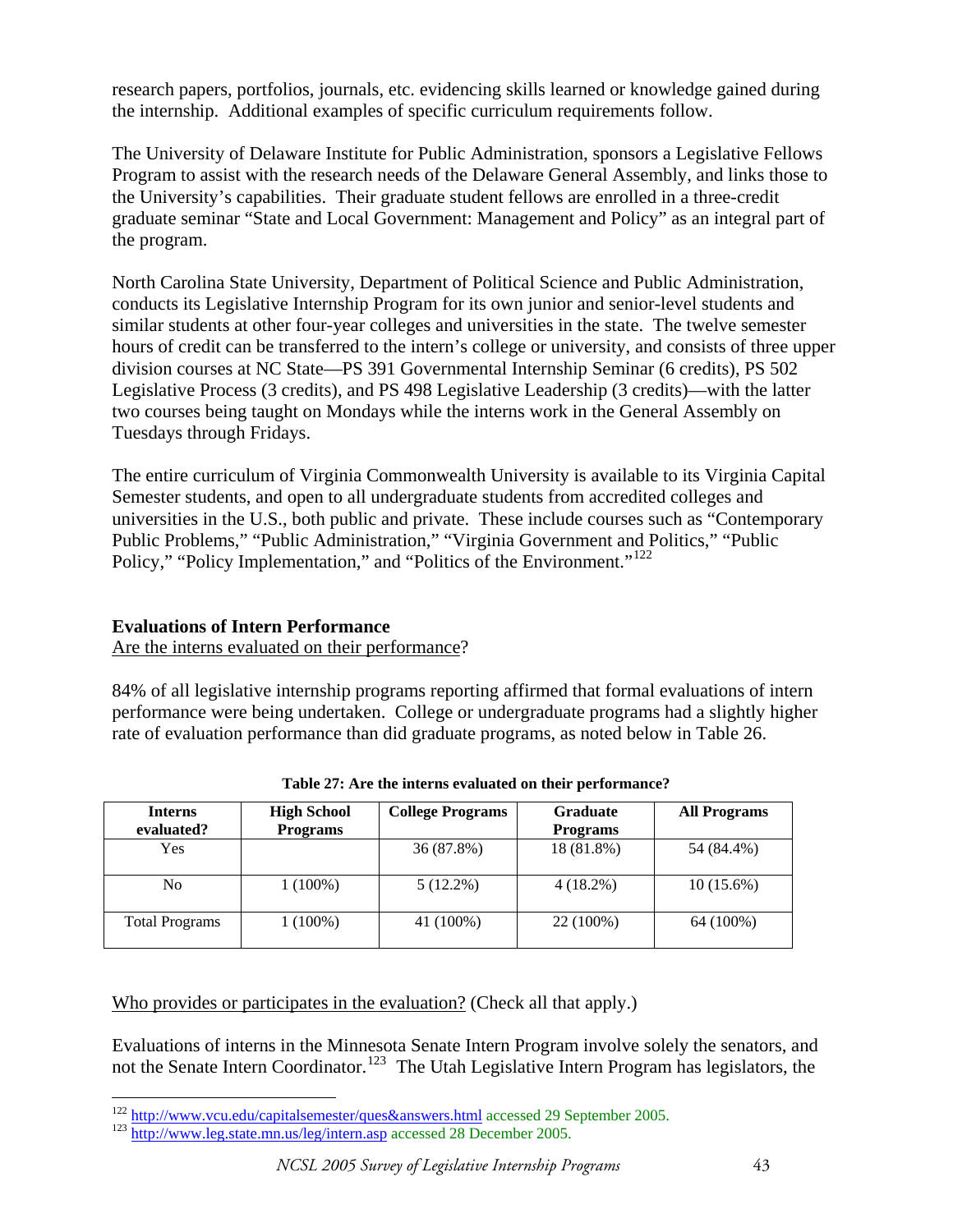research papers, portfolios, journals, etc. evidencing skills learned or knowledge gained during the internship. Additional examples of specific curriculum requirements follow.

The University of Delaware Institute for Public Administration, sponsors a Legislative Fellows Program to assist with the research needs of the Delaware General Assembly, and links those to the University's capabilities. Their graduate student fellows are enrolled in a three-credit graduate seminar "State and Local Government: Management and Policy" as an integral part of the program.

North Carolina State University, Department of Political Science and Public Administration, conducts its Legislative Internship Program for its own junior and senior-level students and similar students at other four-year colleges and universities in the state. The twelve semester hours of credit can be transferred to the intern's college or university, and consists of three upper division courses at NC State—PS 391 Governmental Internship Seminar (6 credits), PS 502 Legislative Process (3 credits), and PS 498 Legislative Leadership (3 credits)—with the latter two courses being taught on Mondays while the interns work in the General Assembly on Tuesdays through Fridays.

The entire curriculum of Virginia Commonwealth University is available to its Virginia Capital Semester students, and open to all undergraduate students from accredited colleges and universities in the U.S., both public and private. These include courses such as "Contemporary Public Problems," "Public Administration," "Virginia Government and Politics," "Public Policy," "Policy Implementation," and "Politics of the Environment."<sup>[122](#page-42-0)</sup>

# **Evaluations of Intern Performance**

Are the interns evaluated on their performance?

84% of all legislative internship programs reporting affirmed that formal evaluations of intern performance were being undertaken. College or undergraduate programs had a slightly higher rate of evaluation performance than did graduate programs, as noted below in Table 26.

| <b>Interns</b><br>evaluated? | <b>High School</b><br><b>Programs</b> | <b>College Programs</b> | <b>Graduate</b><br><b>Programs</b> | <b>All Programs</b> |
|------------------------------|---------------------------------------|-------------------------|------------------------------------|---------------------|
| Yes                          |                                       | 36 (87.8%)              | 18 (81.8%)                         | 54 (84.4%)          |
| No                           | $1(100\%)$                            | $5(12.2\%)$             | $4(18.2\%)$                        | $10(15.6\%)$        |
| <b>Total Programs</b>        | 1 (100%)                              | 41 (100%)               | 22 (100%)                          | 64 (100%)           |

**Table 27: Are the interns evaluated on their performance?** 

Who provides or participates in the evaluation? (Check all that apply.)

Evaluations of interns in the Minnesota Senate Intern Program involve solely the senators, and not the Senate Intern Coordinator.<sup>[123](#page-42-1)</sup> The Utah Legislative Intern Program has legislators, the

<span id="page-42-0"></span><sup>&</sup>lt;sup>122</sup> http://www.vcu.edu/capitalsemester/ques&answers.html accessed 29 September 2005.

<span id="page-42-1"></span><sup>123</sup> <http://www.leg.state.mn.us/leg/intern.asp> accessed 28 December 2005.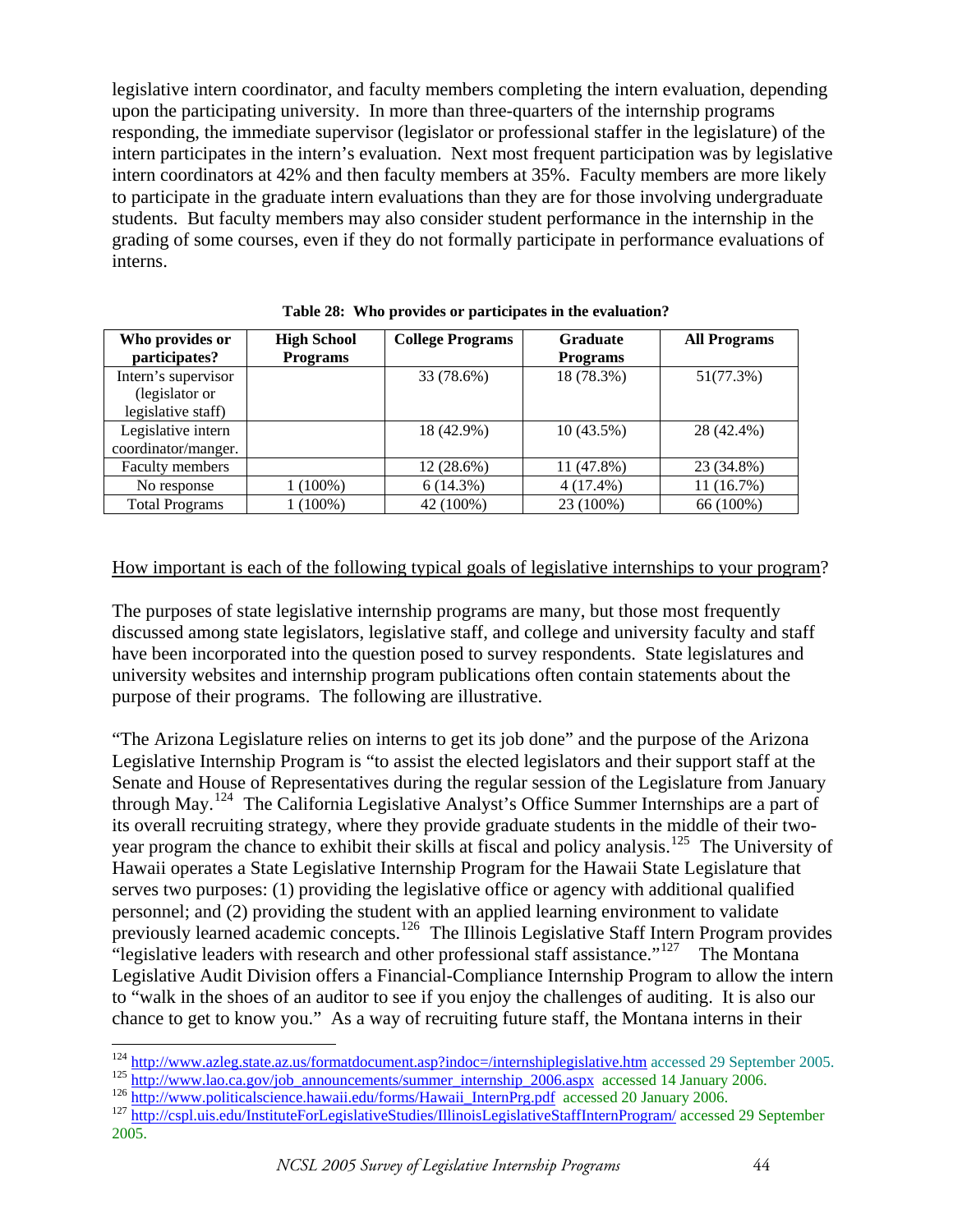legislative intern coordinator, and faculty members completing the intern evaluation, depending upon the participating university. In more than three-quarters of the internship programs responding, the immediate supervisor (legislator or professional staffer in the legislature) of the intern participates in the intern's evaluation. Next most frequent participation was by legislative intern coordinators at 42% and then faculty members at 35%. Faculty members are more likely to participate in the graduate intern evaluations than they are for those involving undergraduate students. But faculty members may also consider student performance in the internship in the grading of some courses, even if they do not formally participate in performance evaluations of interns.

| Who provides or<br>participates?                            | <b>High School</b><br><b>Programs</b> | <b>College Programs</b> | <b>Graduate</b><br><b>Programs</b> | <b>All Programs</b> |
|-------------------------------------------------------------|---------------------------------------|-------------------------|------------------------------------|---------------------|
| Intern's supervisor<br>(legislator or<br>legislative staff) |                                       | 33 (78.6%)              | 18 (78.3%)                         | 51(77.3%)           |
| Legislative intern<br>coordinator/manger.                   |                                       | 18 (42.9%)              | 10(43.5%)                          | 28 (42.4%)          |
| Faculty members                                             |                                       | $12(28.6\%)$            | 11 (47.8%)                         | 23 (34.8%)          |
| No response                                                 | $1(100\%)$                            | 6(14.3%)                | $4(17.4\%)$                        | 11 (16.7%)          |
| <b>Total Programs</b>                                       | 1 (100%)                              | 42 (100%)               | 23 (100%)                          | 66 (100%)           |

**Table 28: Who provides or participates in the evaluation?** 

## How important is each of the following typical goals of legislative internships to your program?

The purposes of state legislative internship programs are many, but those most frequently discussed among state legislators, legislative staff, and college and university faculty and staff have been incorporated into the question posed to survey respondents. State legislatures and university websites and internship program publications often contain statements about the purpose of their programs. The following are illustrative.

"The Arizona Legislature relies on interns to get its job done" and the purpose of the Arizona Legislative Internship Program is "to assist the elected legislators and their support staff at the Senate and House of Representatives during the regular session of the Legislature from January through May.<sup>[124](#page-43-0)</sup> The California Legislative Analyst's Office Summer Internships are a part of its overall recruiting strategy, where they provide graduate students in the middle of their twoyear program the chance to exhibit their skills at fiscal and policy analysis.[125](#page-43-1) The University of Hawaii operates a State Legislative Internship Program for the Hawaii State Legislature that serves two purposes: (1) providing the legislative office or agency with additional qualified personnel; and (2) providing the student with an applied learning environment to validate previously learned academic concepts.[126](#page-43-2) The Illinois Legislative Staff Intern Program provides "legislative leaders with research and other professional staff assistance."<sup>[127](#page-43-3)</sup> The Montana Legislative Audit Division offers a Financial-Compliance Internship Program to allow the intern to "walk in the shoes of an auditor to see if you enjoy the challenges of auditing. It is also our chance to get to know you." As a way of recruiting future staff, the Montana interns in their

<sup>&</sup>lt;sup>124</sup> http://www.azleg.state.az.us/formatdocument.asp?indoc=/internshiplegislative.htm accessed 29 September 2005.

<span id="page-43-3"></span><span id="page-43-2"></span><span id="page-43-1"></span><span id="page-43-0"></span><sup>&</sup>lt;sup>125</sup> http://www.lao.ca.gov/job\_announcements/summer\_internship\_2006.aspx\_accessed 14 January 2006.<br><sup>126</sup> http://www.politicalscience.hawaii.edu/forms/Hawaii\_InternPrg.pdf\_accessed 20 January 2006.<br><sup>127</sup> http://cspl.uis.ed

<sup>2005.</sup>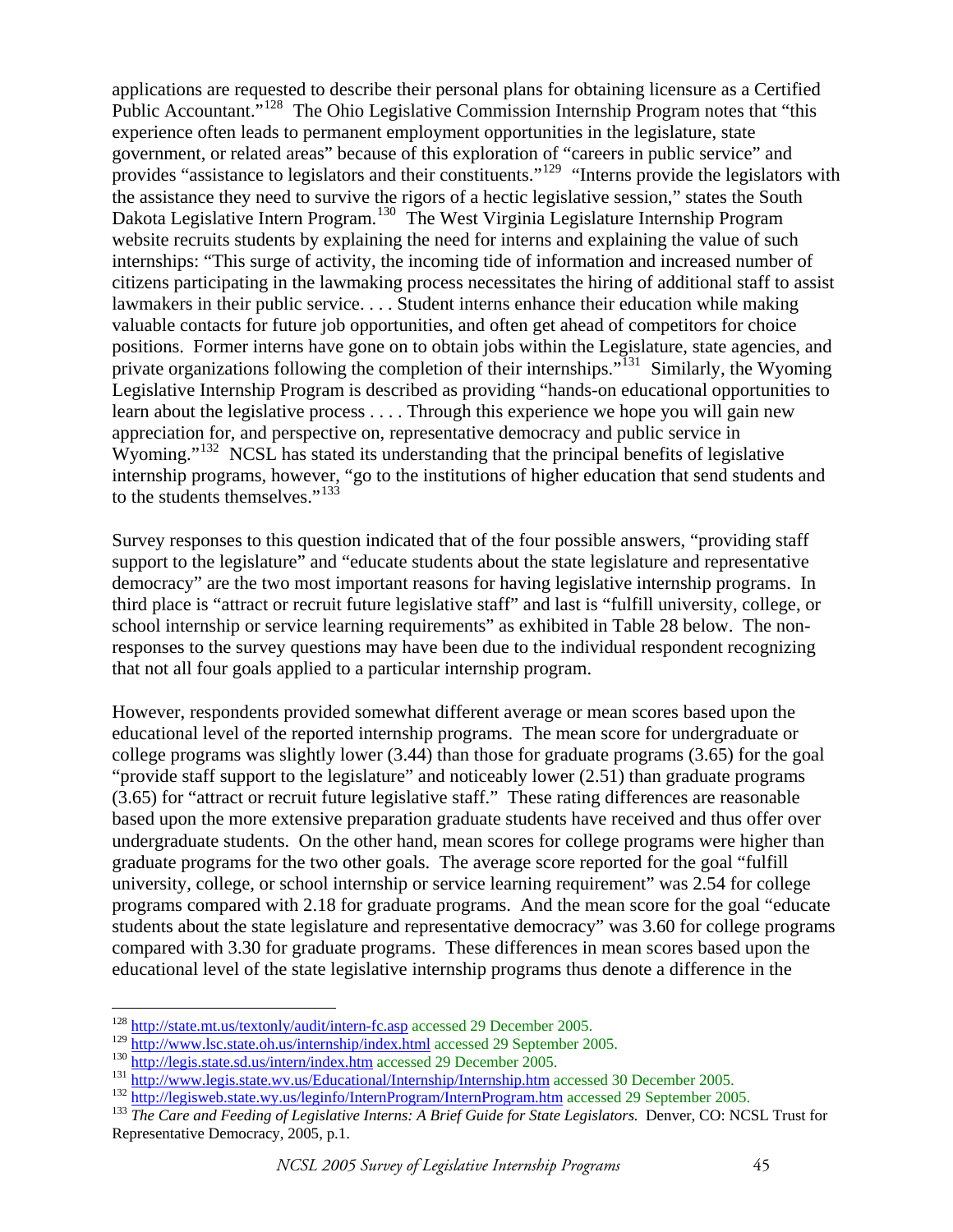applications are requested to describe their personal plans for obtaining licensure as a Certified Public Accountant.<sup>",[128](#page-44-0)</sup> The Ohio Legislative Commission Internship Program notes that "this experience often leads to permanent employment opportunities in the legislature, state government, or related areas" because of this exploration of "careers in public service" and provides "assistance to legislators and their constituents."<sup>[129](#page-44-1)</sup> "Interns provide the legislators with the assistance they need to survive the rigors of a hectic legislative session," states the South Dakota Legislative Intern Program.<sup>[130](#page-44-2)</sup> The West Virginia Legislature Internship Program website recruits students by explaining the need for interns and explaining the value of such internships: "This surge of activity, the incoming tide of information and increased number of citizens participating in the lawmaking process necessitates the hiring of additional staff to assist lawmakers in their public service. . . . Student interns enhance their education while making valuable contacts for future job opportunities, and often get ahead of competitors for choice positions. Former interns have gone on to obtain jobs within the Legislature, state agencies, and private organizations following the completion of their internships."<sup>[131](#page-44-3)</sup> Similarly, the Wyoming Legislative Internship Program is described as providing "hands-on educational opportunities to learn about the legislative process . . . . Through this experience we hope you will gain new appreciation for, and perspective on, representative democracy and public service in Wyoming."<sup>[132](#page-44-4)</sup> NCSL has stated its understanding that the principal benefits of legislative internship programs, however, "go to the institutions of higher education that send students and to the students themselves."<sup>[133](#page-44-5)</sup>

Survey responses to this question indicated that of the four possible answers, "providing staff support to the legislature" and "educate students about the state legislature and representative democracy" are the two most important reasons for having legislative internship programs. In third place is "attract or recruit future legislative staff" and last is "fulfill university, college, or school internship or service learning requirements" as exhibited in Table 28 below. The nonresponses to the survey questions may have been due to the individual respondent recognizing that not all four goals applied to a particular internship program.

However, respondents provided somewhat different average or mean scores based upon the educational level of the reported internship programs. The mean score for undergraduate or college programs was slightly lower (3.44) than those for graduate programs (3.65) for the goal "provide staff support to the legislature" and noticeably lower (2.51) than graduate programs (3.65) for "attract or recruit future legislative staff." These rating differences are reasonable based upon the more extensive preparation graduate students have received and thus offer over undergraduate students. On the other hand, mean scores for college programs were higher than graduate programs for the two other goals. The average score reported for the goal "fulfill university, college, or school internship or service learning requirement" was 2.54 for college programs compared with 2.18 for graduate programs. And the mean score for the goal "educate students about the state legislature and representative democracy" was 3.60 for college programs compared with 3.30 for graduate programs. These differences in mean scores based upon the educational level of the state legislative internship programs thus denote a difference in the

 $\overline{a}$ 

<span id="page-44-0"></span><sup>&</sup>lt;sup>128</sup> <http://state.mt.us/textonly/audit/intern-fc.asp> accessed 29 December 2005.<br><sup>129</sup> http://www.lsc.state.oh.us/internship/index.html accessed 29 September 2005.

<span id="page-44-5"></span><span id="page-44-4"></span><span id="page-44-3"></span><span id="page-44-2"></span>

<span id="page-44-1"></span><sup>&</sup>lt;sup>130</sup> <http://legis.state.sd.us/intern/index.htm>accessed 29 December 2005.<br>
<sup>131</sup> <http://www.legis.state.wv.us/Educational/Internship/Internship.htm> accessed 30 December 2005.<br>
<sup>132</sup> http://legisweb.state.wy.us/leginfo/Int Representative Democracy, 2005, p.1.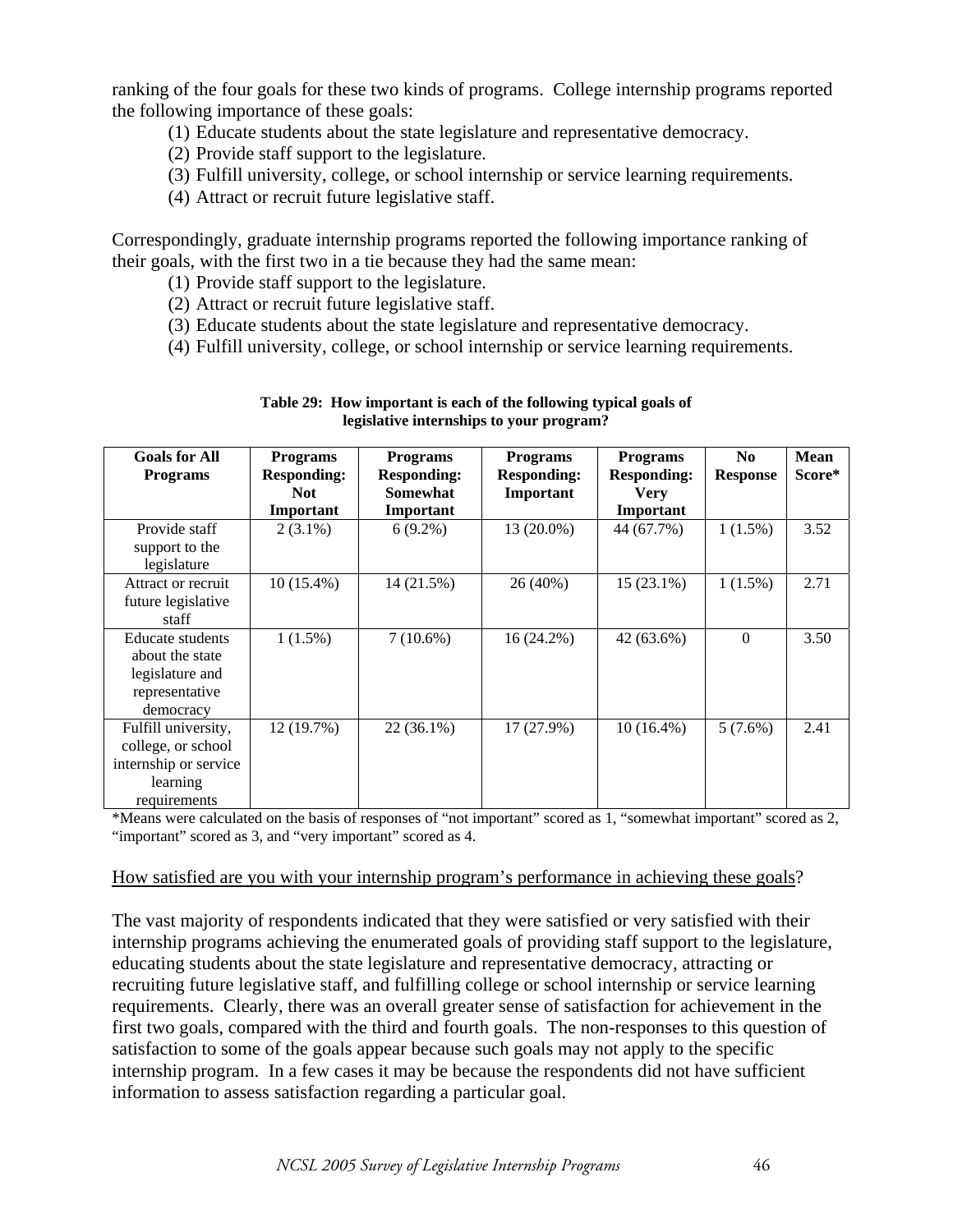ranking of the four goals for these two kinds of programs. College internship programs reported the following importance of these goals:

- (1) Educate students about the state legislature and representative democracy.
- (2) Provide staff support to the legislature.
- (3) Fulfill university, college, or school internship or service learning requirements.
- (4) Attract or recruit future legislative staff.

Correspondingly, graduate internship programs reported the following importance ranking of their goals, with the first two in a tie because they had the same mean:

- (1) Provide staff support to the legislature.
- (2) Attract or recruit future legislative staff.
- (3) Educate students about the state legislature and representative democracy.
- (4) Fulfill university, college, or school internship or service learning requirements.

| <b>Goals for All</b><br><b>Programs</b> | <b>Programs</b><br><b>Responding:</b> | <b>Programs</b><br><b>Responding:</b> | <b>Programs</b><br><b>Responding:</b> | <b>Programs</b><br><b>Responding:</b> | $\mathbf{N}\mathbf{0}$<br><b>Response</b> | <b>Mean</b><br>Score* |
|-----------------------------------------|---------------------------------------|---------------------------------------|---------------------------------------|---------------------------------------|-------------------------------------------|-----------------------|
|                                         | <b>Not</b>                            | <b>Somewhat</b>                       | Important                             | <b>Very</b>                           |                                           |                       |
|                                         | Important                             | Important                             |                                       | Important                             |                                           |                       |
| Provide staff                           | $2(3.1\%)$                            | $6(9.2\%)$                            | 13 (20.0%)                            | 44 (67.7%)                            | $1(1.5\%)$                                | 3.52                  |
| support to the                          |                                       |                                       |                                       |                                       |                                           |                       |
| legislature                             |                                       |                                       |                                       |                                       |                                           |                       |
| Attract or recruit                      | 10 (15.4%)                            | 14 (21.5%)                            | 26 (40%)                              | $15(23.1\%)$                          | $1(1.5\%)$                                | 2.71                  |
| future legislative                      |                                       |                                       |                                       |                                       |                                           |                       |
| staff                                   |                                       |                                       |                                       |                                       |                                           |                       |
| Educate students                        | $1(1.5\%)$                            | $7(10.6\%)$                           | 16 (24.2%)                            | $42(63.6\%)$                          | $\Omega$                                  | 3.50                  |
| about the state                         |                                       |                                       |                                       |                                       |                                           |                       |
| legislature and                         |                                       |                                       |                                       |                                       |                                           |                       |
| representative                          |                                       |                                       |                                       |                                       |                                           |                       |
| democracy                               |                                       |                                       |                                       |                                       |                                           |                       |
| Fulfill university,                     | 12 (19.7%)                            | 22 (36.1%)                            | 17 (27.9%)                            | $10(16.4\%)$                          | $5(7.6\%)$                                | 2.41                  |
| college, or school                      |                                       |                                       |                                       |                                       |                                           |                       |
| internship or service                   |                                       |                                       |                                       |                                       |                                           |                       |
| learning                                |                                       |                                       |                                       |                                       |                                           |                       |
| requirements                            |                                       |                                       |                                       |                                       |                                           |                       |

| Table 29: How important is each of the following typical goals of |
|-------------------------------------------------------------------|
| legislative internships to your program?                          |

\*Means were calculated on the basis of responses of "not important" scored as 1, "somewhat important" scored as 2, "important" scored as 3, and "very important" scored as 4.

#### How satisfied are you with your internship program's performance in achieving these goals?

The vast majority of respondents indicated that they were satisfied or very satisfied with their internship programs achieving the enumerated goals of providing staff support to the legislature, educating students about the state legislature and representative democracy, attracting or recruiting future legislative staff, and fulfilling college or school internship or service learning requirements. Clearly, there was an overall greater sense of satisfaction for achievement in the first two goals, compared with the third and fourth goals. The non-responses to this question of satisfaction to some of the goals appear because such goals may not apply to the specific internship program. In a few cases it may be because the respondents did not have sufficient information to assess satisfaction regarding a particular goal.